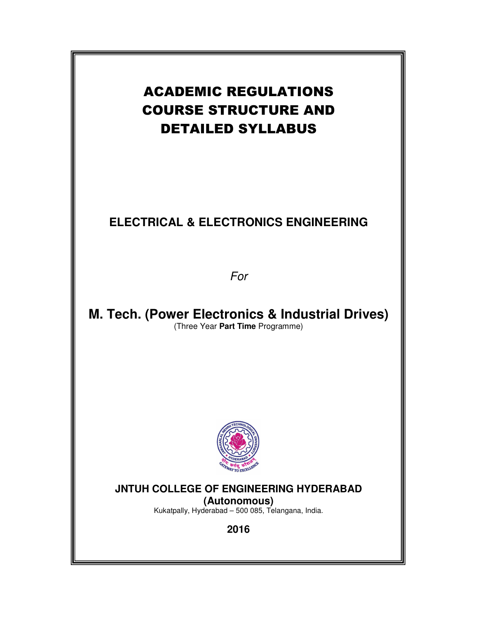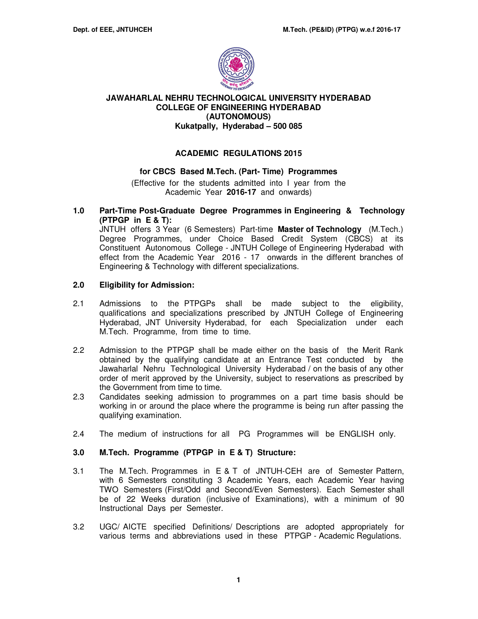

#### **JAWAHARLAL NEHRU TECHNOLOGICAL UNIVERSITY HYDERABAD COLLEGE OF ENGINEERING HYDERABAD (AUTONOMOUS) Kukatpally, Hyderabad – 500 085**

# **ACADEMIC REGULATIONS 2015**

#### **for CBCS Based M.Tech. (Part- Time) Programmes**

(Effective for the students admitted into I year from the Academic Year **2016-17** and onwards)

#### **1.0 Part-Time Post-Graduate Degree Programmes in Engineering & Technology (PTPGP in E & T):**

JNTUH offers 3 Year (6 Semesters) Part-time **Master of Technology** (M.Tech.) Degree Programmes, under Choice Based Credit System (CBCS) at its Constituent Autonomous College - JNTUH College of Engineering Hyderabad with effect from the Academic Year 2016 - 17 onwards in the different branches of Engineering & Technology with different specializations.

#### **2.0 Eligibility for Admission:**

- 2.1 Admissions to the PTPGPs shall be made subject to the eligibility, qualifications and specializations prescribed by JNTUH College of Engineering Hyderabad, JNT University Hyderabad, for each Specialization under each M.Tech. Programme, from time to time.
- 2.2 Admission to the PTPGP shall be made either on the basis of the Merit Rank obtained by the qualifying candidate at an Entrance Test conducted by the Jawaharlal Nehru Technological University Hyderabad / on the basis of any other order of merit approved by the University, subject to reservations as prescribed by the Government from time to time.
- 2.3 Candidates seeking admission to programmes on a part time basis should be working in or around the place where the programme is being run after passing the qualifying examination.
- 2.4 The medium of instructions for all PG Programmes will be ENGLISH only.

# **3.0 M.Tech. Programme (PTPGP in E & T) Structure:**

- 3.1 The M.Tech. Programmes in E & T of JNTUH-CEH are of Semester Pattern, with 6 Semesters constituting 3 Academic Years, each Academic Year having TWO Semesters (First/Odd and Second/Even Semesters). Each Semester shall be of 22 Weeks duration (inclusive of Examinations), with a minimum of 90 Instructional Days per Semester.
- 3.2 UGC/ AICTE specified Definitions/ Descriptions are adopted appropriately for various terms and abbreviations used in these PTPGP - Academic Regulations.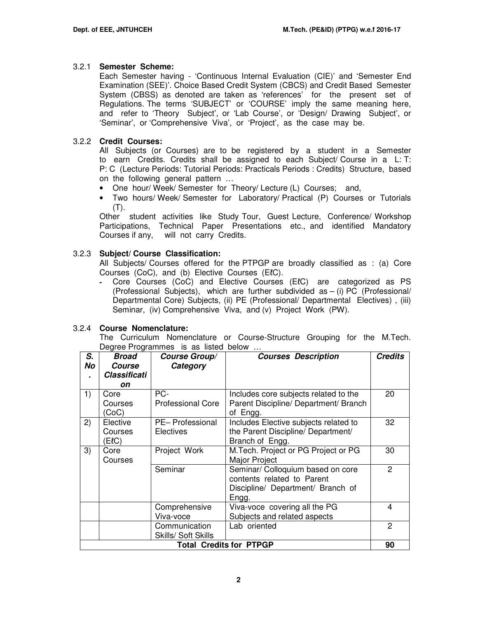# 3.2.1 **Semester Scheme:**

Each Semester having - 'Continuous Internal Evaluation (CIE)' and 'Semester End Examination (SEE)'. Choice Based Credit System (CBCS) and Credit Based Semester System (CBSS) as denoted are taken as 'references' for the present set of Regulations. The terms 'SUBJECT' or 'COURSE' imply the same meaning here, and refer to 'Theory Subject', or 'Lab Course', or 'Design/ Drawing Subject', or 'Seminar', or 'Comprehensive Viva', or 'Project', as the case may be.

# 3.2.2 **Credit Courses:**

All Subjects (or Courses) are to be registered by a student in a Semester to earn Credits. Credits shall be assigned to each Subject/ Course in a L: T: P: C (Lecture Periods: Tutorial Periods: Practicals Periods : Credits) Structure, based on the following general pattern …

- One hour/ Week/ Semester for Theory/ Lecture (L) Courses; and,
- Two hours/ Week/ Semester for Laboratory/ Practical (P) Courses or Tutorials (T).

Other student activities like Study Tour, Guest Lecture, Conference/ Workshop Participations, Technical Paper Presentations etc., and identified Mandatory Courses if any, will not carry Credits.

# 3.2.3 **Subject/ Course Classification:**

All Subjects/ Courses offered for the PTPGP are broadly classified as : (a) Core Courses (CoC), and (b) Elective Courses (EℓC).

- Core Courses (CoC) and Elective Courses (EℓC) are categorized as PS (Professional Subjects), which are further subdivided as – (i) PC (Professional/ Departmental Core) Subjects, (ii) PE (Professional/ Departmental Electives) , (iii) Seminar, (iv) Comprehensive Viva, and (v) Project Work (PW).

# 3.2.4 **Course Nomenclature:**

The Curriculum Nomenclature or Course-Structure Grouping for the M.Tech. Degree Programmes is as listed below ...

| S.<br>No                                                    | Broad<br>Course<br>Classificati | <b>Course Group/</b><br>Category | <b>Courses Description</b>                                                                                    | <b>Credits</b> |  |
|-------------------------------------------------------------|---------------------------------|----------------------------------|---------------------------------------------------------------------------------------------------------------|----------------|--|
|                                                             | on                              |                                  |                                                                                                               |                |  |
| 1)                                                          | Core<br>Courses<br>CoC)         | PC-<br><b>Professional Core</b>  | Includes core subjects related to the<br>Parent Discipline/ Department/ Branch<br>of Engg.                    | 20             |  |
| 2)                                                          | Elective<br>Courses<br>E(C)     | PE- Professional<br>Electives    | Includes Elective subjects related to<br>the Parent Discipline/ Department/<br>Branch of Engg.                | 32             |  |
| 3)                                                          | Core<br>Courses                 | Project Work                     | M. Tech. Project or PG Project or PG<br>Major Project                                                         | 30             |  |
|                                                             |                                 | Seminar                          | Seminar/ Colloquium based on core<br>contents related to Parent<br>Discipline/ Department/ Branch of<br>Engg. | $\overline{2}$ |  |
|                                                             |                                 | Comprehensive<br>Viva-voce       | Viva-voce covering all the PG<br>Subjects and related aspects                                                 | 4              |  |
| Communication<br>Lab oriented<br><b>Skills/ Soft Skills</b> |                                 |                                  |                                                                                                               |                |  |
|                                                             |                                 |                                  | <b>Total Credits for PTPGP</b>                                                                                | 90             |  |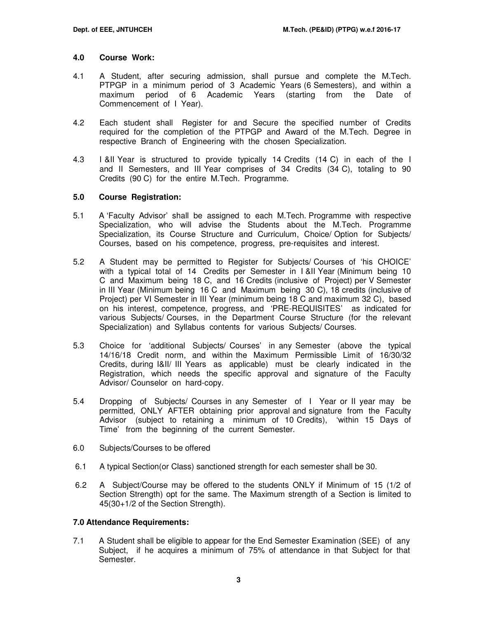#### **4.0 Course Work:**

- 4.1 A Student, after securing admission, shall pursue and complete the M.Tech. PTPGP in a minimum period of 3 Academic Years (6 Semesters), and within a maximum period of 6 Academic Years (starting from the Date of Commencement of I Year).
- 4.2 Each student shall Register for and Secure the specified number of Credits required for the completion of the PTPGP and Award of the M.Tech. Degree in respective Branch of Engineering with the chosen Specialization.
- 4.3 I &II Year is structured to provide typically 14 Credits (14 C) in each of the I and II Semesters, and III Year comprises of 34 Credits (34 C), totaling to 90 Credits (90 C) for the entire M.Tech. Programme.

#### **5.0 Course Registration:**

- 5.1 A 'Faculty Advisor' shall be assigned to each M.Tech. Programme with respective Specialization, who will advise the Students about the M.Tech. Programme Specialization, its Course Structure and Curriculum, Choice/ Option for Subjects/ Courses, based on his competence, progress, pre-requisites and interest.
- 5.2 A Student may be permitted to Register for Subjects/ Courses of 'his CHOICE' with a typical total of 14 Credits per Semester in I &II Year (Minimum being 10 C and Maximum being 18 C, and 16 Credits (inclusive of Project) per V Semester in III Year (Minimum being 16 C and Maximum being 30 C), 18 credits (inclusive of Project) per VI Semester in III Year (minimum being 18 C and maximum 32 C), based on his interest, competence, progress, and 'PRE-REQUISITES' as indicated for various Subjects/ Courses, in the Department Course Structure (for the relevant Specialization) and Syllabus contents for various Subjects/ Courses.
- 5.3 Choice for 'additional Subjects/ Courses' in any Semester (above the typical 14/16/18 Credit norm, and within the Maximum Permissible Limit of 16/30/32 Credits, during I&II/ III Years as applicable) must be clearly indicated in the Registration, which needs the specific approval and signature of the Faculty Advisor/ Counselor on hard-copy.
- 5.4 Dropping of Subjects/ Courses in any Semester of I Year or II year may be permitted, ONLY AFTER obtaining prior approval and signature from the Faculty Advisor (subject to retaining a minimum of 10 Credits), 'within 15 Days of Time' from the beginning of the current Semester.
- 6.0 Subjects/Courses to be offered
- 6.1 A typical Section(or Class) sanctioned strength for each semester shall be 30.
- 6.2 A Subject/Course may be offered to the students ONLY if Minimum of 15 (1/2 of Section Strength) opt for the same. The Maximum strength of a Section is limited to 45(30+1/2 of the Section Strength).

# **7.0 Attendance Requirements:**

7.1 A Student shall be eligible to appear for the End Semester Examination (SEE) of any Subject, if he acquires a minimum of 75% of attendance in that Subject for that Semester.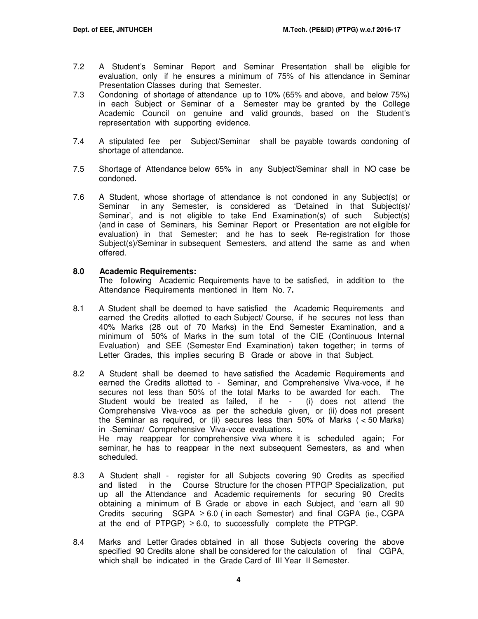- 7.2 A Student's Seminar Report and Seminar Presentation shall be eligible for evaluation, only if he ensures a minimum of 75% of his attendance in Seminar Presentation Classes during that Semester.
- 7.3 Condoning of shortage of attendance up to 10% (65% and above, and below 75%) in each Subject or Seminar of a Semester may be granted by the College Academic Council on genuine and valid grounds, based on the Student's representation with supporting evidence.
- 7.4 A stipulated fee per Subject/Seminar shall be payable towards condoning of shortage of attendance.
- 7.5 Shortage of Attendance below 65% in any Subject/Seminar shall in NO case be condoned.
- 7.6 A Student, whose shortage of attendance is not condoned in any Subject(s) or Seminar in any Semester, is considered as 'Detained in that Subject(s)/ Seminar', and is not eligible to take End Examination(s) of such Subject(s) (and in case of Seminars, his Seminar Report or Presentation are not eligible for evaluation) in that Semester; and he has to seek Re-registration for those Subject(s)/Seminar in subsequent Semesters, and attend the same as and when offered.

#### **8.0 Academic Requirements:**

The following Academic Requirements have to be satisfied, in addition to the Attendance Requirements mentioned in Item No. 7**.** 

- 8.1 A Student shall be deemed to have satisfied the Academic Requirements and earned the Credits allotted to each Subject/ Course, if he secures not less than 40% Marks (28 out of 70 Marks) in the End Semester Examination, and a minimum of 50% of Marks in the sum total of the CIE (Continuous Internal Evaluation) and SEE (Semester End Examination) taken together; in terms of Letter Grades, this implies securing B Grade or above in that Subject.
- 8.2A Student shall be deemed to have satisfied the Academic Requirements and earned the Credits allotted to - Seminar, and Comprehensive Viva-voce, if he secures not less than 50% of the total Marks to be awarded for each. The Student would be treated as failed, if he - (i) does not attend the Comprehensive Viva-voce as per the schedule given, or (ii) does not present the Seminar as required, or (ii) secures less than 50% of Marks ( < 50 Marks) in Seminar/ Comprehensive Viva-voce evaluations. He may reappear for comprehensive viva where it is scheduled again; For seminar, he has to reappear in the next subsequent Semesters, as and when scheduled.
- 8.3 A Student shall register for all Subjects covering 90 Credits as specified and listed in the Course Structure for the chosen PTPGP Specialization, put up all the Attendance and Academic requirements for securing 90 Credits obtaining a minimum of B Grade or above in each Subject, and 'earn all 90 Credits securing  $SGPA \geq 6.0$  (in each Semester) and final CGPA (ie., CGPA at the end of PTPGP)  $\geq 6.0$ , to successfully complete the PTPGP.
- 8.4 Marks and Letter Grades obtained in all those Subjects covering the above specified 90 Credits alone shall be considered for the calculation of final CGPA, which shall be indicated in the Grade Card of III Year II Semester.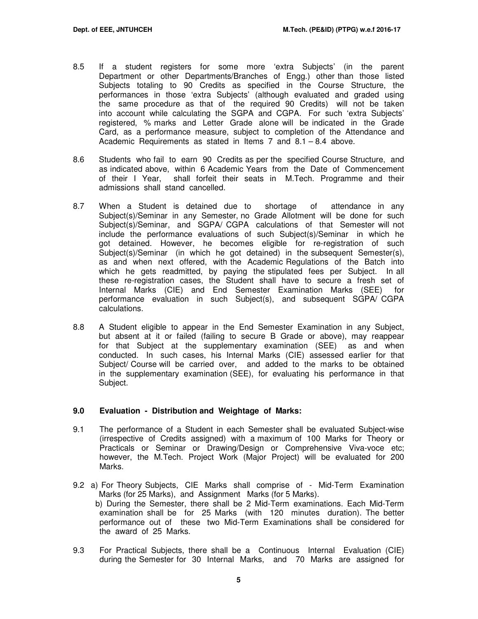- 8.5 If a student registers for some more 'extra Subjects' (in the parent Department or other Departments/Branches of Engg.) other than those listed Subjects totaling to 90 Credits as specified in the Course Structure, the performances in those 'extra Subjects' (although evaluated and graded using the same procedure as that of the required 90 Credits) will not be taken into account while calculating the SGPA and CGPA. For such 'extra Subjects' registered, % marks and Letter Grade alone will be indicated in the Grade Card, as a performance measure, subject to completion of the Attendance and Academic Requirements as stated in Items 7 and 8.1 – 8.4 above.
- 8.6 Students who fail to earn 90 Credits as per the specified Course Structure, and as indicated above, within 6 Academic Years from the Date of Commencement of their I Year, shall forfeit their seats in M.Tech. Programme and their admissions shall stand cancelled.
- 8.7 When a Student is detained due to shortage of attendance in any Subject(s)/Seminar in any Semester, no Grade Allotment will be done for such Subject(s)/Seminar, and SGPA/ CGPA calculations of that Semester will not include the performance evaluations of such Subject(s)/Seminar in which he got detained. However, he becomes eligible for re-registration of such Subject(s)/Seminar (in which he got detained) in the subsequent Semester(s), as and when next offered, with the Academic Regulations of the Batch into which he gets readmitted, by paying the stipulated fees per Subject. In all these re-registration cases, the Student shall have to secure a fresh set of Internal Marks (CIE) and End Semester Examination Marks (SEE) for performance evaluation in such Subject(s), and subsequent SGPA/ CGPA calculations.
- 8.8 A Student eligible to appear in the End Semester Examination in any Subject, but absent at it or failed (failing to secure B Grade or above), may reappear for that Subject at the supplementary examination (SEE) as and when conducted. In such cases, his Internal Marks (CIE) assessed earlier for that Subject/ Course will be carried over, and added to the marks to be obtained in the supplementary examination (SEE), for evaluating his performance in that Subject.

# **9.0 Evaluation - Distribution and Weightage of Marks:**

- 9.1 The performance of a Student in each Semester shall be evaluated Subject-wise (irrespective of Credits assigned) with a maximum of 100 Marks for Theory or Practicals or Seminar or Drawing/Design or Comprehensive Viva-voce etc; however, the M.Tech. Project Work (Major Project) will be evaluated for 200 Marks.
- 9.2 a) For Theory Subjects, CIE Marks shall comprise of Mid-Term Examination Marks (for 25 Marks), and Assignment Marks (for 5 Marks). b) During the Semester, there shall be 2 Mid-Term examinations. Each Mid-Term examination shall be for 25 Marks (with 120 minutes duration). The better performance out of these two Mid-Term Examinations shall be considered for the award of 25 Marks.
- 9.3 For Practical Subjects, there shall be a Continuous Internal Evaluation (CIE) during the Semester for 30 Internal Marks, and 70 Marks are assigned for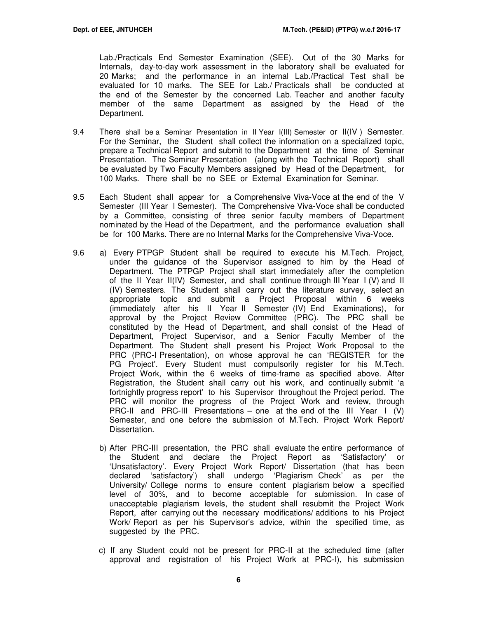Lab./Practicals End Semester Examination (SEE). Out of the 30 Marks for Internals, day-to-day work assessment in the laboratory shall be evaluated for 20 Marks; and the performance in an internal Lab./Practical Test shall be evaluated for 10 marks. The SEE for Lab./ Practicals shall be conducted at the end of the Semester by the concerned Lab. Teacher and another faculty member of the same Department as assigned by the Head of the Department.

- 9.4 There shall be a Seminar Presentation in II Year I(III) Semester or II(IV ) Semester. For the Seminar, the Student shall collect the information on a specialized topic, prepare a Technical Report and submit to the Department at the time of Seminar Presentation. The Seminar Presentation (along with the Technical Report) shall be evaluated by Two Faculty Members assigned by Head of the Department, for 100 Marks. There shall be no SEE or External Examination for Seminar.
- 9.5 Each Student shall appear for a Comprehensive Viva-Voce at the end of the V Semester (III Year I Semester). The Comprehensive Viva-Voce shall be conducted by a Committee, consisting of three senior faculty members of Department nominated by the Head of the Department, and the performance evaluation shall be for 100 Marks. There are no Internal Marks for the Comprehensive Viva-Voce.
- 9.6 a) Every PTPGP Student shall be required to execute his M.Tech. Project, under the guidance of the Supervisor assigned to him by the Head of Department. The PTPGP Project shall start immediately after the completion of the II Year II(IV) Semester, and shall continue through III Year I (V) and II (IV) Semesters. The Student shall carry out the literature survey, select an appropriate topic and submit a Project Proposal within 6 weeks (immediately after his II Year II Semester (IV) End Examinations), for approval by the Project Review Committee (PRC). The PRC shall be constituted by the Head of Department, and shall consist of the Head of Department, Project Supervisor, and a Senior Faculty Member of the Department. The Student shall present his Project Work Proposal to the PRC (PRC-I Presentation), on whose approval he can 'REGISTER for the PG Project'. Every Student must compulsorily register for his M.Tech. Project Work, within the 6 weeks of time-frame as specified above. After Registration, the Student shall carry out his work, and continually submit 'a fortnightly progress report' to his Supervisor throughout the Project period. The PRC will monitor the progress of the Project Work and review, through PRC-II and PRC-III Presentations – one at the end of the III Year I (V) Semester, and one before the submission of M.Tech. Project Work Report/ Dissertation.
	- b) After PRC-III presentation, the PRC shall evaluate the entire performance of the Student and declare the Project Report as 'Satisfactory' or 'Unsatisfactory'. Every Project Work Report/ Dissertation (that has been declared 'satisfactory') shall undergo 'Plagiarism Check' as per the University/ College norms to ensure content plagiarism below a specified level of 30%, and to become acceptable for submission. In case of unacceptable plagiarism levels, the student shall resubmit the Project Work Report, after carrying out the necessary modifications/ additions to his Project Work/ Report as per his Supervisor's advice, within the specified time, as suggested by the PRC.
	- c) If any Student could not be present for PRC-II at the scheduled time (after approval and registration of his Project Work at PRC-I), his submission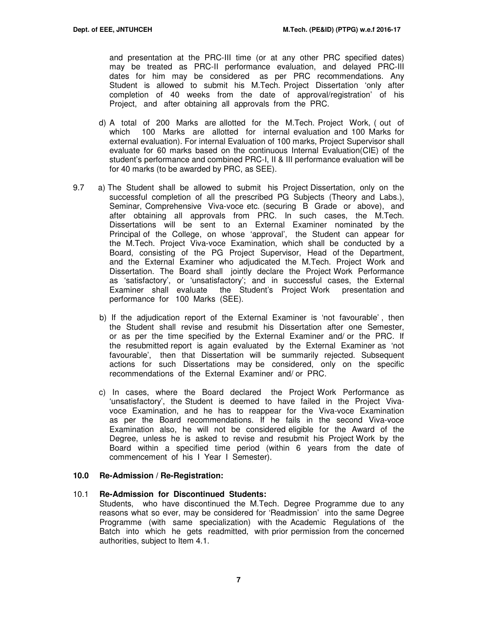and presentation at the PRC-III time (or at any other PRC specified dates) may be treated as PRC-II performance evaluation, and delayed PRC-III dates for him may be considered as per PRC recommendations. Any Student is allowed to submit his M.Tech. Project Dissertation 'only after completion of 40 weeks from the date of approval/registration' of his Project, and after obtaining all approvals from the PRC.

- d) A total of 200 Marks are allotted for the M.Tech. Project Work, ( out of which 100 Marks are allotted for internal evaluation and 100 Marks for external evaluation). For internal Evaluation of 100 marks, Project Supervisor shall evaluate for 60 marks based on the continuous Internal Evaluation(CIE) of the student's performance and combined PRC-I, II & III performance evaluation will be for 40 marks (to be awarded by PRC, as SEE).
- 9.7 a) The Student shall be allowed to submit his Project Dissertation, only on the successful completion of all the prescribed PG Subjects (Theory and Labs.), Seminar, Comprehensive Viva-voce etc. (securing B Grade or above), and after obtaining all approvals from PRC. In such cases, the M.Tech. Dissertations will be sent to an External Examiner nominated by the Principal of the College, on whose 'approval', the Student can appear for the M.Tech. Project Viva-voce Examination, which shall be conducted by a Board, consisting of the PG Project Supervisor, Head of the Department, and the External Examiner who adjudicated the M.Tech. Project Work and Dissertation. The Board shall jointly declare the Project Work Performance as 'satisfactory', or 'unsatisfactory'; and in successful cases, the External Examiner shall evaluate the Student's Project Work presentation and performance for 100 Marks (SEE).
	- b) If the adjudication report of the External Examiner is 'not favourable' , then the Student shall revise and resubmit his Dissertation after one Semester, or as per the time specified by the External Examiner and/ or the PRC. If the resubmitted report is again evaluated by the External Examiner as 'not favourable', then that Dissertation will be summarily rejected. Subsequent actions for such Dissertations may be considered, only on the specific recommendations of the External Examiner and/ or PRC.
	- c) In cases, where the Board declared the Project Work Performance as 'unsatisfactory', the Student is deemed to have failed in the Project Vivavoce Examination, and he has to reappear for the Viva-voce Examination as per the Board recommendations. If he fails in the second Viva-voce Examination also, he will not be considered eligible for the Award of the Degree, unless he is asked to revise and resubmit his Project Work by the Board within a specified time period (within 6 years from the date of commencement of his I Year I Semester).

# **10.0 Re-Admission / Re-Registration:**

#### 10.1 **Re-Admission for Discontinued Students:**

Students, who have discontinued the M.Tech. Degree Programme due to any reasons what so ever, may be considered for 'Readmission' into the same Degree Programme (with same specialization) with the Academic Regulations of the Batch into which he gets readmitted, with prior permission from the concerned authorities, subject to Item 4.1.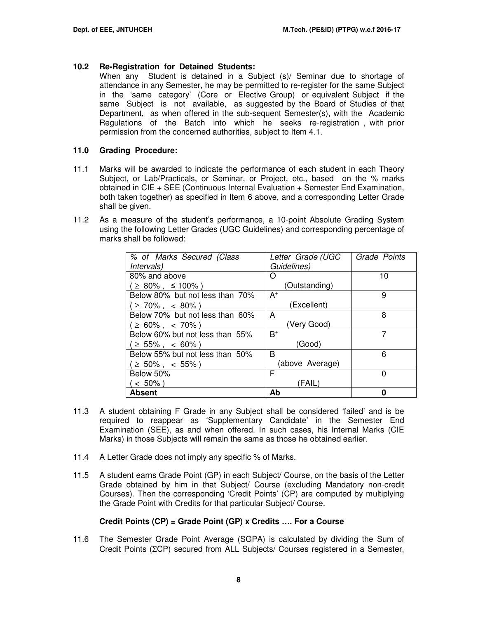# **10.2 Re-Registration for Detained Students:**

When any Student is detained in a Subject (s)/ Seminar due to shortage of attendance in any Semester, he may be permitted to re-register for the same Subject in the 'same category' (Core or Elective Group) or equivalent Subject if the same Subject is not available, as suggested by the Board of Studies of that Department, as when offered in the sub-sequent Semester(s), with the Academic Regulations of the Batch into which he seeks re-registration , with prior permission from the concerned authorities, subject to Item 4.1.

#### **11.0 Grading Procedure:**

- 11.1 Marks will be awarded to indicate the performance of each student in each Theory Subject, or Lab/Practicals, or Seminar, or Project, etc., based on the % marks obtained in CIE + SEE (Continuous Internal Evaluation + Semester End Examination, both taken together) as specified in Item 6 above, and a corresponding Letter Grade shall be given.
- 11.2 As a measure of the student's performance, a 10-point Absolute Grading System using the following Letter Grades (UGC Guidelines) and corresponding percentage of marks shall be followed:

| % of Marks Secured (Class       | Letter Grade (UGC | Grade Points |
|---------------------------------|-------------------|--------------|
| <i>Intervals</i> )              | Guidelines)       |              |
| 80% and above                   | O                 | 10           |
| $\geq$ 80%, $\leq$ 100%)        | (Outstanding)     |              |
| Below 80% but not less than 70% | $A^+$             | 9            |
| $\geq 70\%$ , < 80%)            | (Excellent)       |              |
| Below 70% but not less than 60% | A                 | 8            |
| $\geq 60\%$ , < 70%)            | (Very Good)       |              |
| Below 60% but not less than 55% | $B^+$             | 7            |
| $\geq 55\%$ , < 60%)            | (Good)            |              |
| Below 55% but not less than 50% | B                 | 6            |
| $\geq 50\%$ , < 55%)            | (above Average)   |              |
| Below 50%                       | F                 | 0            |
| $< 50\%$ )                      | (FAIL)            |              |
| Absent                          | Ab                |              |

- 11.3 A student obtaining F Grade in any Subject shall be considered 'failed' and is be required to reappear as 'Supplementary Candidate' in the Semester End Examination (SEE), as and when offered. In such cases, his Internal Marks (CIE Marks) in those Subjects will remain the same as those he obtained earlier.
- 11.4 A Letter Grade does not imply any specific % of Marks.
- 11.5 A student earns Grade Point (GP) in each Subject/ Course, on the basis of the Letter Grade obtained by him in that Subject/ Course (excluding Mandatory non-credit Courses). Then the corresponding 'Credit Points' (CP) are computed by multiplying the Grade Point with Credits for that particular Subject/ Course.

# **Credit Points (CP) = Grade Point (GP) x Credits …. For a Course**

11.6 The Semester Grade Point Average (SGPA) is calculated by dividing the Sum of Credit Points (ΣCP) secured from ALL Subjects/ Courses registered in a Semester,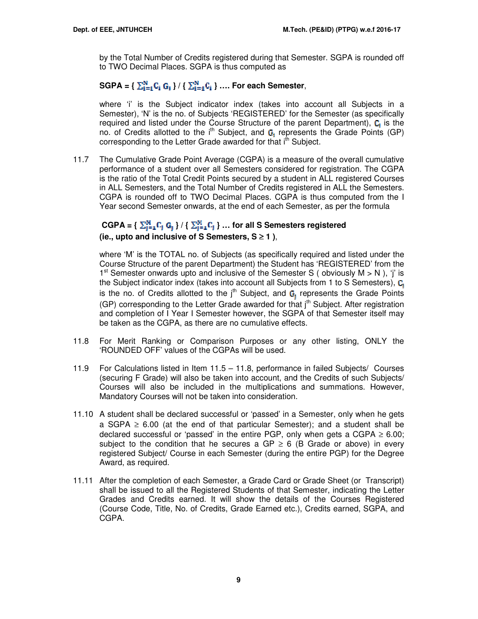by the Total Number of Credits registered during that Semester. SGPA is rounded off to TWO Decimal Places. SGPA is thus computed as

# $SGPA = \left\{ \sum_{i=1}^{N} C_i G_i \right\} / \left\{ \sum_{i=1}^{N} C_i \right\} \dots$  For each Semester,

where 'i' is the Subject indicator index (takes into account all Subjects in a Semester), 'N' is the no. of Subjects 'REGISTERED' for the Semester (as specifically required and listed under the Course Structure of the parent Department),  $C_i$  is the no. of Credits allotted to the  $i<sup>th</sup>$  Subject, and  $G_i$  represents the Grade Points (GP) corresponding to the Letter Grade awarded for that i<sup>th</sup> Subject.

11.7 The Cumulative Grade Point Average (CGPA) is a measure of the overall cumulative performance of a student over all Semesters considered for registration. The CGPA is the ratio of the Total Credit Points secured by a student in ALL registered Courses in ALL Semesters, and the Total Number of Credits registered in ALL the Semesters. CGPA is rounded off to TWO Decimal Places. CGPA is thus computed from the I Year second Semester onwards, at the end of each Semester, as per the formula

# $CGPA = \{ \sum_{i=1}^{M} C_i \ G_1 \} / \{ \sum_{i=1}^{M} C_i \} ...$  for all S Semesters registered **(ie., upto and inclusive of S Semesters, S** ≥ **1 )**,

where 'M' is the TOTAL no. of Subjects (as specifically required and listed under the Course Structure of the parent Department) the Student has 'REGISTERED' from the 1<sup>st</sup> Semester onwards upto and inclusive of the Semester S (obviously  $M > N$ ), 'j' is the Subject indicator index (takes into account all Subjects from 1 to S Semesters),  $C_i$ is the no. of Credits allotted to the  $j<sup>th</sup>$  Subject, and  $G<sub>1</sub>$  represents the Grade Points (GP) corresponding to the Letter Grade awarded for that  $j<sup>th</sup>$  Subject. After registration and completion of I Year I Semester however, the SGPA of that Semester itself may be taken as the CGPA, as there are no cumulative effects.

- 11.8 For Merit Ranking or Comparison Purposes or any other listing, ONLY the 'ROUNDED OFF' values of the CGPAs will be used.
- 11.9 For Calculations listed in Item 11.5 11.8, performance in failed Subjects/ Courses (securing F Grade) will also be taken into account, and the Credits of such Subjects/ Courses will also be included in the multiplications and summations. However, Mandatory Courses will not be taken into consideration.
- 11.10 A student shall be declared successful or 'passed' in a Semester, only when he gets a SGPA  $\geq$  6.00 (at the end of that particular Semester); and a student shall be declared successful or 'passed' in the entire PGP, only when gets a CGPA  $\geq$  6.00; subject to the condition that he secures a GP  $\geq$  6 (B Grade or above) in every registered Subject/ Course in each Semester (during the entire PGP) for the Degree Award, as required.
- 11.11 After the completion of each Semester, a Grade Card or Grade Sheet (or Transcript) shall be issued to all the Registered Students of that Semester, indicating the Letter Grades and Credits earned. It will show the details of the Courses Registered (Course Code, Title, No. of Credits, Grade Earned etc.), Credits earned, SGPA, and CGPA.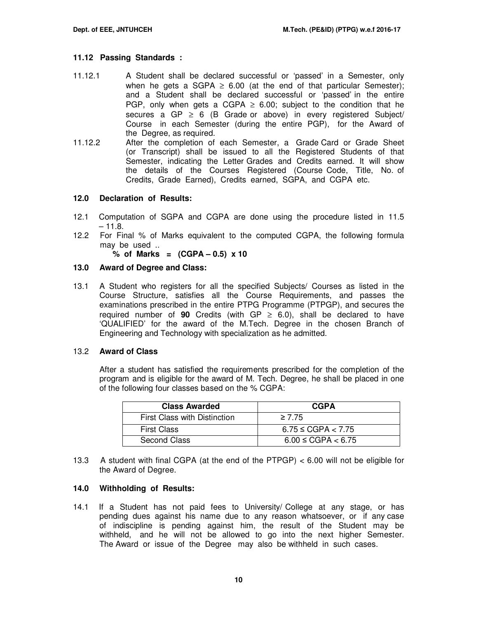#### **11.12 Passing Standards :**

- 11.12.1 A Student shall be declared successful or 'passed' in a Semester, only when he gets a SGPA  $\geq$  6.00 (at the end of that particular Semester); and a Student shall be declared successful or 'passed' in the entire PGP, only when gets a CGPA  $\geq$  6.00; subject to the condition that he secures a GP  $\geq$  6 (B Grade or above) in every registered Subject/ Course in each Semester (during the entire PGP), for the Award of the Degree, as required.
- 11.12.2 After the completion of each Semester, a Grade Card or Grade Sheet (or Transcript) shall be issued to all the Registered Students of that Semester, indicating the Letter Grades and Credits earned. It will show the details of the Courses Registered (Course Code, Title, No. of Credits, Grade Earned), Credits earned, SGPA, and CGPA etc.

#### **12.0 Declaration of Results:**

- 12.1 Computation of SGPA and CGPA are done using the procedure listed in 11.5  $-11.8.$
- 12.2 For Final % of Marks equivalent to the computed CGPA, the following formula may be used ..

**% of Marks = (CGPA – 0.5) x 10** 

#### **13.0 Award of Degree and Class:**

13.1 A Student who registers for all the specified Subjects/ Courses as listed in the Course Structure, satisfies all the Course Requirements, and passes the examinations prescribed in the entire PTPG Programme (PTPGP), and secures the required number of **90** Credits (with  $GP \ge 6.0$ ), shall be declared to have 'QUALIFIED' for the award of the M.Tech. Degree in the chosen Branch of Engineering and Technology with specialization as he admitted.

#### 13.2 **Award of Class**

After a student has satisfied the requirements prescribed for the completion of the program and is eligible for the award of M. Tech. Degree, he shall be placed in one of the following four classes based on the % CGPA:

| <b>Class Awarded</b>         | <b>CGPA</b>             |
|------------------------------|-------------------------|
| First Class with Distinction | $\geq 7.75$             |
| <b>First Class</b>           | $6.75 \leq CGPA < 7.75$ |
| Second Class                 | $6.00 \leq CGPA < 6.75$ |

13.3 A student with final CGPA (at the end of the PTPGP) < 6.00 will not be eligible for the Award of Degree.

#### **14.0 Withholding of Results:**

14.1 If a Student has not paid fees to University/ College at any stage, or has pending dues against his name due to any reason whatsoever, or if any case of indiscipline is pending against him, the result of the Student may be withheld, and he will not be allowed to go into the next higher Semester. The Award or issue of the Degree may also be withheld in such cases.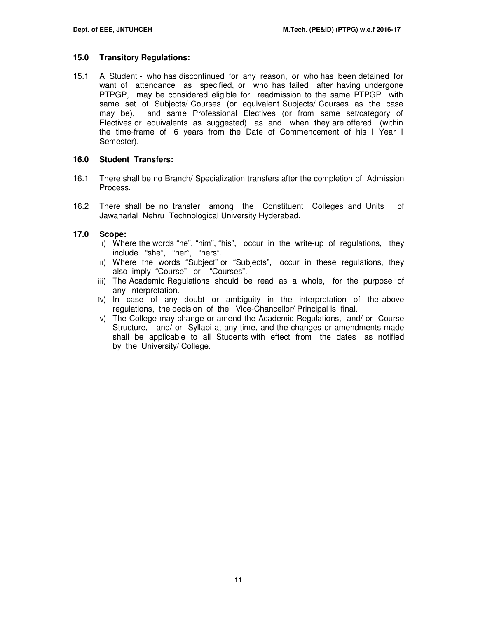#### **15.0 Transitory Regulations:**

15.1 A Student - who has discontinued for any reason, or who has been detained for want of attendance as specified, or who has failed after having undergone PTPGP, may be considered eligible for readmission to the same PTPGP with same set of Subjects/ Courses (or equivalent Subjects/ Courses as the case may be), and same Professional Electives (or from same set/category of Electives or equivalents as suggested), as and when they are offered (within the time-frame of 6 years from the Date of Commencement of his I Year I Semester).

#### **16.0 Student Transfers:**

- 16.1 There shall be no Branch/ Specialization transfers after the completion of Admission Process.
- 16.2 There shall be no transfer among the Constituent Colleges and Units of Jawaharlal Nehru Technological University Hyderabad.

#### **17.0 Scope:**

- i) Where the words "he", "him", "his", occur in the write-up of regulations, they include "she", "her", "hers".
- ii) Where the words "Subject" or "Subjects", occur in these regulations, they also imply "Course" or "Courses".
- iii) The Academic Regulations should be read as a whole, for the purpose of any interpretation.
- iv) In case of any doubt or ambiguity in the interpretation of the above regulations, the decision of the Vice-Chancellor/ Principal is final.
- v) The College may change or amend the Academic Regulations, and/ or Course Structure, and/ or Syllabi at any time, and the changes or amendments made shall be applicable to all Students with effect from the dates as notified by the University/ College.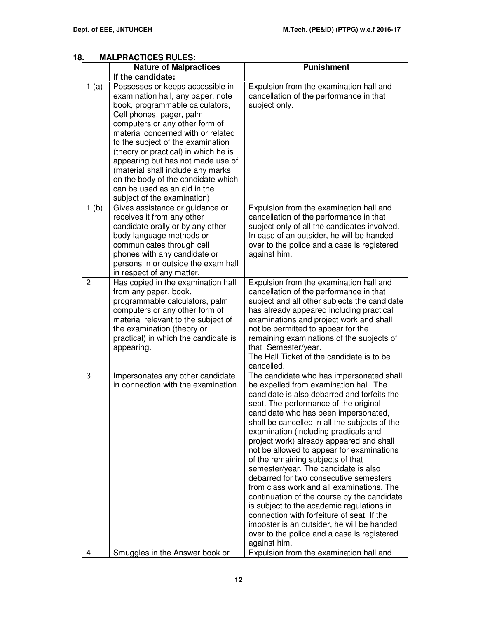| o.             | MALLANO IIVEJ UNLEJ.<br><b>Nature of Malpractices</b>                                                                                                                                                                                                                                                                                                                                                                                                                    | <b>Punishment</b>                                                                                                                                                                                                                                                                                                                                                                                                                                                                                                                                                                                                                                                                                                                                                                                                                |
|----------------|--------------------------------------------------------------------------------------------------------------------------------------------------------------------------------------------------------------------------------------------------------------------------------------------------------------------------------------------------------------------------------------------------------------------------------------------------------------------------|----------------------------------------------------------------------------------------------------------------------------------------------------------------------------------------------------------------------------------------------------------------------------------------------------------------------------------------------------------------------------------------------------------------------------------------------------------------------------------------------------------------------------------------------------------------------------------------------------------------------------------------------------------------------------------------------------------------------------------------------------------------------------------------------------------------------------------|
|                | If the candidate:                                                                                                                                                                                                                                                                                                                                                                                                                                                        |                                                                                                                                                                                                                                                                                                                                                                                                                                                                                                                                                                                                                                                                                                                                                                                                                                  |
| 1(a)           | Possesses or keeps accessible in<br>examination hall, any paper, note<br>book, programmable calculators,<br>Cell phones, pager, palm<br>computers or any other form of<br>material concerned with or related<br>to the subject of the examination<br>(theory or practical) in which he is<br>appearing but has not made use of<br>(material shall include any marks<br>on the body of the candidate which<br>can be used as an aid in the<br>subject of the examination) | Expulsion from the examination hall and<br>cancellation of the performance in that<br>subject only.                                                                                                                                                                                                                                                                                                                                                                                                                                                                                                                                                                                                                                                                                                                              |
| 1(b)           | Gives assistance or guidance or<br>receives it from any other<br>candidate orally or by any other<br>body language methods or<br>communicates through cell<br>phones with any candidate or<br>persons in or outside the exam hall<br>in respect of any matter.                                                                                                                                                                                                           | Expulsion from the examination hall and<br>cancellation of the performance in that<br>subject only of all the candidates involved.<br>In case of an outsider, he will be handed<br>over to the police and a case is registered<br>against him.                                                                                                                                                                                                                                                                                                                                                                                                                                                                                                                                                                                   |
| $\overline{2}$ | Has copied in the examination hall<br>from any paper, book,<br>programmable calculators, palm<br>computers or any other form of<br>material relevant to the subject of<br>the examination (theory or<br>practical) in which the candidate is<br>appearing.                                                                                                                                                                                                               | Expulsion from the examination hall and<br>cancellation of the performance in that<br>subject and all other subjects the candidate<br>has already appeared including practical<br>examinations and project work and shall<br>not be permitted to appear for the<br>remaining examinations of the subjects of<br>that Semester/year.<br>The Hall Ticket of the candidate is to be<br>cancelled.                                                                                                                                                                                                                                                                                                                                                                                                                                   |
| 3              | Impersonates any other candidate<br>in connection with the examination.                                                                                                                                                                                                                                                                                                                                                                                                  | The candidate who has impersonated shall<br>be expelled from examination hall. The<br>candidate is also debarred and forfeits the<br>seat. The performance of the original<br>candidate who has been impersonated,<br>shall be cancelled in all the subjects of the<br>examination (including practicals and<br>project work) already appeared and shall<br>not be allowed to appear for examinations<br>of the remaining subjects of that<br>semester/year. The candidate is also<br>debarred for two consecutive semesters<br>from class work and all examinations. The<br>continuation of the course by the candidate<br>is subject to the academic regulations in<br>connection with forfeiture of seat. If the<br>imposter is an outsider, he will be handed<br>over to the police and a case is registered<br>against him. |
| 4              | Smuggles in the Answer book or                                                                                                                                                                                                                                                                                                                                                                                                                                           | Expulsion from the examination hall and                                                                                                                                                                                                                                                                                                                                                                                                                                                                                                                                                                                                                                                                                                                                                                                          |

# **18. MALPRACTICES RULES:**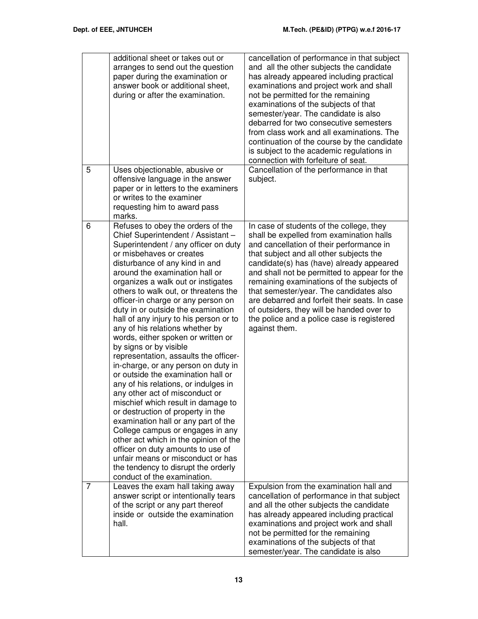|   | additional sheet or takes out or<br>arranges to send out the question<br>paper during the examination or<br>answer book or additional sheet,<br>during or after the examination.                                                                                                                                                                                                                                                                                                                                                                                                                                                                                                                                                                                                                                                                                                                                                                                                                                                                                      | cancellation of performance in that subject<br>and all the other subjects the candidate<br>has already appeared including practical<br>examinations and project work and shall<br>not be permitted for the remaining<br>examinations of the subjects of that<br>semester/year. The candidate is also<br>debarred for two consecutive semesters<br>from class work and all examinations. The<br>continuation of the course by the candidate<br>is subject to the academic regulations in<br>connection with forfeiture of seat. |
|---|-----------------------------------------------------------------------------------------------------------------------------------------------------------------------------------------------------------------------------------------------------------------------------------------------------------------------------------------------------------------------------------------------------------------------------------------------------------------------------------------------------------------------------------------------------------------------------------------------------------------------------------------------------------------------------------------------------------------------------------------------------------------------------------------------------------------------------------------------------------------------------------------------------------------------------------------------------------------------------------------------------------------------------------------------------------------------|--------------------------------------------------------------------------------------------------------------------------------------------------------------------------------------------------------------------------------------------------------------------------------------------------------------------------------------------------------------------------------------------------------------------------------------------------------------------------------------------------------------------------------|
| 5 | Uses objectionable, abusive or<br>offensive language in the answer<br>paper or in letters to the examiners<br>or writes to the examiner<br>requesting him to award pass<br>marks.                                                                                                                                                                                                                                                                                                                                                                                                                                                                                                                                                                                                                                                                                                                                                                                                                                                                                     | Cancellation of the performance in that<br>subject.                                                                                                                                                                                                                                                                                                                                                                                                                                                                            |
| 6 | Refuses to obey the orders of the<br>Chief Superintendent / Assistant -<br>Superintendent / any officer on duty<br>or misbehaves or creates<br>disturbance of any kind in and<br>around the examination hall or<br>organizes a walk out or instigates<br>others to walk out, or threatens the<br>officer-in charge or any person on<br>duty in or outside the examination<br>hall of any injury to his person or to<br>any of his relations whether by<br>words, either spoken or written or<br>by signs or by visible<br>representation, assaults the officer-<br>in-charge, or any person on duty in<br>or outside the examination hall or<br>any of his relations, or indulges in<br>any other act of misconduct or<br>mischief which result in damage to<br>or destruction of property in the<br>examination hall or any part of the<br>College campus or engages in any<br>other act which in the opinion of the<br>officer on duty amounts to use of<br>unfair means or misconduct or has<br>the tendency to disrupt the orderly<br>conduct of the examination. | In case of students of the college, they<br>shall be expelled from examination halls<br>and cancellation of their performance in<br>that subject and all other subjects the<br>candidate(s) has (have) already appeared<br>and shall not be permitted to appear for the<br>remaining examinations of the subjects of<br>that semester/year. The candidates also<br>are debarred and forfeit their seats. In case<br>of outsiders, they will be handed over to<br>the police and a police case is registered<br>against them.   |
| 7 | Leaves the exam hall taking away<br>answer script or intentionally tears<br>of the script or any part thereof<br>inside or outside the examination<br>hall.                                                                                                                                                                                                                                                                                                                                                                                                                                                                                                                                                                                                                                                                                                                                                                                                                                                                                                           | Expulsion from the examination hall and<br>cancellation of performance in that subject<br>and all the other subjects the candidate<br>has already appeared including practical<br>examinations and project work and shall<br>not be permitted for the remaining<br>examinations of the subjects of that<br>semester/year. The candidate is also                                                                                                                                                                                |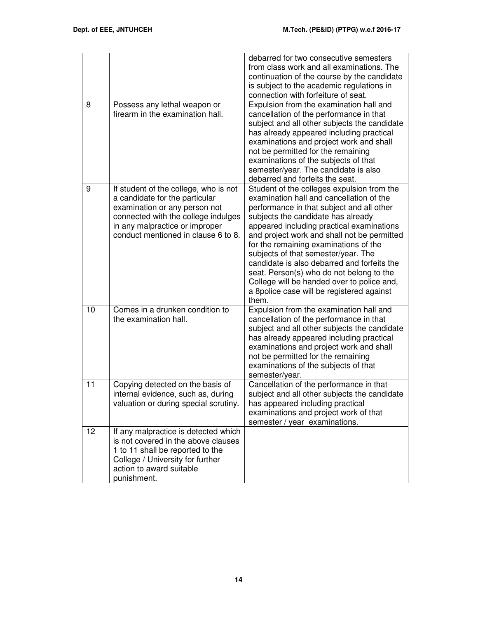|    |                                                                                                                                                                                                                          | debarred for two consecutive semesters<br>from class work and all examinations. The<br>continuation of the course by the candidate<br>is subject to the academic regulations in<br>connection with forfeiture of seat.                                                                                                                                                                                                                                                                                                                               |
|----|--------------------------------------------------------------------------------------------------------------------------------------------------------------------------------------------------------------------------|------------------------------------------------------------------------------------------------------------------------------------------------------------------------------------------------------------------------------------------------------------------------------------------------------------------------------------------------------------------------------------------------------------------------------------------------------------------------------------------------------------------------------------------------------|
| 8  | Possess any lethal weapon or<br>firearm in the examination hall.                                                                                                                                                         | Expulsion from the examination hall and<br>cancellation of the performance in that<br>subject and all other subjects the candidate<br>has already appeared including practical<br>examinations and project work and shall<br>not be permitted for the remaining<br>examinations of the subjects of that<br>semester/year. The candidate is also<br>debarred and forfeits the seat.                                                                                                                                                                   |
| 9  | If student of the college, who is not<br>a candidate for the particular<br>examination or any person not<br>connected with the college indulges<br>in any malpractice or improper<br>conduct mentioned in clause 6 to 8. | Student of the colleges expulsion from the<br>examination hall and cancellation of the<br>performance in that subject and all other<br>subjects the candidate has already<br>appeared including practical examinations<br>and project work and shall not be permitted<br>for the remaining examinations of the<br>subjects of that semester/year. The<br>candidate is also debarred and forfeits the<br>seat. Person(s) who do not belong to the<br>College will be handed over to police and,<br>a 8police case will be registered against<br>them. |
| 10 | Comes in a drunken condition to<br>the examination hall.                                                                                                                                                                 | Expulsion from the examination hall and<br>cancellation of the performance in that<br>subject and all other subjects the candidate<br>has already appeared including practical<br>examinations and project work and shall<br>not be permitted for the remaining<br>examinations of the subjects of that<br>semester/year.                                                                                                                                                                                                                            |
| 11 | Copying detected on the basis of<br>internal evidence, such as, during<br>valuation or during special scrutiny.                                                                                                          | Cancellation of the performance in that<br>subject and all other subjects the candidate<br>has appeared including practical<br>examinations and project work of that<br>semester / year examinations.                                                                                                                                                                                                                                                                                                                                                |
| 12 | If any malpractice is detected which<br>is not covered in the above clauses<br>1 to 11 shall be reported to the<br>College / University for further<br>action to award suitable<br>punishment.                           |                                                                                                                                                                                                                                                                                                                                                                                                                                                                                                                                                      |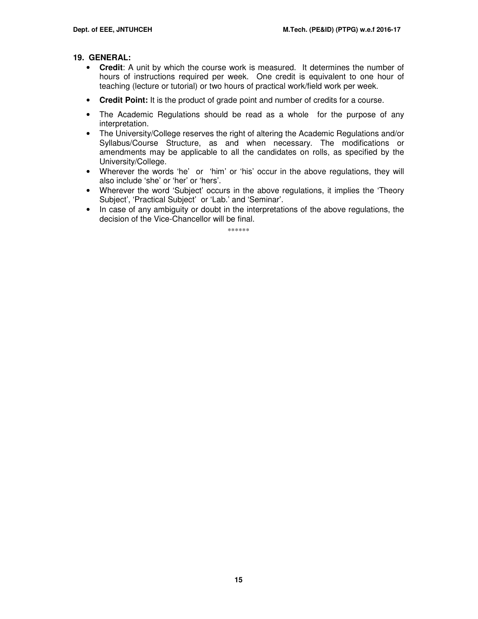#### **19. GENERAL:**

- **Credit**: A unit by which the course work is measured. It determines the number of hours of instructions required per week. One credit is equivalent to one hour of teaching (lecture or tutorial) or two hours of practical work/field work per week.
- **Credit Point:** It is the product of grade point and number of credits for a course.
- The Academic Regulations should be read as a whole for the purpose of any interpretation.
- The University/College reserves the right of altering the Academic Regulations and/or Syllabus/Course Structure, as and when necessary. The modifications or amendments may be applicable to all the candidates on rolls, as specified by the University/College.
- Wherever the words 'he' or 'him' or 'his' occur in the above regulations, they will also include 'she' or 'her' or 'hers'.
- Wherever the word 'Subject' occurs in the above regulations, it implies the 'Theory Subject', 'Practical Subject' or 'Lab.' and 'Seminar'.
- In case of any ambiguity or doubt in the interpretations of the above regulations, the decision of the Vice-Chancellor will be final.

\*\*\*\*\*\*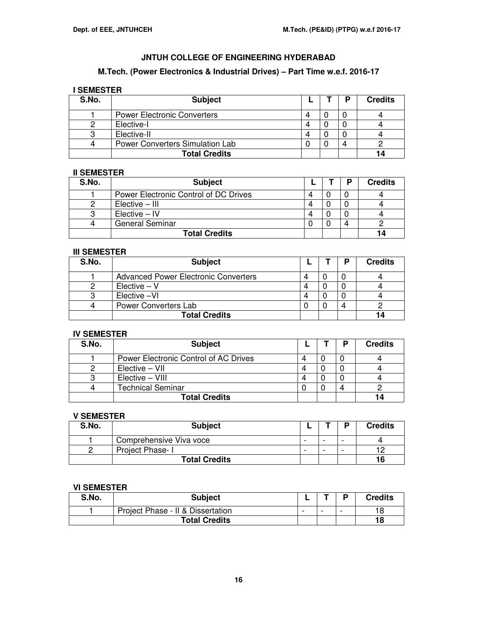# **M.Tech. (Power Electronics & Industrial Drives) – Part Time w.e.f. 2016-17**

# **I SEMESTER**

| S.No. | <b>Subject</b>                     |  | D | <b>Credits</b> |
|-------|------------------------------------|--|---|----------------|
|       | <b>Power Electronic Converters</b> |  |   |                |
|       | Elective-I                         |  |   |                |
|       | Elective-II                        |  |   |                |
|       | Power Converters Simulation Lab    |  |   |                |
|       | <b>Total Credits</b>               |  |   |                |

#### **II SEMESTER**

| S.No. | <b>Subject</b>                        |   | п | <b>Credits</b> |
|-------|---------------------------------------|---|---|----------------|
|       | Power Electronic Control of DC Drives | 4 |   |                |
|       | Elective - III                        | 4 |   |                |
|       | $Elective - IV$                       | 4 |   |                |
|       | <b>General Seminar</b>                |   | Δ |                |
|       | <b>Total Credits</b>                  |   |   | 14             |

# **III SEMESTER**

| S.No. | <b>Subject</b>                       |   | D | <b>Credits</b> |
|-------|--------------------------------------|---|---|----------------|
|       | Advanced Power Electronic Converters | 4 |   |                |
|       | $Electric - V$                       | 4 |   |                |
|       | Elective -VI                         |   |   |                |
|       | Power Converters Lab                 |   |   |                |
|       | <b>Total Credits</b>                 |   |   |                |

#### **IV SEMESTER**

| S.No. | <b>Subject</b>                        |   | D          | <b>Credits</b> |
|-------|---------------------------------------|---|------------|----------------|
|       | Power Electronic Control of AC Drives | Δ |            |                |
|       | Elective - VII                        |   |            |                |
|       | Elective - VIII                       |   |            |                |
|       | <b>Technical Seminar</b>              |   | $\sqrt{ }$ |                |
|       | <b>Total Credits</b>                  |   |            |                |

#### **V SEMESTER**

| S.No. | <b>Subject</b>          |                          |   |   | <b>Credits</b> |
|-------|-------------------------|--------------------------|---|---|----------------|
|       | Comprehensive Viva voce | -                        | - | - |                |
|       | Project Phase- I        | $\overline{\phantom{0}}$ | - | - | $1^{\circ}$    |
|       | <b>Total Credits</b>    |                          |   |   | 16             |

# **VI SEMESTER**

| S.No. | <b>Subject</b>                    |   |   | D                        | <b>Credits</b> |
|-------|-----------------------------------|---|---|--------------------------|----------------|
|       | Project Phase - II & Dissertation | - | - | $\overline{\phantom{0}}$ | 18             |
|       | <b>Total Credits</b>              |   |   |                          | 18             |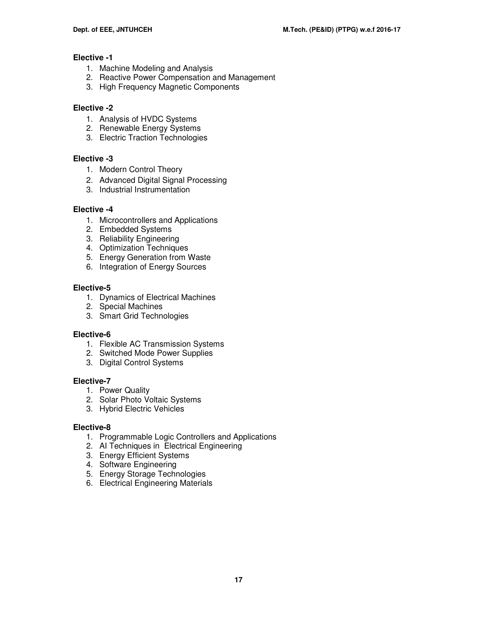# **Elective -1**

- 1. Machine Modeling and Analysis
- 2. Reactive Power Compensation and Management
- 3. High Frequency Magnetic Components

# **Elective -2**

- 1. Analysis of HVDC Systems
- 2. Renewable Energy Systems
- 3. Electric Traction Technologies

# **Elective -3**

- 1. Modern Control Theory
- 2. Advanced Digital Signal Processing
- 3. Industrial Instrumentation

# **Elective -4**

- 1. Microcontrollers and Applications
- 2. Embedded Systems
- 3. Reliability Engineering
- 4. Optimization Techniques
- 5. Energy Generation from Waste
- 6. Integration of Energy Sources

# **Elective-5**

- 1. Dynamics of Electrical Machines
- 2. Special Machines
- 3. Smart Grid Technologies

# **Elective-6**

- 1. Flexible AC Transmission Systems
- 2. Switched Mode Power Supplies
- 3. Digital Control Systems

# **Elective-7**

- 1. Power Quality
- 2. Solar Photo Voltaic Systems
- 3. Hybrid Electric Vehicles

# **Elective-8**

- 1. Programmable Logic Controllers and Applications
- 2. AI Techniques in Electrical Engineering
- 3. Energy Efficient Systems
- 4. Software Engineering
- 5. Energy Storage Technologies
- 6. Electrical Engineering Materials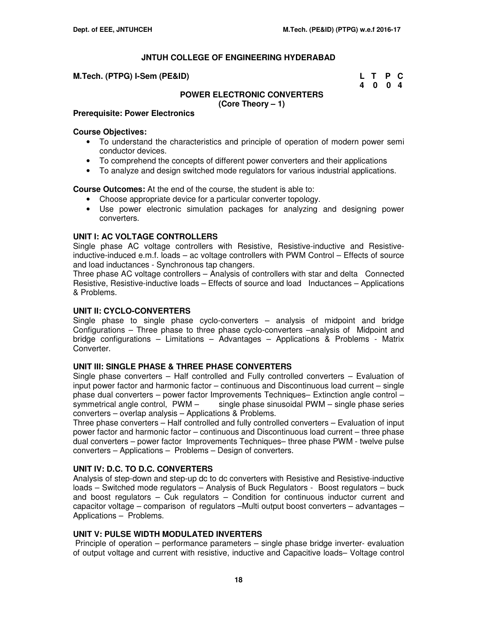| M.Tech. (PTPG) I-Sem (PE&ID) | L T P C |  |
|------------------------------|---------|--|
|                              | 4 0 0 4 |  |

#### **POWER ELECTRONIC CONVERTERS (Core Theory – 1)**

#### **Prerequisite: Power Electronics**

#### **Course Objectives:**

- To understand the characteristics and principle of operation of modern power semi conductor devices.
- To comprehend the concepts of different power converters and their applications
- To analyze and design switched mode regulators for various industrial applications.

**Course Outcomes:** At the end of the course, the student is able to:

- Choose appropriate device for a particular converter topology.
- Use power electronic simulation packages for analyzing and designing power converters.

#### **UNIT I: AC VOLTAGE CONTROLLERS**

Single phase AC voltage controllers with Resistive, Resistive-inductive and Resistiveinductive-induced e.m.f. loads – ac voltage controllers with PWM Control – Effects of source and load inductances - Synchronous tap changers.

Three phase AC voltage controllers – Analysis of controllers with star and delta Connected Resistive, Resistive-inductive loads – Effects of source and load Inductances – Applications & Problems.

#### **UNIT II: CYCLO-CONVERTERS**

Single phase to single phase cyclo-converters – analysis of midpoint and bridge Configurations – Three phase to three phase cyclo-converters –analysis of Midpoint and bridge configurations – Limitations – Advantages – Applications & Problems - Matrix Converter.

#### **UNIT III: SINGLE PHASE & THREE PHASE CONVERTERS**

Single phase converters – Half controlled and Fully controlled converters – Evaluation of input power factor and harmonic factor – continuous and Discontinuous load current – single phase dual converters – power factor Improvements Techniques– Extinction angle control – symmetrical angle control, PWM – single phase sinusoidal PWM – single phase series single phase sinusoidal PWM – single phase series converters – overlap analysis – Applications & Problems.

Three phase converters – Half controlled and fully controlled converters – Evaluation of input power factor and harmonic factor – continuous and Discontinuous load current – three phase dual converters – power factor Improvements Techniques– three phase PWM - twelve pulse converters – Applications – Problems – Design of converters.

# **UNIT IV: D.C. TO D.C. CONVERTERS**

Analysis of step-down and step-up dc to dc converters with Resistive and Resistive-inductive loads – Switched mode regulators – Analysis of Buck Regulators - Boost regulators – buck and boost regulators – Cuk regulators – Condition for continuous inductor current and capacitor voltage – comparison of regulators –Multi output boost converters – advantages – Applications – Problems.

# **UNIT V: PULSE WIDTH MODULATED INVERTERS**

Principle of operation – performance parameters – single phase bridge inverter- evaluation of output voltage and current with resistive, inductive and Capacitive loads– Voltage control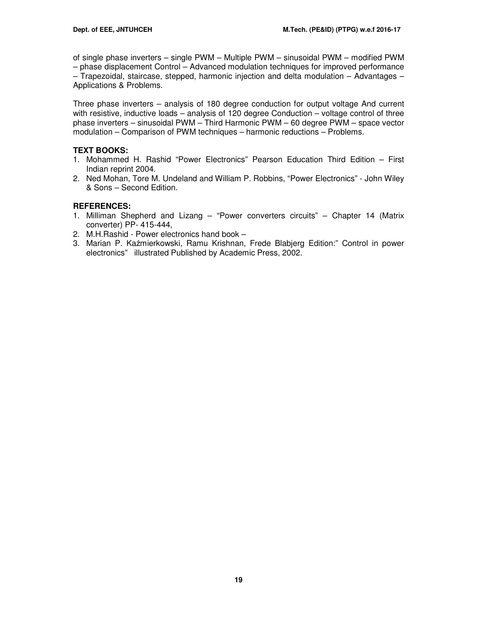of single phase inverters – single PWM – Multiple PWM – sinusoidal PWM – modified PWM – phase displacement Control – Advanced modulation techniques for improved performance – Trapezoidal, staircase, stepped, harmonic injection and delta modulation – Advantages – Applications & Problems.

Three phase inverters – analysis of 180 degree conduction for output voltage And current with resistive, inductive loads – analysis of 120 degree Conduction – voltage control of three phase inverters – sinusoidal PWM – Third Harmonic PWM – 60 degree PWM – space vector modulation – Comparison of PWM techniques – harmonic reductions – Problems.

# **TEXT BOOKS:**

- 1. Mohammed H. Rashid "Power Electronics" Pearson Education Third Edition First Indian reprint 2004.
- 2. Ned Mohan, Tore M. Undeland and William P. Robbins, "Power Electronics" John Wiley & Sons – Second Edition.

# **REFERENCES:**

- 1. Milliman Shepherd and Lizang "Power converters circuits" Chapter 14 (Matrix converter) PP- 415-444,
- 2. M.H.Rashid Power electronics hand book –
- 3. Marian P. Kaźmierkowski, Ramu Krishnan, Frede Blabjerg Edition:" Control in power electronics" illustrated Published by Academic Press, 2002.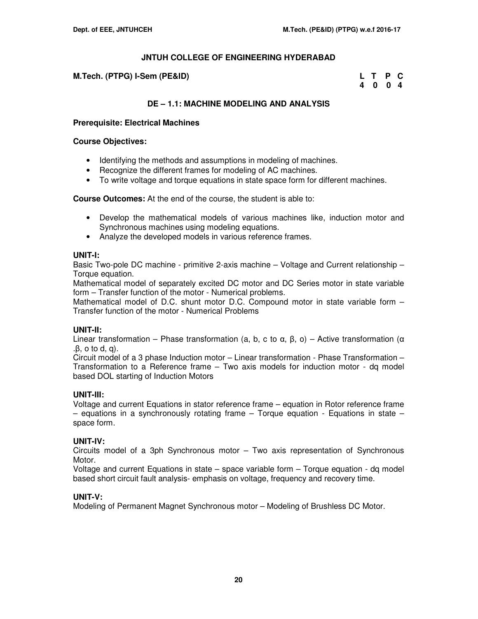| M.Tech. (PTPG) I-Sem (PE&ID) | L T P C |  |
|------------------------------|---------|--|
|                              | 4004    |  |

# **DE – 1.1: MACHINE MODELING AND ANALYSIS**

#### **Prerequisite: Electrical Machines**

#### **Course Objectives:**

- Identifying the methods and assumptions in modeling of machines.
- Recognize the different frames for modeling of AC machines.
- To write voltage and torque equations in state space form for different machines.

**Course Outcomes:** At the end of the course, the student is able to:

- Develop the mathematical models of various machines like, induction motor and Synchronous machines using modeling equations.
- Analyze the developed models in various reference frames.

# **UNIT-I:**

Basic Two-pole DC machine - primitive 2-axis machine – Voltage and Current relationship – Torque equation.

Mathematical model of separately excited DC motor and DC Series motor in state variable form – Transfer function of the motor - Numerical problems.

Mathematical model of D.C. shunt motor D.C. Compound motor in state variable form – Transfer function of the motor - Numerical Problems

# **UNIT-II:**

Linear transformation – Phase transformation (a, b, c to α, β, o) – Active transformation (α .β, o to d, q).

Circuit model of a 3 phase Induction motor – Linear transformation - Phase Transformation – Transformation to a Reference frame – Two axis models for induction motor - dq model based DOL starting of Induction Motors

# **UNIT-III:**

Voltage and current Equations in stator reference frame – equation in Rotor reference frame  $-$  equations in a synchronously rotating frame  $-$  Torque equation  $-$  Equations in state  $$ space form.

# **UNIT-IV:**

Circuits model of a 3ph Synchronous motor – Two axis representation of Synchronous Motor.

Voltage and current Equations in state – space variable form – Torque equation - dq model based short circuit fault analysis- emphasis on voltage, frequency and recovery time.

# **UNIT-V:**

Modeling of Permanent Magnet Synchronous motor – Modeling of Brushless DC Motor.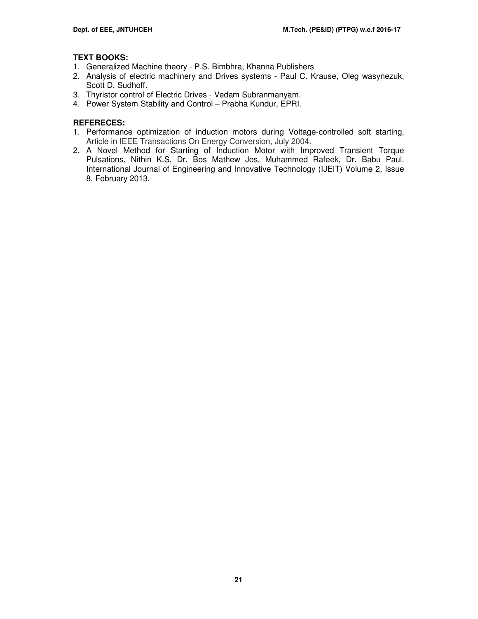# **TEXT BOOKS:**

- 1. Generalized Machine theory P.S. Bimbhra, Khanna Publishers
- 2. Analysis of electric machinery and Drives systems Paul C. Krause, Oleg wasynezuk, Scott D. Sudhoff.
- 3. Thyristor control of Electric Drives Vedam Subranmanyam.
- 4. Power System Stability and Control Prabha Kundur, EPRI.

# **REFERECES:**

- 1. Performance optimization of induction motors during Voltage-controlled soft starting, Article in IEEE Transactions On Energy Conversion, July 2004.
- 2. A Novel Method for Starting of Induction Motor with Improved Transient Torque Pulsations, Nithin K.S, Dr. Bos Mathew Jos, Muhammed Rafeek, Dr. Babu Paul. International Journal of Engineering and Innovative Technology (IJEIT) Volume 2, Issue 8, February 2013.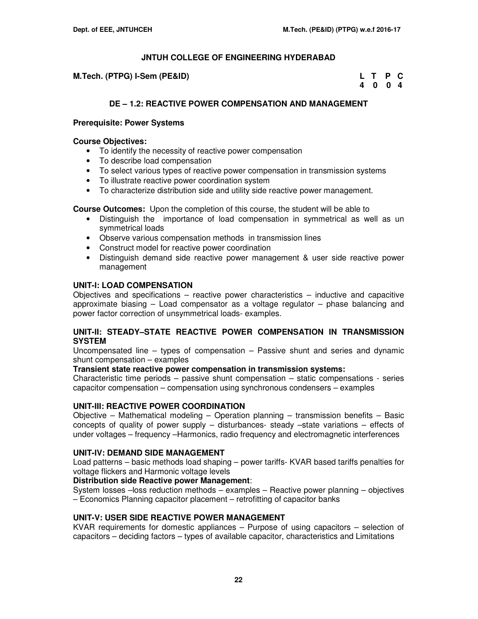**M.Tech. (PTPG) I-Sem (PE&ID)** 

| M.Tech. (PTPG) I-Sem (PE&ID) | L T P C |         |  |
|------------------------------|---------|---------|--|
|                              |         | 4 0 0 4 |  |

# **DE – 1.2: REACTIVE POWER COMPENSATION AND MANAGEMENT**

#### **Prerequisite: Power Systems**

#### **Course Objectives:**

- To identify the necessity of reactive power compensation
- To describe load compensation
- To select various types of reactive power compensation in transmission systems
- To illustrate reactive power coordination system
- To characterize distribution side and utility side reactive power management.

**Course Outcomes:** Upon the completion of this course, the student will be able to

- Distinguish the importance of load compensation in symmetrical as well as un symmetrical loads
- Observe various compensation methods in transmission lines
- Construct model for reactive power coordination
- Distinguish demand side reactive power management & user side reactive power management

#### **UNIT-I: LOAD COMPENSATION**

Objectives and specifications – reactive power characteristics – inductive and capacitive approximate biasing – Load compensator as a voltage regulator – phase balancing and power factor correction of unsymmetrical loads- examples.

#### **UNIT-II: STEADY–STATE REACTIVE POWER COMPENSATION IN TRANSMISSION SYSTEM**

Uncompensated line – types of compensation – Passive shunt and series and dynamic shunt compensation – examples

#### **Transient state reactive power compensation in transmission systems:**

Characteristic time periods – passive shunt compensation – static compensations - series capacitor compensation – compensation using synchronous condensers – examples

# **UNIT-III: REACTIVE POWER COORDINATION**

Objective – Mathematical modeling – Operation planning – transmission benefits – Basic concepts of quality of power supply – disturbances- steady –state variations – effects of under voltages – frequency –Harmonics, radio frequency and electromagnetic interferences

#### **UNIT-IV: DEMAND SIDE MANAGEMENT**

Load patterns – basic methods load shaping – power tariffs- KVAR based tariffs penalties for voltage flickers and Harmonic voltage levels

#### **Distribution side Reactive power Management**:

System losses –loss reduction methods – examples – Reactive power planning – objectives – Economics Planning capacitor placement – retrofitting of capacitor banks

# **UNIT-V: USER SIDE REACTIVE POWER MANAGEMENT**

KVAR requirements for domestic appliances – Purpose of using capacitors – selection of capacitors – deciding factors – types of available capacitor, characteristics and Limitations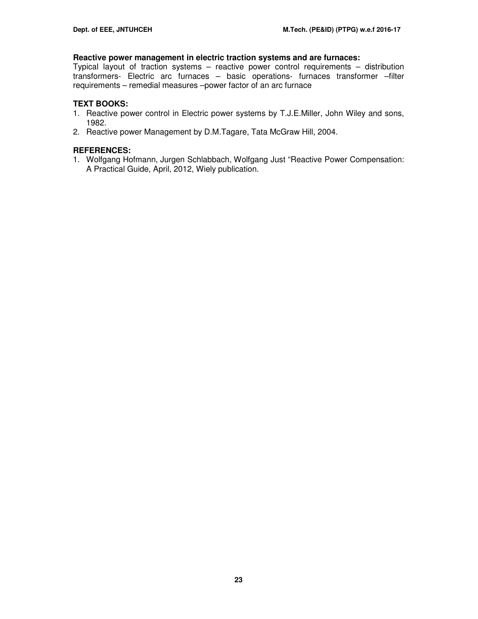#### **Reactive power management in electric traction systems and are furnaces:**

Typical layout of traction systems – reactive power control requirements – distribution transformers- Electric arc furnaces – basic operations- furnaces transformer –filter requirements – remedial measures –power factor of an arc furnace

#### **TEXT BOOKS:**

- 1. Reactive power control in Electric power systems by T.J.E.Miller, John Wiley and sons, 1982.
- 2. Reactive power Management by D.M.Tagare, Tata McGraw Hill, 2004.

# **REFERENCES:**

1. Wolfgang Hofmann, Jurgen Schlabbach, Wolfgang Just "Reactive Power Compensation: A Practical Guide, April, 2012, Wiely publication.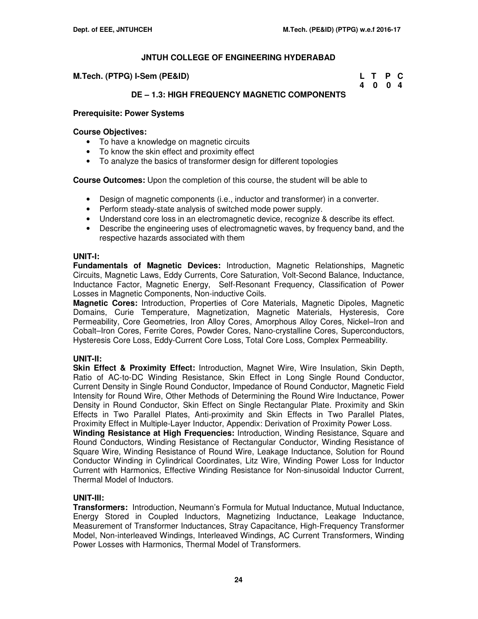| M.Tech. (PTPG) I-Sem (PE&ID) | L T P C |  |
|------------------------------|---------|--|
|                              | 4 0 0 4 |  |

# **DE – 1.3: HIGH FREQUENCY MAGNETIC COMPONENTS**

#### **Prerequisite: Power Systems**

#### **Course Objectives:**

- To have a knowledge on magnetic circuits
- To know the skin effect and proximity effect
- To analyze the basics of transformer design for different topologies

**Course Outcomes:** Upon the completion of this course, the student will be able to

- Design of magnetic components (i.e., inductor and transformer) in a converter.
- Perform steady-state analysis of switched mode power supply.
- Understand core loss in an electromagnetic device, recognize & describe its effect.
- Describe the engineering uses of electromagnetic waves, by frequency band, and the respective hazards associated with them

#### **UNIT-I:**

**Fundamentals of Magnetic Devices:** Introduction, Magnetic Relationships, Magnetic Circuits, Magnetic Laws, Eddy Currents, Core Saturation, Volt-Second Balance, Inductance, Inductance Factor, Magnetic Energy, Self-Resonant Frequency, Classification of Power Losses in Magnetic Components, Non-inductive Coils.

**Magnetic Cores:** Introduction, Properties of Core Materials, Magnetic Dipoles, Magnetic Domains, Curie Temperature, Magnetization, Magnetic Materials, Hysteresis, Core Permeability, Core Geometries, Iron Alloy Cores, Amorphous Alloy Cores, Nickel–Iron and Cobalt–Iron Cores, Ferrite Cores, Powder Cores, Nano-crystalline Cores, Superconductors, Hysteresis Core Loss, Eddy-Current Core Loss, Total Core Loss, Complex Permeability.

# **UNIT-II:**

**Skin Effect & Proximity Effect:** Introduction, Magnet Wire, Wire Insulation, Skin Depth, Ratio of AC-to-DC Winding Resistance, Skin Effect in Long Single Round Conductor, Current Density in Single Round Conductor, Impedance of Round Conductor, Magnetic Field Intensity for Round Wire, Other Methods of Determining the Round Wire Inductance, Power Density in Round Conductor, Skin Effect on Single Rectangular Plate. Proximity and Skin Effects in Two Parallel Plates, Anti-proximity and Skin Effects in Two Parallel Plates, Proximity Effect in Multiple-Layer Inductor, Appendix: Derivation of Proximity Power Loss.

**Winding Resistance at High Frequencies:** Introduction, Winding Resistance, Square and Round Conductors, Winding Resistance of Rectangular Conductor, Winding Resistance of Square Wire, Winding Resistance of Round Wire, Leakage Inductance, Solution for Round Conductor Winding in Cylindrical Coordinates, Litz Wire, Winding Power Loss for Inductor Current with Harmonics, Effective Winding Resistance for Non-sinusoidal Inductor Current, Thermal Model of Inductors.

# **UNIT-III:**

**Transformers:** Introduction, Neumann's Formula for Mutual Inductance, Mutual Inductance, Energy Stored in Coupled Inductors, Magnetizing Inductance, Leakage Inductance, Measurement of Transformer Inductances, Stray Capacitance, High-Frequency Transformer Model, Non-interleaved Windings, Interleaved Windings, AC Current Transformers, Winding Power Losses with Harmonics, Thermal Model of Transformers.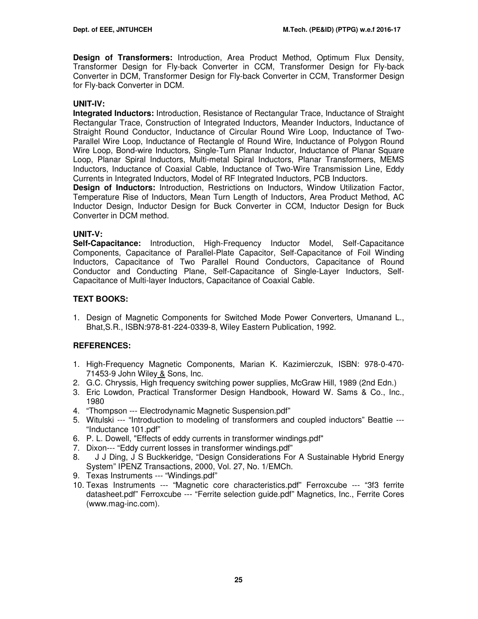**Design of Transformers:** Introduction, Area Product Method, Optimum Flux Density, Transformer Design for Fly-back Converter in CCM, Transformer Design for Fly-back Converter in DCM, Transformer Design for Fly-back Converter in CCM, Transformer Design for Fly-back Converter in DCM.

# **UNIT-IV:**

**Integrated Inductors:** Introduction, Resistance of Rectangular Trace, Inductance of Straight Rectangular Trace, Construction of Integrated Inductors, Meander Inductors, Inductance of Straight Round Conductor, Inductance of Circular Round Wire Loop, Inductance of Two-Parallel Wire Loop, Inductance of Rectangle of Round Wire, Inductance of Polygon Round Wire Loop, Bond-wire Inductors, Single-Turn Planar Inductor, Inductance of Planar Square Loop, Planar Spiral Inductors, Multi-metal Spiral Inductors, Planar Transformers, MEMS Inductors, Inductance of Coaxial Cable, Inductance of Two-Wire Transmission Line, Eddy Currents in Integrated Inductors, Model of RF Integrated Inductors, PCB Inductors.

**Design of Inductors:** Introduction, Restrictions on Inductors, Window Utilization Factor, Temperature Rise of Inductors, Mean Turn Length of Inductors, Area Product Method, AC Inductor Design, Inductor Design for Buck Converter in CCM, Inductor Design for Buck Converter in DCM method.

# **UNIT-V:**

**Self-Capacitance:** Introduction, High-Frequency Inductor Model, Self-Capacitance Components, Capacitance of Parallel-Plate Capacitor, Self-Capacitance of Foil Winding Inductors, Capacitance of Two Parallel Round Conductors, Capacitance of Round Conductor and Conducting Plane, Self-Capacitance of Single-Layer Inductors, Self-Capacitance of Multi-layer Inductors, Capacitance of Coaxial Cable.

# **TEXT BOOKS:**

1. Design of Magnetic Components for Switched Mode Power Converters, Umanand L., Bhat,S.R., ISBN:978-81-224-0339-8, Wiley Eastern Publication, 1992.

# **REFERENCES:**

- 1. High-Frequency Magnetic Components, Marian K. Kazimierczuk, ISBN: 978-0-470- 71453-9 John Wiley & Sons, Inc.
- 2. G.C. Chryssis, High frequency switching power supplies, McGraw Hill, 1989 (2nd Edn.)
- 3. Eric Lowdon, Practical Transformer Design Handbook, Howard W. Sams & Co., Inc., 1980
- 4. "Thompson --- Electrodynamic Magnetic Suspension.pdf"
- 5. Witulski --- "Introduction to modeling of transformers and coupled inductors" Beattie --- "Inductance 101.pdf"
- 6. P. L. Dowell, "Effects of eddy currents in transformer windings.pdf"
- 7. Dixon--- "Eddy current losses in transformer windings.pdf"
- 8. J J Ding, J S Buckkeridge, "Design Considerations For A Sustainable Hybrid Energy System" IPENZ Transactions, 2000, Vol. 27, No. 1/EMCh.
- 9. Texas Instruments --- "Windings.pdf"
- 10. Texas Instruments --- "Magnetic core characteristics.pdf" Ferroxcube --- "3f3 ferrite datasheet.pdf" Ferroxcube --- "Ferrite selection guide.pdf" Magnetics, Inc., Ferrite Cores (www.mag-inc.com).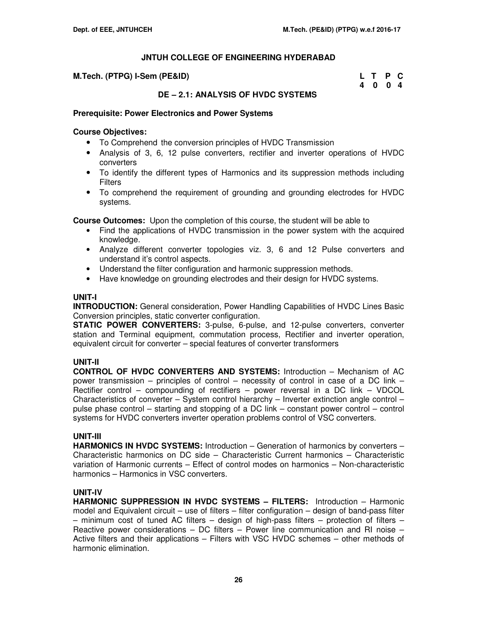| M.Tech. (PTPG) I-Sem (PE&ID) | L T P C |  |
|------------------------------|---------|--|
|                              | 4004    |  |

# **DE – 2.1: ANALYSIS OF HVDC SYSTEMS**

#### **Prerequisite: Power Electronics and Power Systems**

#### **Course Objectives:**

- To Comprehend the conversion principles of HVDC Transmission
- Analysis of 3, 6, 12 pulse converters, rectifier and inverter operations of HVDC converters
- To identify the different types of Harmonics and its suppression methods including Filters
- To comprehend the requirement of grounding and grounding electrodes for HVDC systems.

**Course Outcomes:** Upon the completion of this course, the student will be able to

- Find the applications of HVDC transmission in the power system with the acquired knowledge.
- Analyze different converter topologies viz. 3, 6 and 12 Pulse converters and understand it's control aspects.
- Understand the filter configuration and harmonic suppression methods.
- Have knowledge on grounding electrodes and their design for HVDC systems.

#### **UNIT-I**

**INTRODUCTION:** General consideration, Power Handling Capabilities of HVDC Lines Basic Conversion principles, static converter configuration.

**STATIC POWER CONVERTERS:** 3-pulse, 6-pulse, and 12-pulse converters, converter station and Terminal equipment, commutation process, Rectifier and inverter operation, equivalent circuit for converter – special features of converter transformers

# **UNIT-II**

**CONTROL OF HVDC CONVERTERS AND SYSTEMS:** Introduction – Mechanism of AC power transmission – principles of control – necessity of control in case of a DC link – Rectifier control – compounding of rectifiers – power reversal in a DC link – VDCOL Characteristics of converter – System control hierarchy – Inverter extinction angle control – pulse phase control – starting and stopping of a DC link – constant power control – control systems for HVDC converters inverter operation problems control of VSC converters.

# **UNIT-III**

**HARMONICS IN HVDC SYSTEMS:** Introduction – Generation of harmonics by converters – Characteristic harmonics on DC side – Characteristic Current harmonics – Characteristic variation of Harmonic currents – Effect of control modes on harmonics – Non-characteristic harmonics – Harmonics in VSC converters.

# **UNIT-IV**

**HARMONIC SUPPRESSION IN HVDC SYSTEMS – FILTERS:** Introduction – Harmonic model and Equivalent circuit – use of filters – filter configuration – design of band-pass filter – minimum cost of tuned AC filters – design of high-pass filters – protection of filters – Reactive power considerations – DC filters – Power line communication and RI noise – Active filters and their applications – Filters with VSC HVDC schemes – other methods of harmonic elimination.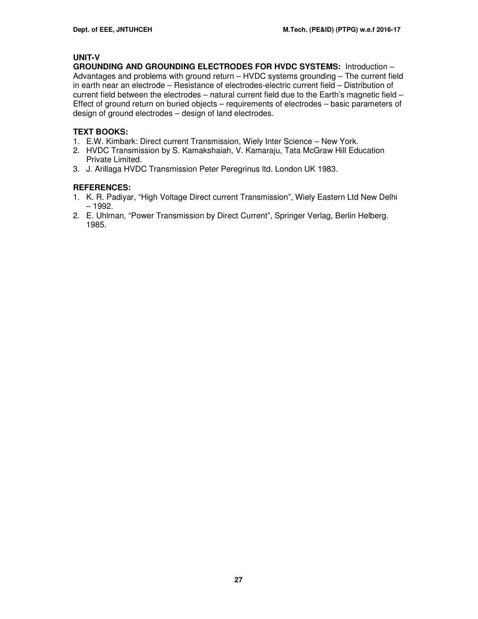# **UNIT-V**

**GROUNDING AND GROUNDING ELECTRODES FOR HVDC SYSTEMS:** Introduction – Advantages and problems with ground return – HVDC systems grounding – The current field in earth near an electrode – Resistance of electrodes-electric current field – Distribution of current field between the electrodes – natural current field due to the Earth's magnetic field – Effect of ground return on buried objects – requirements of electrodes – basic parameters of design of ground electrodes – design of land electrodes.

# **TEXT BOOKS:**

- 1. E.W. Kimbark: Direct current Transmission, Wiely Inter Science New York.
- 2. HVDC Transmission by S. Kamakshaiah, V. Kamaraju, Tata McGraw Hill Education Private Limited.
- 3. J. Arillaga HVDC Transmission Peter Peregrinus ltd. London UK 1983.

# **REFERENCES:**

- 1. K. R. Padiyar, "High Voltage Direct current Transmission", Wiely Eastern Ltd New Delhi – 1992.
- 2. E. Uhlman, "Power Transmission by Direct Current", Springer Verlag, Berlin Helberg. 1985.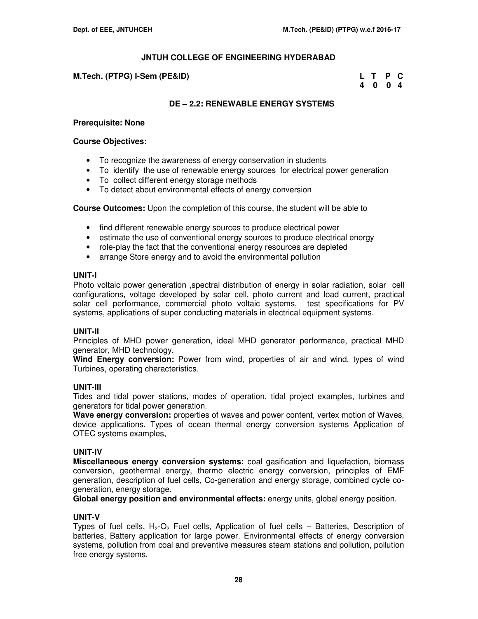#### **M.Tech. (PTPG) I-Sem (PE&ID)**

| M.Tech. (PTPG) I-Sem (PE&ID) | L T P C |  |
|------------------------------|---------|--|
|                              | 4004    |  |

# **DE – 2.2: RENEWABLE ENERGY SYSTEMS**

#### **Prerequisite: None**

#### **Course Objectives:**

- To recognize the awareness of energy conservation in students
- To identify the use of renewable energy sources for electrical power generation
- To collect different energy storage methods
- To detect about environmental effects of energy conversion

**Course Outcomes:** Upon the completion of this course, the student will be able to

- find different renewable energy sources to produce electrical power
- estimate the use of conventional energy sources to produce electrical energy
- role-play the fact that the conventional energy resources are depleted
- arrange Store energy and to avoid the environmental pollution

#### **UNIT-I**

Photo voltaic power generation ,spectral distribution of energy in solar radiation, solar cell configurations, voltage developed by solar cell, photo current and load current, practical solar cell performance, commercial photo voltaic systems, test specifications for PV systems, applications of super conducting materials in electrical equipment systems.

# **UNIT-II**

Principles of MHD power generation, ideal MHD generator performance, practical MHD generator, MHD technology.

**Wind Energy conversion:** Power from wind, properties of air and wind, types of wind Turbines, operating characteristics.

# **UNIT-III**

Tides and tidal power stations, modes of operation, tidal project examples, turbines and generators for tidal power generation.

**Wave energy conversion:** properties of waves and power content, vertex motion of Waves, device applications. Types of ocean thermal energy conversion systems Application of OTEC systems examples,

# **UNIT-IV**

**Miscellaneous energy conversion systems:** coal gasification and liquefaction, biomass conversion, geothermal energy, thermo electric energy conversion, principles of EMF generation, description of fuel cells, Co-generation and energy storage, combined cycle cogeneration, energy storage.

**Global energy position and environmental effects:** energy units, global energy position.

# **UNIT-V**

Types of fuel cells,  $H_2-O_2$  Fuel cells, Application of fuel cells – Batteries, Description of batteries, Battery application for large power. Environmental effects of energy conversion systems, pollution from coal and preventive measures steam stations and pollution, pollution free energy systems.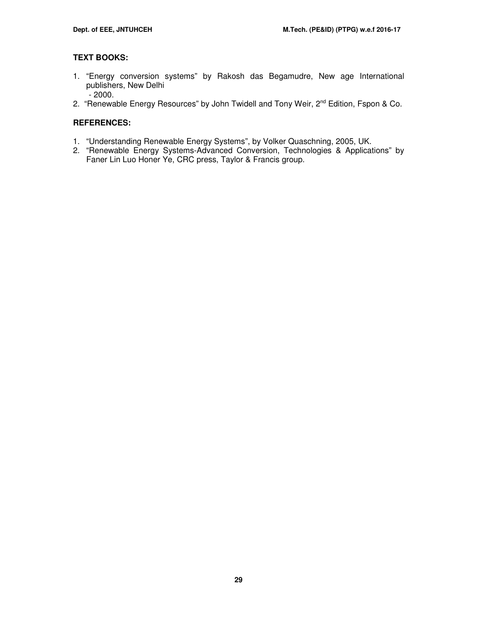# **TEXT BOOKS:**

- 1. "Energy conversion systems" by Rakosh das Begamudre, New age International publishers, New Delhi - 2000.
- 2. "Renewable Energy Resources" by John Twidell and Tony Weir, 2<sup>nd</sup> Edition, Fspon & Co.

# **REFERENCES:**

- 1. "Understanding Renewable Energy Systems", by Volker Quaschning, 2005, UK.
- 2. "Renewable Energy Systems-Advanced Conversion, Technologies & Applications" by Faner Lin Luo Honer Ye, CRC press, Taylor & Francis group.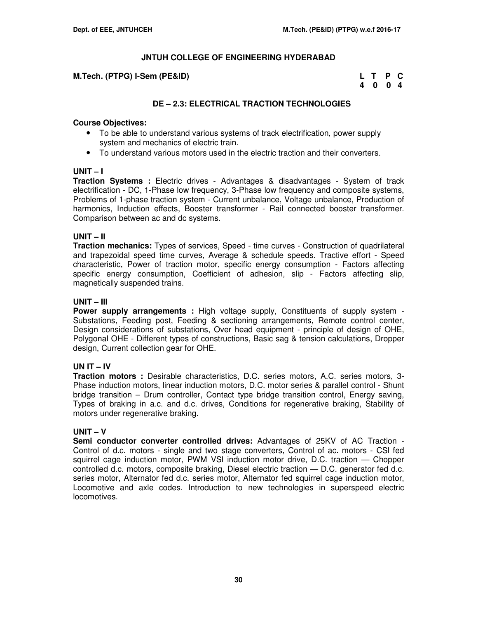#### **M.Tech. (PTPG) I-Sem (PE&ID)**

| M.Tech. (PTPG) I-Sem (PE&ID) | L T P C |  |
|------------------------------|---------|--|
|                              | 4004    |  |

# **DE – 2.3: ELECTRICAL TRACTION TECHNOLOGIES**

#### **Course Objectives:**

- To be able to understand various systems of track electrification, power supply system and mechanics of electric train.
- To understand various motors used in the electric traction and their converters.

#### **UNIT – I**

**Traction Systems :** Electric drives - Advantages & disadvantages - System of track electrification - DC, 1-Phase low frequency, 3-Phase low frequency and composite systems, Problems of 1-phase traction system - Current unbalance, Voltage unbalance, Production of harmonics, Induction effects, Booster transformer - Rail connected booster transformer. Comparison between ac and dc systems.

#### **UNIT – II**

**Traction mechanics:** Types of services, Speed - time curves - Construction of quadrilateral and trapezoidal speed time curves, Average & schedule speeds. Tractive effort - Speed characteristic, Power of traction motor, specific energy consumption - Factors affecting specific energy consumption, Coefficient of adhesion, slip - Factors affecting slip, magnetically suspended trains.

#### **UNIT – III**

**Power supply arrangements :** High voltage supply, Constituents of supply system - Substations, Feeding post, Feeding & sectioning arrangements, Remote control center, Design considerations of substations, Over head equipment - principle of design of OHE, Polygonal OHE - Different types of constructions, Basic sag & tension calculations, Dropper design, Current collection gear for OHE.

# **UN IT – IV**

**Traction motors :** Desirable characteristics, D.C. series motors, A.C. series motors, 3- Phase induction motors, linear induction motors, D.C. motor series & parallel control - Shunt bridge transition – Drum controller, Contact type bridge transition control, Energy saving, Types of braking in a.c. and d.c. drives, Conditions for regenerative braking, Stability of motors under regenerative braking.

# **UNIT – V**

**Semi conductor converter controlled drives:** Advantages of 25KV of AC Traction - Control of d.c. motors - single and two stage converters, Control of ac. motors - CSl fed squirrel cage induction motor, PWM VSl induction motor drive, D.C. traction — Chopper controlled d.c. motors, composite braking, Diesel electric traction — D.C. generator fed d.c. series motor. Alternator fed d.c. series motor, Alternator fed squirrel cage induction motor, Locomotive and axle codes. Introduction to new technologies in superspeed electric locomotives.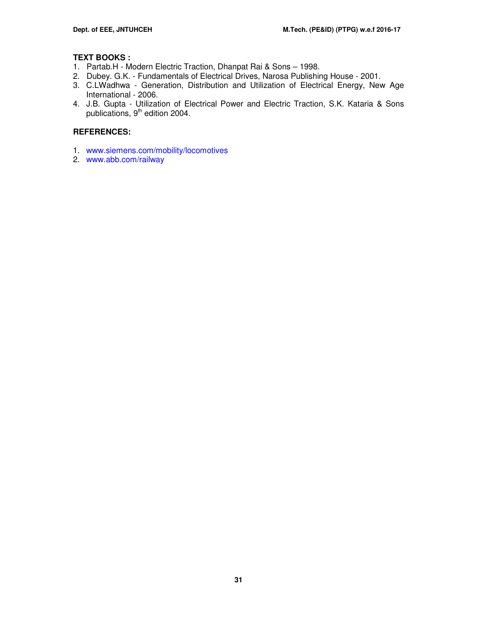# **TEXT BOOKS :**

- 1. Partab.H Modern Electric Traction, Dhanpat Rai & Sons 1998.
- 2. Dubey. G.K. Fundamentals of Electrical Drives, Narosa Publishing House 2001.
- 3. C.LWadhwa Generation, Distribution and Utilization of Electrical Energy, New Age International - 2006.
- 4. J.B. Gupta Utilization of Electrical Power and Electric Traction, S.K. Kataria & Sons publications, 9<sup>th</sup> edition 2004.

# **REFERENCES:**

- 1. www.siemens.com/mobility/locomotives
- 2. www.abb.com/railway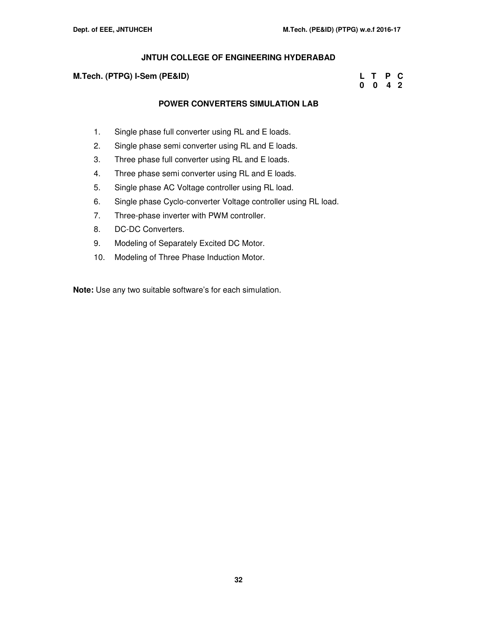#### **M.Tech. (PTPG) I-Sem (PE&ID) L T P C**

# **0 0 4 2**

# **POWER CONVERTERS SIMULATION LAB**

- 1. Single phase full converter using RL and E loads.
- 2. Single phase semi converter using RL and E loads.
- 3. Three phase full converter using RL and E loads.
- 4. Three phase semi converter using RL and E loads.
- 5. Single phase AC Voltage controller using RL load.
- 6. Single phase Cyclo-converter Voltage controller using RL load.
- 7. Three-phase inverter with PWM controller.
- 8. DC-DC Converters.
- 9. Modeling of Separately Excited DC Motor.
- 10. Modeling of Three Phase Induction Motor.

**Note:** Use any two suitable software's for each simulation.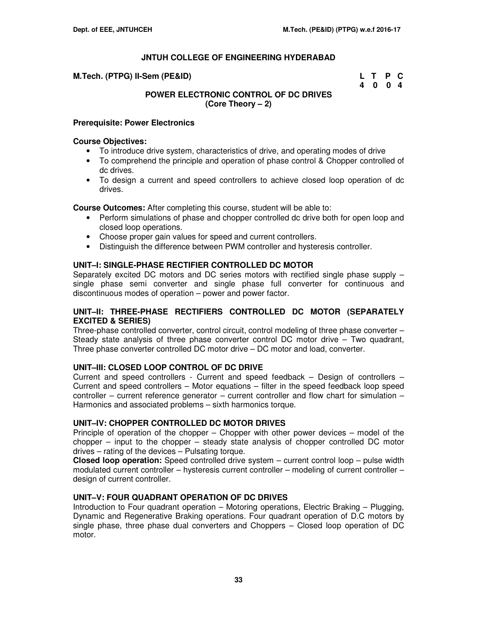| M.Tech. (PTPG) II-Sem (PE&ID) | L T P C |  |
|-------------------------------|---------|--|
|                               | 4 0 0 4 |  |

# **POWER ELECTRONIC CONTROL OF DC DRIVES (Core Theory – 2)**

#### **Prerequisite: Power Electronics**

#### **Course Objectives:**

- To introduce drive system, characteristics of drive, and operating modes of drive
- To comprehend the principle and operation of phase control & Chopper controlled of dc drives.
- To design a current and speed controllers to achieve closed loop operation of dc drives.

**Course Outcomes:** After completing this course, student will be able to:

- Perform simulations of phase and chopper controlled dc drive both for open loop and closed loop operations.
- Choose proper gain values for speed and current controllers.
- Distinguish the difference between PWM controller and hysteresis controller.

#### **UNIT–I: SINGLE-PHASE RECTIFIER CONTROLLED DC MOTOR**

Separately excited DC motors and DC series motors with rectified single phase supply – single phase semi converter and single phase full converter for continuous and discontinuous modes of operation – power and power factor.

#### **UNIT–II: THREE-PHASE RECTIFIERS CONTROLLED DC MOTOR (SEPARATELY EXCITED & SERIES)**

Three-phase controlled converter, control circuit, control modeling of three phase converter – Steady state analysis of three phase converter control DC motor drive – Two quadrant, Three phase converter controlled DC motor drive – DC motor and load, converter.

# **UNIT–III: CLOSED LOOP CONTROL OF DC DRIVE**

Current and speed controllers - Current and speed feedback – Design of controllers – Current and speed controllers – Motor equations – filter in the speed feedback loop speed controller – current reference generator – current controller and flow chart for simulation – Harmonics and associated problems – sixth harmonics torque.

#### **UNIT–IV: CHOPPER CONTROLLED DC MOTOR DRIVES**

Principle of operation of the chopper – Chopper with other power devices – model of the chopper – input to the chopper – steady state analysis of chopper controlled DC motor drives – rating of the devices – Pulsating torque.

**Closed loop operation:** Speed controlled drive system – current control loop – pulse width modulated current controller – hysteresis current controller – modeling of current controller – design of current controller.

#### **UNIT–V: FOUR QUADRANT OPERATION OF DC DRIVES**

Introduction to Four quadrant operation – Motoring operations, Electric Braking – Plugging, Dynamic and Regenerative Braking operations. Four quadrant operation of D.C motors by single phase, three phase dual converters and Choppers – Closed loop operation of DC motor.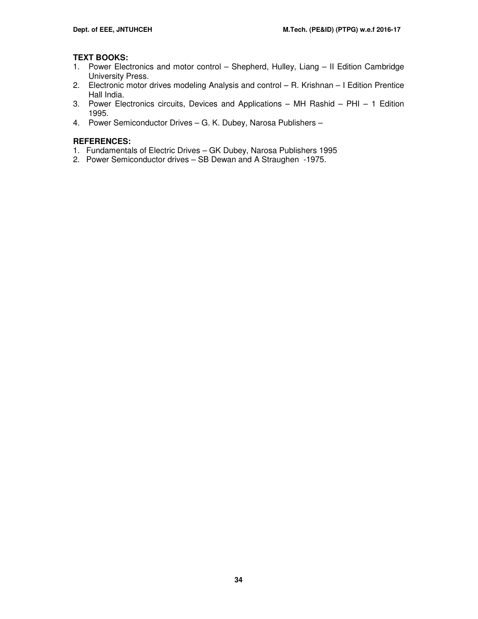# **TEXT BOOKS:**

- 1. Power Electronics and motor control Shepherd, Hulley, Liang II Edition Cambridge University Press.
- 2. Electronic motor drives modeling Analysis and control R. Krishnan I Edition Prentice Hall India.
- 3. Power Electronics circuits, Devices and Applications MH Rashid PHI 1 Edition 1995.
- 4. Power Semiconductor Drives G. K. Dubey, Narosa Publishers –

# **REFERENCES:**

- 1. Fundamentals of Electric Drives GK Dubey, Narosa Publishers 1995
- 2. Power Semiconductor drives SB Dewan and A Straughen -1975.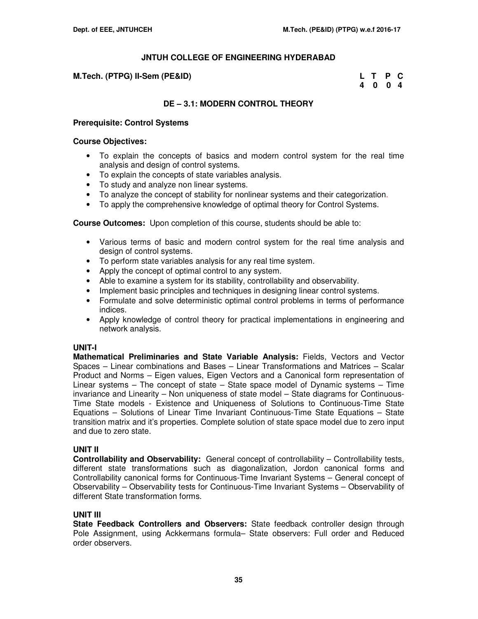#### **M.Tech. (PTPG) II-Sem (PE&ID)**

| M.Tech. (PTPG) II-Sem (PE&ID) | L T P C |  |
|-------------------------------|---------|--|
|                               | 4004    |  |

#### **DE – 3.1: MODERN CONTROL THEORY**

#### **Prerequisite: Control Systems**

#### **Course Objectives:**

- To explain the concepts of basics and modern control system for the real time analysis and design of control systems.
- To explain the concepts of state variables analysis.
- To study and analyze non linear systems.
- To analyze the concept of stability for nonlinear systems and their categorization.
- To apply the comprehensive knowledge of optimal theory for Control Systems.

**Course Outcomes:** Upon completion of this course, students should be able to:

- Various terms of basic and modern control system for the real time analysis and design of control systems.
- To perform state variables analysis for any real time system.
- Apply the concept of optimal control to any system.
- Able to examine a system for its stability, controllability and observability.
- Implement basic principles and techniques in designing linear control systems.
- Formulate and solve deterministic optimal control problems in terms of performance indices.
- Apply knowledge of control theory for practical implementations in engineering and network analysis.

#### **UNIT-I**

**Mathematical Preliminaries and State Variable Analysis:** Fields, Vectors and Vector Spaces – Linear combinations and Bases – Linear Transformations and Matrices – Scalar Product and Norms – Eigen values, Eigen Vectors and a Canonical form representation of Linear systems – The concept of state – State space model of Dynamic systems – Time invariance and Linearity – Non uniqueness of state model – State diagrams for Continuous-Time State models - Existence and Uniqueness of Solutions to Continuous-Time State Equations – Solutions of Linear Time Invariant Continuous-Time State Equations – State transition matrix and it's properties. Complete solution of state space model due to zero input and due to zero state.

#### **UNIT II**

**Controllability and Observability:** General concept of controllability – Controllability tests, different state transformations such as diagonalization, Jordon canonical forms and Controllability canonical forms for Continuous-Time Invariant Systems – General concept of Observability – Observability tests for Continuous-Time Invariant Systems – Observability of different State transformation forms.

#### **UNIT III**

**State Feedback Controllers and Observers:** State feedback controller design through Pole Assignment, using Ackkermans formula– State observers: Full order and Reduced order observers.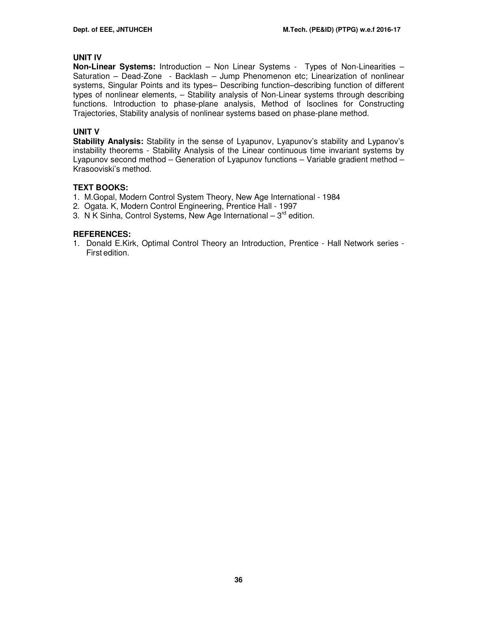## **UNIT IV**

**Non-Linear Systems:** Introduction – Non Linear Systems - Types of Non-Linearities – Saturation – Dead-Zone - Backlash – Jump Phenomenon etc; Linearization of nonlinear systems, Singular Points and its types– Describing function–describing function of different types of nonlinear elements, – Stability analysis of Non-Linear systems through describing functions. Introduction to phase-plane analysis, Method of Isoclines for Constructing Trajectories, Stability analysis of nonlinear systems based on phase-plane method.

## **UNIT V**

Stability Analysis: Stability in the sense of Lyapunov, Lyapunov's stability and Lypanov's instability theorems - Stability Analysis of the Linear continuous time invariant systems by Lyapunov second method – Generation of Lyapunov functions – Variable gradient method – Krasooviski's method.

# **TEXT BOOKS:**

- 1.M.Gopal, Modern Control System Theory, New Age International 1984
- 2. Ogata. K, Modern Control Engineering, Prentice Hall 1997
- 3. N K Sinha, Control Systems, New Age International  $-3^{rd}$  edition.

### **REFERENCES:**

1. Donald E.Kirk, Optimal Control Theory an Introduction, Prentice - Hall Network series - First edition.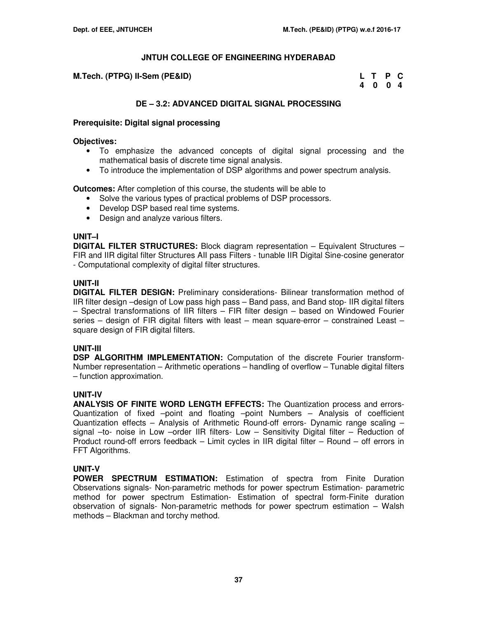| M.Tech. (PTPG) II-Sem (PE&ID) | L T P C |         |  |
|-------------------------------|---------|---------|--|
|                               |         | 4 0 0 4 |  |

# **DE – 3.2: ADVANCED DIGITAL SIGNAL PROCESSING**

### **Prerequisite: Digital signal processing**

#### **Objectives:**

- To emphasize the advanced concepts of digital signal processing and the mathematical basis of discrete time signal analysis.
- To introduce the implementation of DSP algorithms and power spectrum analysis.

**Outcomes:** After completion of this course, the students will be able to

- Solve the various types of practical problems of DSP processors.
- Develop DSP based real time systems.
- Design and analyze various filters.

### **UNIT–I**

**DIGITAL FILTER STRUCTURES:** Block diagram representation – Equivalent Structures – FIR and IIR digital filter Structures AII pass Filters - tunable IIR Digital Sine-cosine generator - Computational complexity of digital filter structures.

# **UNIT-II**

**DIGITAL FILTER DESIGN:** Preliminary considerations- Bilinear transformation method of IIR filter design –design of Low pass high pass – Band pass, and Band stop- IIR digital filters – Spectral transformations of IIR filters – FIR filter design – based on Windowed Fourier series – design of FIR digital filters with least – mean square-error – constrained Least – square design of FIR digital filters.

# **UNIT-III**

**DSP ALGORITHM IMPLEMENTATION:** Computation of the discrete Fourier transform-Number representation – Arithmetic operations – handling of overflow – Tunable digital filters – function approximation.

# **UNIT-IV**

**ANALYSIS OF FINITE WORD LENGTH EFFECTS:** The Quantization process and errors-Quantization of fixed –point and floating –point Numbers – Analysis of coefficient Quantization effects – Analysis of Arithmetic Round-off errors- Dynamic range scaling – signal –to- noise in Low –order IIR filters- Low – Sensitivity Digital filter – Reduction of Product round-off errors feedback – Limit cycles in IIR digital filter – Round – off errors in FFT Algorithms.

# **UNIT-V**

**POWER SPECTRUM ESTIMATION:** Estimation of spectra from Finite Duration Observations signals- Non-parametric methods for power spectrum Estimation- parametric method for power spectrum Estimation- Estimation of spectral form-Finite duration observation of signals- Non-parametric methods for power spectrum estimation – Walsh methods – Blackman and torchy method.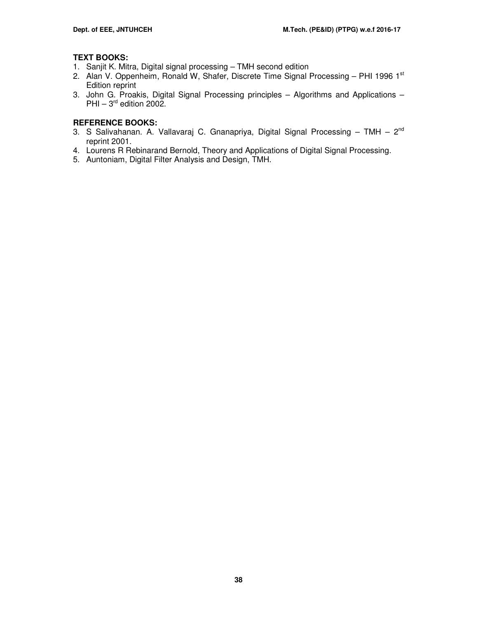# **TEXT BOOKS:**

- 1. Sanjit K. Mitra, Digital signal processing TMH second edition
- 2. Alan V. Oppenheim, Ronald W, Shafer, Discrete Time Signal Processing PHI 1996 1st Edition reprint
- 3. John G. Proakis, Digital Signal Processing principles Algorithms and Applications PHI –  $3^{\text{rd}}$  edition 2002.

# **REFERENCE BOOKS:**

- 3. S Salivahanan. A. Vallavaraj C. Gnanapriya, Digital Signal Processing TMH  $2^{nd}$ reprint 2001.
- 4. Lourens R Rebinarand Bernold, Theory and Applications of Digital Signal Processing.
- 5. Auntoniam, Digital Filter Analysis and Design, TMH.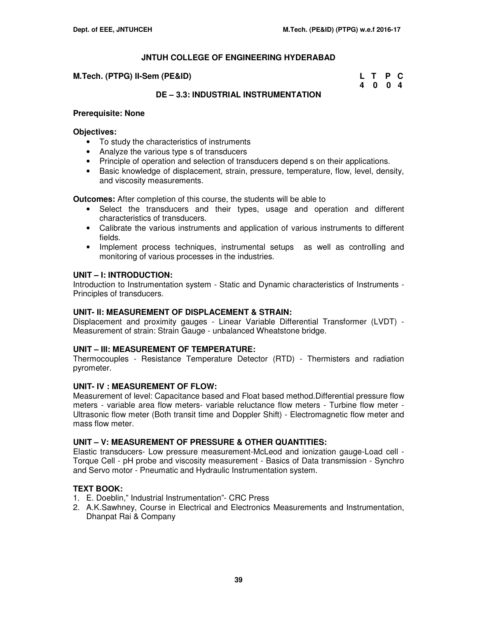#### **M.Tech. (PTPG) II-Sem (PE&ID)**

| M.Tech. (PTPG) II-Sem (PE&ID) | L T P C |  |
|-------------------------------|---------|--|
|                               | 4 0 0 4 |  |

# **DE – 3.3: INDUSTRIAL INSTRUMENTATION**

#### **Prerequisite: None**

#### **Objectives:**

- To study the characteristics of instruments
- Analyze the various type s of transducers
- Principle of operation and selection of transducers depend s on their applications.
- Basic knowledge of displacement, strain, pressure, temperature, flow, level, density, and viscosity measurements.

**Outcomes:** After completion of this course, the students will be able to

- Select the transducers and their types, usage and operation and different characteristics of transducers.
- Calibrate the various instruments and application of various instruments to different fields.
- Implement process techniques, instrumental setups as well as controlling and monitoring of various processes in the industries.

# **UNIT – I: INTRODUCTION:**

Introduction to Instrumentation system - Static and Dynamic characteristics of Instruments - Principles of transducers.

# **UNIT- II: MEASUREMENT OF DISPLACEMENT & STRAIN:**

Displacement and proximity gauges - Linear Variable Differential Transformer (LVDT) - Measurement of strain: Strain Gauge - unbalanced Wheatstone bridge.

# **UNIT – III: MEASUREMENT OF TEMPERATURE:**

Thermocouples - Resistance Temperature Detector (RTD) - Thermisters and radiation pyrometer.

#### **UNIT- IV : MEASUREMENT OF FLOW:**

Measurement of level: Capacitance based and Float based method.Differential pressure flow meters - variable area flow meters- variable reluctance flow meters - Turbine flow meter - Ultrasonic flow meter (Both transit time and Doppler Shift) - Electromagnetic flow meter and mass flow meter.

#### **UNIT – V: MEASUREMENT OF PRESSURE & OTHER QUANTITIES:**

Elastic transducers- Low pressure measurement-McLeod and ionization gauge-Load cell - Torque Cell - pH probe and viscosity measurement - Basics of Data transmission - Synchro and Servo motor - Pneumatic and Hydraulic Instrumentation system.

# **TEXT BOOK:**

- 1. E. Doeblin," Industrial Instrumentation"- CRC Press
- 2. A.K.Sawhney, Course in Electrical and Electronics Measurements and Instrumentation, Dhanpat Rai & Company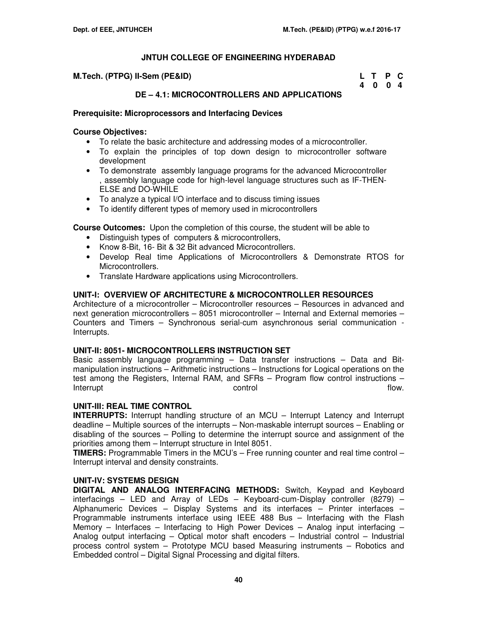| M.Tech. (PTPG) II-Sem (PE&ID) | L T P C |  |
|-------------------------------|---------|--|
|                               | 4 0 0 4 |  |

# **DE – 4.1: MICROCONTROLLERS AND APPLICATIONS**

#### **Prerequisite: Microprocessors and Interfacing Devices**

#### **Course Objectives:**

- To relate the basic architecture and addressing modes of a microcontroller.
- To explain the principles of top down design to microcontroller software development
- To demonstrate assembly language programs for the advanced Microcontroller , assembly language code for high-level language structures such as IF-THEN-ELSE and DO-WHILE
- To analyze a typical I/O interface and to discuss timing issues
- To identify different types of memory used in microcontrollers

**Course Outcomes:** Upon the completion of this course, the student will be able to

- Distinguish types of computers & microcontrollers,
- Know 8-Bit, 16- Bit & 32 Bit advanced Microcontrollers.
- Develop Real time Applications of Microcontrollers & Demonstrate RTOS for Microcontrollers.
- Translate Hardware applications using Microcontrollers.

# **UNIT-I: OVERVIEW OF ARCHITECTURE & MICROCONTROLLER RESOURCES**

Architecture of a microcontroller – Microcontroller resources – Resources in advanced and next generation microcontrollers – 8051 microcontroller – Internal and External memories – Counters and Timers – Synchronous serial-cum asynchronous serial communication - Interrupts.

#### **UNIT-II: 8051- MICROCONTROLLERS INSTRUCTION SET**

Basic assembly language programming – Data transfer instructions – Data and Bitmanipulation instructions – Arithmetic instructions – Instructions for Logical operations on the test among the Registers, Internal RAM, and SFRs – Program flow control instructions – Interrupt and the control control control that control flow.

# **UNIT-III: REAL TIME CONTROL**

**INTERRUPTS:** Interrupt handling structure of an MCU – Interrupt Latency and Interrupt deadline – Multiple sources of the interrupts – Non-maskable interrupt sources – Enabling or disabling of the sources – Polling to determine the interrupt source and assignment of the priorities among them – Interrupt structure in Intel 8051.

**TIMERS:** Programmable Timers in the MCU's – Free running counter and real time control – Interrupt interval and density constraints.

#### **UNIT-IV: SYSTEMS DESIGN**

**DIGITAL AND ANALOG INTERFACING METHODS:** Switch, Keypad and Keyboard interfacings – LED and Array of LEDs – Keyboard-cum-Display controller (8279) – Alphanumeric Devices – Display Systems and its interfaces – Printer interfaces – Programmable instruments interface using IEEE 488 Bus – Interfacing with the Flash Memory – Interfaces – Interfacing to High Power Devices – Analog input interfacing – Analog output interfacing – Optical motor shaft encoders – Industrial control – Industrial process control system – Prototype MCU based Measuring instruments – Robotics and Embedded control – Digital Signal Processing and digital filters.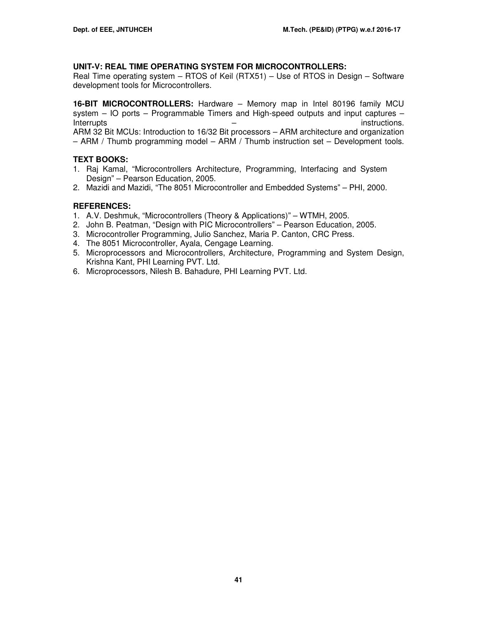# **UNIT-V: REAL TIME OPERATING SYSTEM FOR MICROCONTROLLERS:**

Real Time operating system – RTOS of Keil (RTX51) – Use of RTOS in Design – Software development tools for Microcontrollers.

**16-BIT MICROCONTROLLERS:** Hardware – Memory map in Intel 80196 family MCU system – IO ports – Programmable Timers and High-speed outputs and input captures – Interrupts – instructions. ARM 32 Bit MCUs: Introduction to 16/32 Bit processors – ARM architecture and organization – ARM / Thumb programming model – ARM / Thumb instruction set – Development tools.

# **TEXT BOOKS:**

- 1. Raj Kamal, "Microcontrollers Architecture, Programming, Interfacing and System Design" – Pearson Education, 2005.
- 2. Mazidi and Mazidi, "The 8051 Microcontroller and Embedded Systems" PHI, 2000.

- 1. A.V. Deshmuk, "Microcontrollers (Theory & Applications)" WTMH, 2005.
- 2. John B. Peatman, "Design with PIC Microcontrollers" Pearson Education, 2005.
- 3. Microcontroller Programming, Julio Sanchez, Maria P. Canton, CRC Press.
- 4. The 8051 Microcontroller, Ayala, Cengage Learning.
- 5. Microprocessors and Microcontrollers, Architecture, Programming and System Design, Krishna Kant, PHI Learning PVT. Ltd.
- 6. Microprocessors, Nilesh B. Bahadure, PHI Learning PVT. Ltd.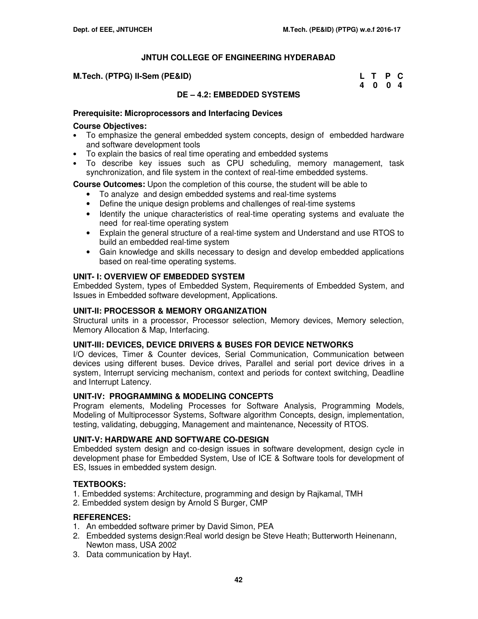| M.Tech. (PTPG) II-Sem (PE&ID) | L T P C |  |
|-------------------------------|---------|--|
|                               | 4004    |  |

# **DE – 4.2: EMBEDDED SYSTEMS**

### **Prerequisite: Microprocessors and Interfacing Devices**

#### **Course Objectives:**

- To emphasize the general embedded system concepts, design of embedded hardware and software development tools
- To explain the basics of real time operating and embedded systems
- To describe key issues such as CPU scheduling, memory management, task synchronization, and file system in the context of real-time embedded systems.

**Course Outcomes:** Upon the completion of this course, the student will be able to

- To analyze and design embedded systems and real-time systems
- Define the unique design problems and challenges of real-time systems
- Identify the unique characteristics of real-time operating systems and evaluate the need for real-time operating system
- Explain the general structure of a real-time system and Understand and use RTOS to build an embedded real-time system
- Gain knowledge and skills necessary to design and develop embedded applications based on real-time operating systems.

### **UNIT- I: OVERVIEW OF EMBEDDED SYSTEM**

Embedded System, types of Embedded System, Requirements of Embedded System, and Issues in Embedded software development, Applications.

# **UNIT-II: PROCESSOR & MEMORY ORGANIZATION**

Structural units in a processor, Processor selection, Memory devices, Memory selection, Memory Allocation & Map, Interfacing.

#### **UNIT-III: DEVICES, DEVICE DRIVERS & BUSES FOR DEVICE NETWORKS**

I/O devices, Timer & Counter devices, Serial Communication, Communication between devices using different buses. Device drives, Parallel and serial port device drives in a system, Interrupt servicing mechanism, context and periods for context switching, Deadline and Interrupt Latency.

#### **UNIT-IV: PROGRAMMING & MODELING CONCEPTS**

Program elements, Modeling Processes for Software Analysis, Programming Models, Modeling of Multiprocessor Systems, Software algorithm Concepts, design, implementation, testing, validating, debugging, Management and maintenance, Necessity of RTOS.

#### **UNIT-V: HARDWARE AND SOFTWARE CO-DESIGN**

Embedded system design and co-design issues in software development, design cycle in development phase for Embedded System, Use of ICE & Software tools for development of ES, Issues in embedded system design.

# **TEXTBOOKS:**

- 1. Embedded systems: Architecture, programming and design by Rajkamal, TMH
- 2. Embedded system design by Arnold S Burger, CMP

- 1. An embedded software primer by David Simon, PEA
- 2. Embedded systems design:Real world design be Steve Heath; Butterworth Heinenann, Newton mass, USA 2002
- 3. Data communication by Hayt.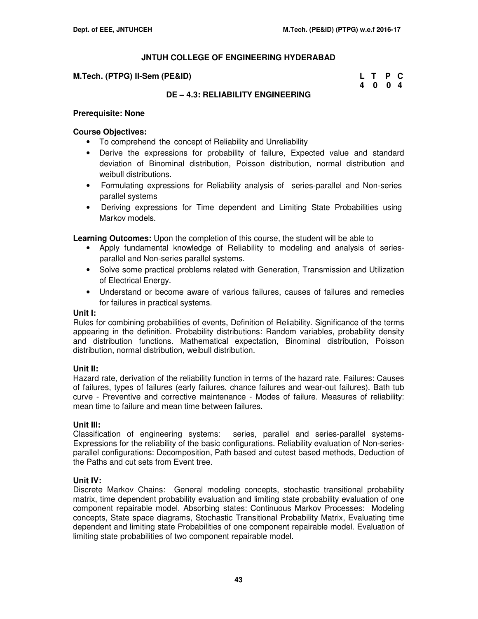#### **M.Tech. (PTPG) II-Sem (PE&ID)**

| M.Tech. (PTPG) II-Sem (PE&ID) | L T P C |  |
|-------------------------------|---------|--|
|                               | 4004    |  |

# **DE – 4.3: RELIABILITY ENGINEERING**

#### **Prerequisite: None**

### **Course Objectives:**

- To comprehend the concept of Reliability and Unreliability
- Derive the expressions for probability of failure, Expected value and standard deviation of Binominal distribution, Poisson distribution, normal distribution and weibull distributions.
- Formulating expressions for Reliability analysis of series-parallel and Non-series parallel systems
- Deriving expressions for Time dependent and Limiting State Probabilities using Markov models.

**Learning Outcomes:** Upon the completion of this course, the student will be able to

- Apply fundamental knowledge of Reliability to modeling and analysis of seriesparallel and Non-series parallel systems.
- Solve some practical problems related with Generation, Transmission and Utilization of Electrical Energy.
- Understand or become aware of various failures, causes of failures and remedies for failures in practical systems.

#### **Unit I:**

Rules for combining probabilities of events, Definition of Reliability. Significance of the terms appearing in the definition. Probability distributions: Random variables, probability density and distribution functions. Mathematical expectation, Binominal distribution, Poisson distribution, normal distribution, weibull distribution.

# **Unit II:**

Hazard rate, derivation of the reliability function in terms of the hazard rate. Failures: Causes of failures, types of failures (early failures, chance failures and wear-out failures). Bath tub curve - Preventive and corrective maintenance - Modes of failure. Measures of reliability: mean time to failure and mean time between failures.

**Unit III:**<br>Classification of engineering systems: series, parallel and series-parallel systems-Expressions for the reliability of the basic configurations. Reliability evaluation of Non-seriesparallel configurations: Decomposition, Path based and cutest based methods, Deduction of the Paths and cut sets from Event tree.

# **Unit IV:**

Discrete Markov Chains: General modeling concepts, stochastic transitional probability matrix, time dependent probability evaluation and limiting state probability evaluation of one component repairable model. Absorbing states: Continuous Markov Processes: Modeling concepts, State space diagrams, Stochastic Transitional Probability Matrix, Evaluating time dependent and limiting state Probabilities of one component repairable model. Evaluation of limiting state probabilities of two component repairable model.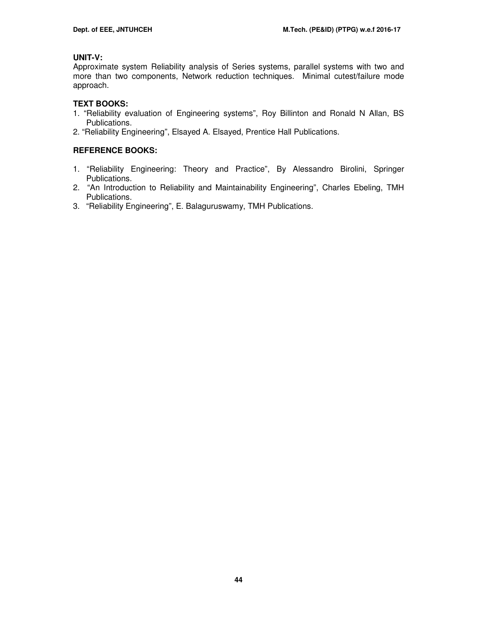# **UNIT-V:**

Approximate system Reliability analysis of Series systems, parallel systems with two and more than two components, Network reduction techniques. Minimal cutest/failure mode approach.

# **TEXT BOOKS:**

- 1. "Reliability evaluation of Engineering systems", Roy Billinton and Ronald N Allan, BS Publications.
- 2. "Reliability Engineering", Elsayed A. Elsayed, Prentice Hall Publications.

# **REFERENCE BOOKS:**

- 1. "Reliability Engineering: Theory and Practice", By Alessandro Birolini, Springer Publications.
- 2. "An Introduction to Reliability and Maintainability Engineering", Charles Ebeling, TMH Publications.
- 3. "Reliability Engineering", E. Balaguruswamy, TMH Publications.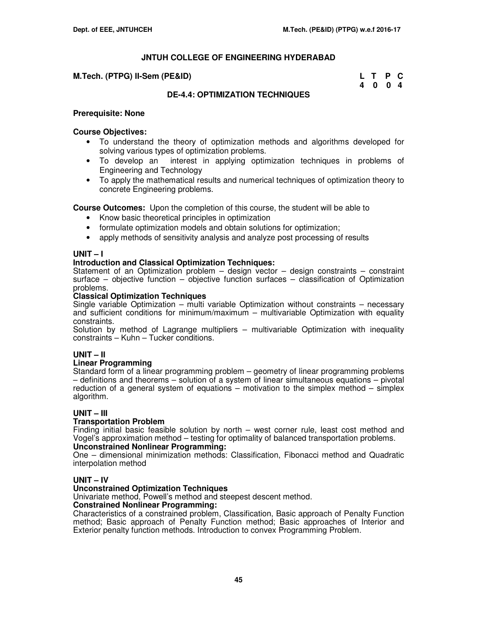#### **M.Tech. (PTPG) II-Sem (PE&ID)**

| M.Tech. (PTPG) II-Sem (PE&ID) | L T P C |  |  |
|-------------------------------|---------|--|--|
|                               | 4004    |  |  |

# **DE-4.4: OPTIMIZATION TECHNIQUES**

#### **Prerequisite: None**

#### **Course Objectives:**

- To understand the theory of optimization methods and algorithms developed for solving various types of optimization problems.
- To develop an interest in applying optimization techniques in problems of Engineering and Technology
- To apply the mathematical results and numerical techniques of optimization theory to concrete Engineering problems.

**Course Outcomes:** Upon the completion of this course, the student will be able to

- Know basic theoretical principles in optimization
- formulate optimization models and obtain solutions for optimization;
- apply methods of sensitivity analysis and analyze post processing of results

### **UNIT – I**

# **Introduction and Classical Optimization Techniques:**

Statement of an Optimization problem  $-$  design vector  $-$  design constraints  $-$  constraint surface – objective function – objective function surfaces – classification of Optimization problems.

#### **Classical Optimization Techniques**

Single variable Optimization – multi variable Optimization without constraints – necessary and sufficient conditions for minimum/maximum – multivariable Optimization with equality constraints.

Solution by method of Lagrange multipliers – multivariable Optimization with inequality constraints – Kuhn – Tucker conditions.

# **UNIT – II**

#### **Linear Programming**

Standard form of a linear programming problem – geometry of linear programming problems – definitions and theorems – solution of a system of linear simultaneous equations – pivotal reduction of a general system of equations – motivation to the simplex method – simplex algorithm.

#### **UNIT – III**

#### **Transportation Problem**

Finding initial basic feasible solution by north – west corner rule, least cost method and Vogel's approximation method – testing for optimality of balanced transportation problems.

# **Unconstrained Nonlinear Programming:**

One – dimensional minimization methods: Classification, Fibonacci method and Quadratic interpolation method

#### **UNIT – IV**

#### **Unconstrained Optimization Techniques**

Univariate method, Powell's method and steepest descent method.

#### **Constrained Nonlinear Programming:**

Characteristics of a constrained problem, Classification, Basic approach of Penalty Function method; Basic approach of Penalty Function method; Basic approaches of Interior and Exterior penalty function methods. Introduction to convex Programming Problem.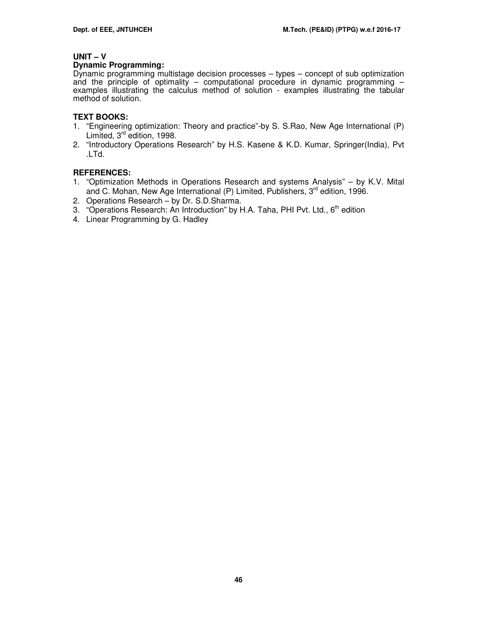#### **UNIT – V**

#### **Dynamic Programming:**

Dynamic programming multistage decision processes – types – concept of sub optimization and the principle of optimality  $-$  computational procedure in dynamic programming  $$ examples illustrating the calculus method of solution - examples illustrating the tabular method of solution.

# **TEXT BOOKS:**

- 1. "Engineering optimization: Theory and practice"-by S. S.Rao, New Age International (P) Limited, 3<sup>rd</sup> edition, 1998.
- 2. "Introductory Operations Research" by H.S. Kasene & K.D. Kumar, Springer(India), Pvt .LTd.

- 1. "Optimization Methods in Operations Research and systems Analysis" by K.V. Mital and C. Mohan, New Age International (P) Limited, Publishers,  $3<sup>rd</sup>$  edition, 1996.
- 2. Operations Research by Dr. S.D.Sharma.
- 3. "Operations Research: An Introduction" by H.A. Taha, PHI Pvt. Ltd., 6<sup>th</sup> edition
- 4. Linear Programming by G. Hadley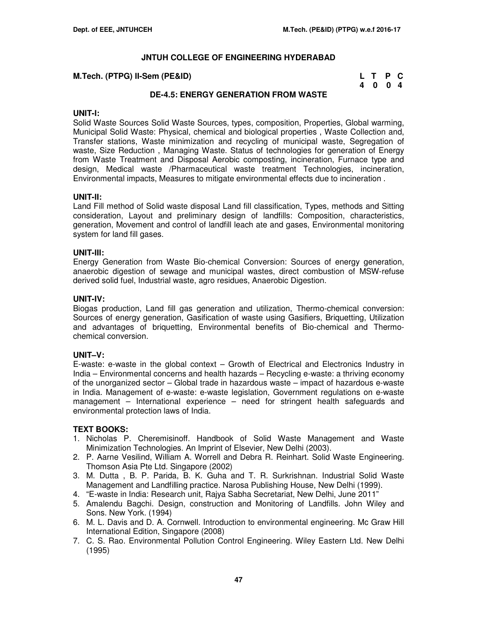#### **M.Tech. (PTPG) II-Sem (PE&ID)**

| M.Tech. (PTPG) II-Sem (PE&ID) | L T P C |  |
|-------------------------------|---------|--|
|                               | 4004    |  |

# **DE-4.5: ENERGY GENERATION FROM WASTE**

#### **UNIT-I:**

Solid Waste Sources Solid Waste Sources, types, composition, Properties, Global warming, Municipal Solid Waste: Physical, chemical and biological properties , Waste Collection and, Transfer stations, Waste minimization and recycling of municipal waste, Segregation of waste, Size Reduction , Managing Waste. Status of technologies for generation of Energy from Waste Treatment and Disposal Aerobic composting, incineration, Furnace type and design, Medical waste /Pharmaceutical waste treatment Technologies, incineration, Environmental impacts, Measures to mitigate environmental effects due to incineration .

### **UNIT-II:**

Land Fill method of Solid waste disposal Land fill classification, Types, methods and Sitting consideration, Layout and preliminary design of landfills: Composition, characteristics, generation, Movement and control of landfill leach ate and gases, Environmental monitoring system for land fill gases.

#### **UNIT-III:**

Energy Generation from Waste Bio-chemical Conversion: Sources of energy generation, anaerobic digestion of sewage and municipal wastes, direct combustion of MSW-refuse derived solid fuel, Industrial waste, agro residues, Anaerobic Digestion.

### **UNIT-IV:**

Biogas production, Land fill gas generation and utilization, Thermo-chemical conversion: Sources of energy generation, Gasification of waste using Gasifiers, Briquetting, Utilization and advantages of briquetting, Environmental benefits of Bio-chemical and Thermochemical conversion.

#### **UNIT–V:**

E-waste: e-waste in the global context – Growth of Electrical and Electronics Industry in India – Environmental concerns and health hazards – Recycling e-waste: a thriving economy of the unorganized sector – Global trade in hazardous waste – impact of hazardous e-waste in India. Management of e-waste: e-waste legislation, Government regulations on e-waste management – International experience – need for stringent health safeguards and environmental protection laws of India.

#### **TEXT BOOKS:**

- 1. Nicholas P. Cheremisinoff. Handbook of Solid Waste Management and Waste Minimization Technologies. An Imprint of Elsevier, New Delhi (2003).
- 2. P. Aarne Vesilind, William A. Worrell and Debra R. Reinhart. Solid Waste Engineering. Thomson Asia Pte Ltd. Singapore (2002)
- 3. M. Dutta , B. P. Parida, B. K. Guha and T. R. Surkrishnan. Industrial Solid Waste Management and Landfilling practice. Narosa Publishing House, New Delhi (1999).
- 4. "E-waste in India: Research unit, Rajya Sabha Secretariat, New Delhi, June 2011"
- 5. Amalendu Bagchi. Design, construction and Monitoring of Landfills. John Wiley and Sons. New York. (1994)
- 6. M. L. Davis and D. A. Cornwell. Introduction to environmental engineering. Mc Graw Hill International Edition, Singapore (2008)
- 7. C. S. Rao. Environmental Pollution Control Engineering. Wiley Eastern Ltd. New Delhi (1995)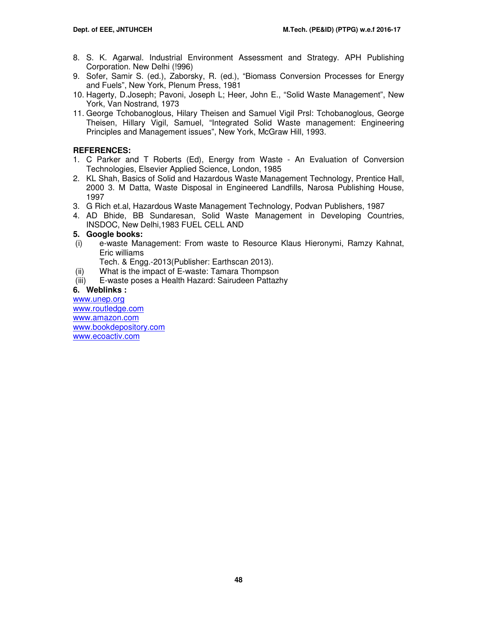- 8. S. K. Agarwal. Industrial Environment Assessment and Strategy. APH Publishing Corporation. New Delhi (!996)
- 9. Sofer, Samir S. (ed.), Zaborsky, R. (ed.), "Biomass Conversion Processes for Energy and Fuels", New York, Plenum Press, 1981
- 10. Hagerty, D.Joseph; Pavoni, Joseph L; Heer, John E., "Solid Waste Management", New York, Van Nostrand, 1973
- 11. George Tchobanoglous, Hilary Theisen and Samuel Vigil Prsl: Tchobanoglous, George Theisen, Hillary Vigil, Samuel, "Integrated Solid Waste management: Engineering Principles and Management issues", New York, McGraw Hill, 1993.

# **REFERENCES:**

- 1. C Parker and T Roberts (Ed), Energy from Waste An Evaluation of Conversion Technologies, Elsevier Applied Science, London, 1985
- 2. KL Shah, Basics of Solid and Hazardous Waste Management Technology, Prentice Hall, 2000 3. M Datta, Waste Disposal in Engineered Landfills, Narosa Publishing House, 1997
- 3. G Rich et.al, Hazardous Waste Management Technology, Podvan Publishers, 1987
- 4. AD Bhide, BB Sundaresan, Solid Waste Management in Developing Countries, INSDOC, New Delhi,1983 FUEL CELL AND

# **5. Google books:**

 (i) e-waste Management: From waste to Resource Klaus Hieronymi, Ramzy Kahnat, Eric williams

Tech. & Engg.-2013(Publisher: Earthscan 2013).

- (ii) What is the impact of E-waste: Tamara Thompson
- (iii) E-waste poses a Health Hazard: Sairudeen Pattazhy

# **6. Weblinks :**

www.unep.org www.routledge.com www.amazon.com www.bookdepository.com www.ecoactiv.com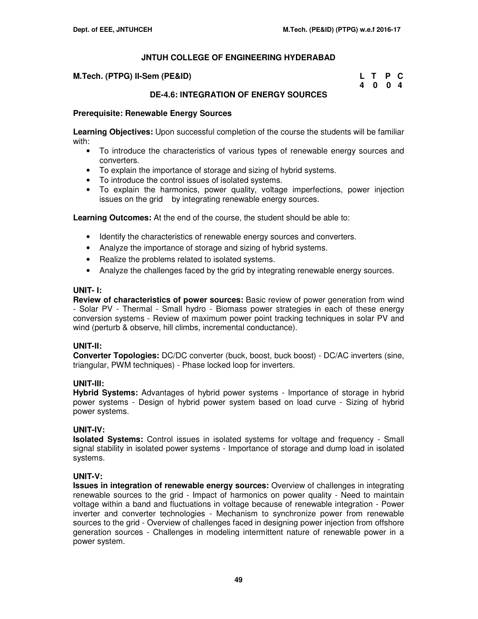#### **M.Tech. (PTPG) II-Sem (PE&ID)**

| M.Tech. (PTPG) II-Sem (PE&ID) | L T P C |  |
|-------------------------------|---------|--|
|                               | 4004    |  |

# **DE-4.6: INTEGRATION OF ENERGY SOURCES**

### **Prerequisite: Renewable Energy Sources**

**Learning Objectives:** Upon successful completion of the course the students will be familiar with:

- To introduce the characteristics of various types of renewable energy sources and converters.
- To explain the importance of storage and sizing of hybrid systems.
- To introduce the control issues of isolated systems.
- To explain the harmonics, power quality, voltage imperfections, power injection issues on the grid by integrating renewable energy sources.

**Learning Outcomes:** At the end of the course, the student should be able to:

- Identify the characteristics of renewable energy sources and converters.
- Analyze the importance of storage and sizing of hybrid systems.
- Realize the problems related to isolated systems.
- Analyze the challenges faced by the grid by integrating renewable energy sources.

#### **UNIT- I:**

**Review of characteristics of power sources:** Basic review of power generation from wind - Solar PV - Thermal - Small hydro - Biomass power strategies in each of these energy conversion systems - Review of maximum power point tracking techniques in solar PV and wind (perturb & observe, hill climbs, incremental conductance).

#### **UNIT-II:**

**Converter Topologies:** DC/DC converter (buck, boost, buck boost) - DC/AC inverters (sine, triangular, PWM techniques) - Phase locked loop for inverters.

#### **UNIT-III:**

**Hybrid Systems:** Advantages of hybrid power systems - Importance of storage in hybrid power systems - Design of hybrid power system based on load curve - Sizing of hybrid power systems.

#### **UNIT-IV:**

**Isolated Systems:** Control issues in isolated systems for voltage and frequency - Small signal stability in isolated power systems - Importance of storage and dump load in isolated systems.

# **UNIT-V:**

**Issues in integration of renewable energy sources:** Overview of challenges in integrating renewable sources to the grid - Impact of harmonics on power quality - Need to maintain voltage within a band and fluctuations in voltage because of renewable integration - Power inverter and converter technologies - Mechanism to synchronize power from renewable sources to the grid - Overview of challenges faced in designing power injection from offshore generation sources - Challenges in modeling intermittent nature of renewable power in a power system.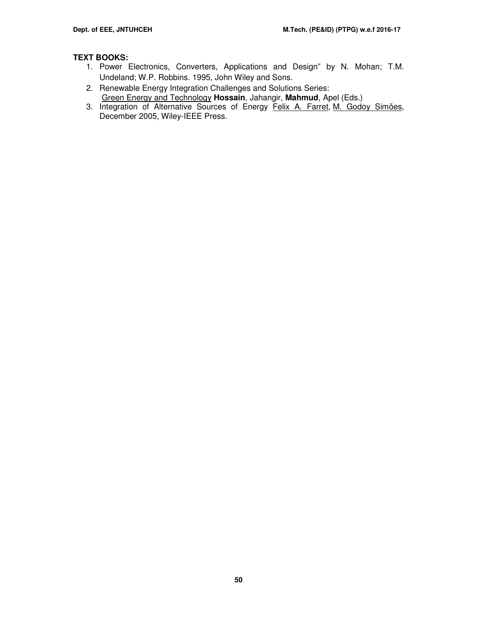# **TEXT BOOKS:**

- 1. Power Electronics, Converters, Applications and Design" by N. Mohan; T.M. Undeland; W.P. Robbins. 1995, John Wiley and Sons.
- 2. Renewable Energy Integration Challenges and Solutions Series: Green Energy and Technology **Hossain**, Jahangir, **Mahmud**, Apel (Eds.)
- 3. Integration of Alternative Sources of Energy Felix A. Farret, M. Godoy Simões, December 2005, Wiley-IEEE Press.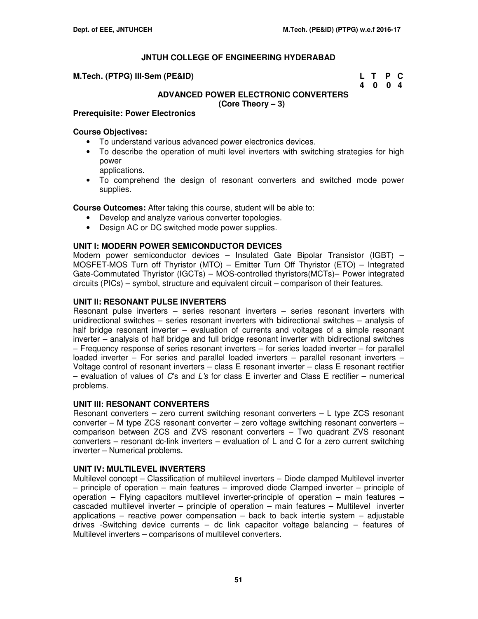**M.Tech. (PTPG) III-Sem (PE&ID)** 

| M.Tech. (PTPG) III-Sem (PE&ID) | L T P C |  |
|--------------------------------|---------|--|
|                                | 4 0 0 4 |  |

# **ADVANCED POWER ELECTRONIC CONVERTERS (Core Theory – 3)**

### **Prerequisite: Power Electronics**

#### **Course Objectives:**

- To understand various advanced power electronics devices.
- To describe the operation of multi level inverters with switching strategies for high power
	- applications.
- To comprehend the design of resonant converters and switched mode power supplies.

**Course Outcomes:** After taking this course, student will be able to:

- Develop and analyze various converter topologies.
- Design AC or DC switched mode power supplies.

### **UNIT I: MODERN POWER SEMICONDUCTOR DEVICES**

Modern power semiconductor devices – Insulated Gate Bipolar Transistor (IGBT) – MOSFET-MOS Turn off Thyristor (MTO) – Emitter Turn Off Thyristor (ETO) – Integrated Gate-Commutated Thyristor (IGCTs) – MOS-controlled thyristors(MCTs)– Power integrated circuits (PICs) – symbol, structure and equivalent circuit – comparison of their features.

### **UNIT II: RESONANT PULSE INVERTERS**

Resonant pulse inverters – series resonant inverters – series resonant inverters with unidirectional switches – series resonant inverters with bidirectional switches – analysis of half bridge resonant inverter – evaluation of currents and voltages of a simple resonant inverter – analysis of half bridge and full bridge resonant inverter with bidirectional switches – Frequency response of series resonant inverters – for series loaded inverter – for parallel loaded inverter – For series and parallel loaded inverters – parallel resonant inverters – Voltage control of resonant inverters – class E resonant inverter – class E resonant rectifier – evaluation of values of  $C$ s and  $L$ 's for class E inverter and Class E rectifier – numerical problems.

#### **UNIT III: RESONANT CONVERTERS**

Resonant converters – zero current switching resonant converters – L type ZCS resonant converter – M type ZCS resonant converter – zero voltage switching resonant converters – comparison between ZCS and ZVS resonant converters – Two quadrant ZVS resonant converters – resonant dc-link inverters – evaluation of L and C for a zero current switching inverter – Numerical problems.

# **UNIT IV: MULTILEVEL INVERTERS**

Multilevel concept – Classification of multilevel inverters – Diode clamped Multilevel inverter – principle of operation – main features – improved diode Clamped inverter – principle of operation – Flying capacitors multilevel inverter-principle of operation – main features – cascaded multilevel inverter – principle of operation – main features – Multilevel inverter applications – reactive power compensation – back to back intertie system – adjustable drives -Switching device currents – dc link capacitor voltage balancing – features of Multilevel inverters – comparisons of multilevel converters.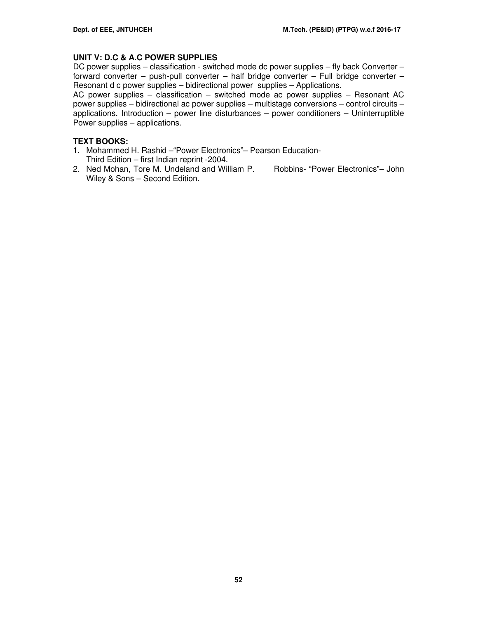# **UNIT V: D.C & A.C POWER SUPPLIES**

DC power supplies – classification - switched mode dc power supplies – fly back Converter – forward converter – push-pull converter – half bridge converter – Full bridge converter – Resonant d c power supplies – bidirectional power supplies – Applications.

AC power supplies – classification – switched mode ac power supplies – Resonant AC power supplies – bidirectional ac power supplies – multistage conversions – control circuits – applications. Introduction – power line disturbances – power conditioners – Uninterruptible Power supplies – applications.

## **TEXT BOOKS:**

- 1. Mohammed H. Rashid –"Power Electronics"– Pearson Education-Third Edition – first Indian reprint -2004.
- 2. Ned Mohan, Tore M. Undeland and William P. Robbins- "Power Electronics"– John Wiley & Sons – Second Edition.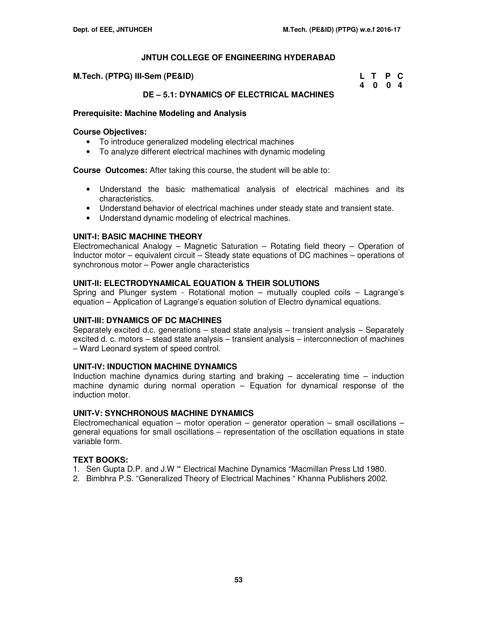| M.Tech. (PTPG) III-Sem (PE&ID) | L T P C |  |
|--------------------------------|---------|--|
|                                | 4 0 0 4 |  |

# **DE – 5.1: DYNAMICS OF ELECTRICAL MACHINES**

### **Prerequisite: Machine Modeling and Analysis**

#### **Course Objectives:**

- To introduce generalized modeling electrical machines
- To analyze different electrical machines with dynamic modeling

**Course Outcomes:** After taking this course, the student will be able to:

- Understand the basic mathematical analysis of electrical machines and its characteristics.
- Understand behavior of electrical machines under steady state and transient state.
- Understand dynamic modeling of electrical machines.

### **UNIT-I: BASIC MACHINE THEORY**

Electromechanical Analogy – Magnetic Saturation – Rotating field theory – Operation of Inductor motor – equivalent circuit – Steady state equations of DC machines – operations of synchronous motor – Power angle characteristics

### **UNIT-II: ELECTRODYNAMICAL EQUATION & THEIR SOLUTIONS**

Spring and Plunger system - Rotational motion – mutually coupled coils – Lagrange's equation – Application of Lagrange's equation solution of Electro dynamical equations.

#### **UNIT-III: DYNAMICS OF DC MACHINES**

Separately excited d.c. generations – stead state analysis – transient analysis – Separately excited d. c. motors – stead state analysis – transient analysis – interconnection of machines – Ward Leonard system of speed control.

#### **UNIT-IV: INDUCTION MACHINE DYNAMICS**

Induction machine dynamics during starting and braking – accelerating time – induction machine dynamic during normal operation – Equation for dynamical response of the induction motor.

## **UNIT-V: SYNCHRONOUS MACHINE DYNAMICS**

Electromechanical equation – motor operation – generator operation – small oscillations – general equations for small oscillations – representation of the oscillation equations in state variable form.

# **TEXT BOOKS:**

- 1. Sen Gupta D.P. and J.W **"** Electrical Machine Dynamics "Macmillan Press Ltd 1980.
- 2. Bimbhra P.S. "Generalized Theory of Electrical Machines " Khanna Publishers 2002.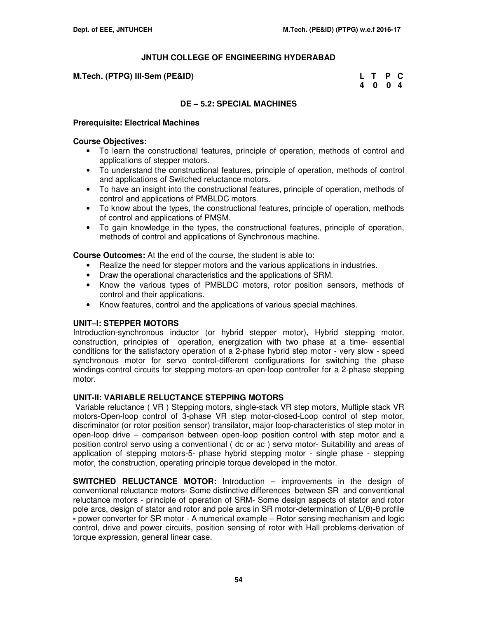## **M.Tech. (PTPG) III-Sem (PE&ID)**

| M.Tech. (PTPG) III-Sem (PE&ID) | L T P C |  |
|--------------------------------|---------|--|
|                                | 4004    |  |

# **DE – 5.2: SPECIAL MACHINES**

### **Prerequisite: Electrical Machines**

#### **Course Objectives:**

- To learn the constructional features, principle of operation, methods of control and applications of stepper motors.
- To understand the constructional features, principle of operation, methods of control and applications of Switched reluctance motors.
- To have an insight into the constructional features, principle of operation, methods of control and applications of PMBLDC motors.
- To know about the types, the constructional features, principle of operation, methods of control and applications of PMSM.
- To gain knowledge in the types, the constructional features, principle of operation, methods of control and applications of Synchronous machine.

**Course Outcomes:** At the end of the course, the student is able to:

- Realize the need for stepper motors and the various applications in industries.
- Draw the operational characteristics and the applications of SRM.
- Know the various types of PMBLDC motors, rotor position sensors, methods of control and their applications.
- Know features, control and the applications of various special machines.

# **UNIT–I: STEPPER MOTORS**

Introduction-synchronous inductor (or hybrid stepper motor), Hybrid stepping motor, construction, principles of operation, energization with two phase at a time- essential conditions for the satisfactory operation of a 2-phase hybrid step motor - very slow - speed synchronous motor for servo control-different configurations for switching the phase windings-control circuits for stepping motors-an open-loop controller for a 2-phase stepping motor.

# **UNIT-II: VARIABLE RELUCTANCE STEPPING MOTORS**

Variable reluctance ( VR ) Stepping motors, single-stack VR step motors, Multiple stack VR motors-Open-loop control of 3-phase VR step motor-closed-Loop control of step motor, discriminator (or rotor position sensor) transilator, major loop-characteristics of step motor in open-loop drive – comparison between open-loop position control with step motor and a position control servo using a conventional ( dc or ac ) servo motor- Suitability and areas of application of stepping motors-5- phase hybrid stepping motor - single phase - stepping motor, the construction, operating principle torque developed in the motor.

**SWITCHED RELUCTANCE MOTOR:** Introduction – improvements in the design of conventional reluctance motors- Some distinctive differences between SR and conventional reluctance motors - principle of operation of SRM- Some design aspects of stator and rotor pole arcs, design of stator and rotor and pole arcs in SR motor-determination of L(θ)**-**θ profile **-** power converter for SR motor - A numerical example – Rotor sensing mechanism and logic control, drive and power circuits, position sensing of rotor with Hall problems-derivation of torque expression, general linear case.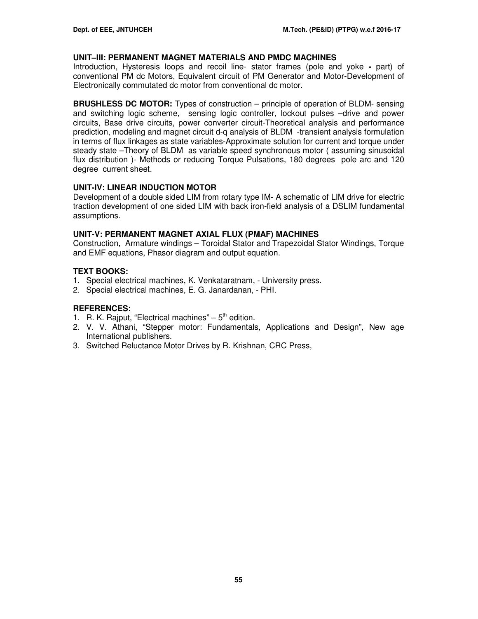#### **UNIT–III: PERMANENT MAGNET MATERIALS AND PMDC MACHINES**

Introduction, Hysteresis loops and recoil line- stator frames (pole and yoke **-** part) of conventional PM dc Motors, Equivalent circuit of PM Generator and Motor-Development of Electronically commutated dc motor from conventional dc motor.

**BRUSHLESS DC MOTOR:** Types of construction – principle of operation of BLDM- sensing and switching logic scheme, sensing logic controller, lockout pulses –drive and power circuits, Base drive circuits, power converter circuit-Theoretical analysis and performance prediction, modeling and magnet circuit d-q analysis of BLDM -transient analysis formulation in terms of flux linkages as state variables-Approximate solution for current and torque under steady state –Theory of BLDM as variable speed synchronous motor ( assuming sinusoidal flux distribution )- Methods or reducing Torque Pulsations, 180 degrees pole arc and 120 degree current sheet.

### **UNIT-IV: LINEAR INDUCTION MOTOR**

Development of a double sided LIM from rotary type IM- A schematic of LIM drive for electric traction development of one sided LIM with back iron-field analysis of a DSLIM fundamental assumptions.

### **UNIT-V: PERMANENT MAGNET AXIAL FLUX (PMAF) MACHINES**

Construction, Armature windings – Toroidal Stator and Trapezoidal Stator Windings, Torque and EMF equations, Phasor diagram and output equation.

### **TEXT BOOKS:**

- 1. Special electrical machines, K. Venkataratnam, University press.
- 2. Special electrical machines, E. G. Janardanan, PHI.

- 1. R. K. Rajput, "Electrical machines"  $-5<sup>th</sup>$  edition.
- 2. V. V. Athani, "Stepper motor: Fundamentals, Applications and Design", New age International publishers.
- 3. Switched Reluctance Motor Drives by R. Krishnan, CRC Press,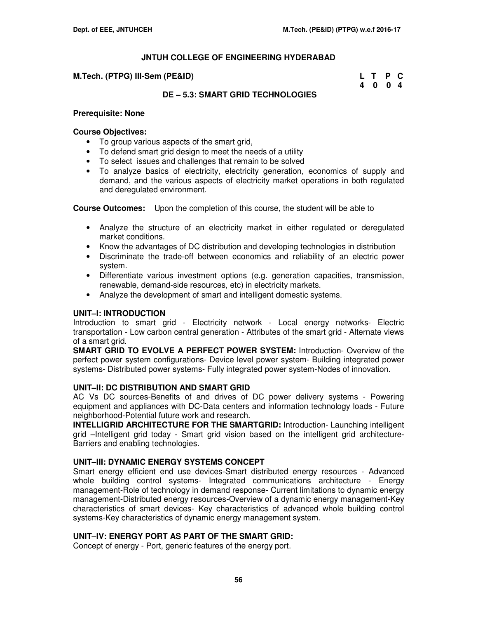#### **M.Tech. (PTPG) III-Sem (PE&ID)**

| M.Tech. (PTPG) III-Sem (PE&ID) | L T P C |  |
|--------------------------------|---------|--|
|                                | 4004    |  |

# **DE – 5.3: SMART GRID TECHNOLOGIES**

#### **Prerequisite: None**

### **Course Objectives:**

- To group various aspects of the smart grid,
- To defend smart grid design to meet the needs of a utility
- To select issues and challenges that remain to be solved
- To analyze basics of electricity, electricity generation, economics of supply and demand, and the various aspects of electricity market operations in both regulated and deregulated environment.

**Course Outcomes:** Upon the completion of this course, the student will be able to

- Analyze the structure of an electricity market in either regulated or deregulated market conditions.
- Know the advantages of DC distribution and developing technologies in distribution
- Discriminate the trade-off between economics and reliability of an electric power system.
- Differentiate various investment options (e.g. generation capacities, transmission, renewable, demand-side resources, etc) in electricity markets.
- Analyze the development of smart and intelligent domestic systems.

# **UNIT–I: INTRODUCTION**

Introduction to smart grid - Electricity network - Local energy networks- Electric transportation - Low carbon central generation - Attributes of the smart grid - Alternate views of a smart grid.

**SMART GRID TO EVOLVE A PERFECT POWER SYSTEM:** Introduction- Overview of the perfect power system configurations- Device level power system- Building integrated power systems- Distributed power systems- Fully integrated power system-Nodes of innovation.

# **UNIT–II: DC DISTRIBUTION AND SMART GRID**

AC Vs DC sources-Benefits of and drives of DC power delivery systems - Powering equipment and appliances with DC-Data centers and information technology loads - Future neighborhood-Potential future work and research.

**INTELLIGRID ARCHITECTURE FOR THE SMARTGRID:** Introduction- Launching intelligent grid –Intelligent grid today - Smart grid vision based on the intelligent grid architecture-Barriers and enabling technologies.

# **UNIT–III: DYNAMIC ENERGY SYSTEMS CONCEPT**

Smart energy efficient end use devices-Smart distributed energy resources - Advanced whole building control systems- Integrated communications architecture - Energy management-Role of technology in demand response- Current limitations to dynamic energy management-Distributed energy resources-Overview of a dynamic energy management-Key characteristics of smart devices- Key characteristics of advanced whole building control systems-Key characteristics of dynamic energy management system.

# **UNIT–IV: ENERGY PORT AS PART OF THE SMART GRID:**

Concept of energy - Port, generic features of the energy port.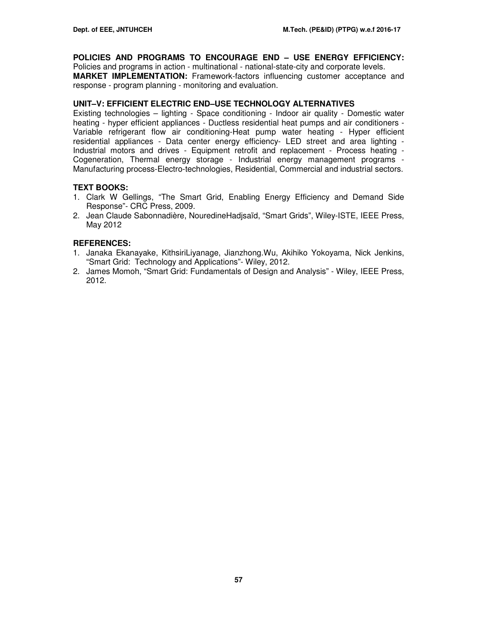# **POLICIES AND PROGRAMS TO ENCOURAGE END – USE ENERGY EFFICIENCY:**

Policies and programs in action - multinational - national-state-city and corporate levels. **MARKET IMPLEMENTATION:** Framework-factors influencing customer acceptance and response - program planning - monitoring and evaluation.

### **UNIT–V: EFFICIENT ELECTRIC END–USE TECHNOLOGY ALTERNATIVES**

Existing technologies – lighting - Space conditioning - Indoor air quality - Domestic water heating - hyper efficient appliances - Ductless residential heat pumps and air conditioners - Variable refrigerant flow air conditioning-Heat pump water heating - Hyper efficient residential appliances - Data center energy efficiency- LED street and area lighting - Industrial motors and drives - Equipment retrofit and replacement - Process heating - Cogeneration, Thermal energy storage - Industrial energy management programs - Manufacturing process-Electro-technologies, Residential, Commercial and industrial sectors.

# **TEXT BOOKS:**

- 1. Clark W Gellings, "The Smart Grid, Enabling Energy Efficiency and Demand Side Response"- CRC Press, 2009.
- 2. Jean Claude Sabonnadière, NouredineHadjsaïd, "Smart Grids", Wiley-ISTE, IEEE Press, May 2012

- 1. Janaka Ekanayake, KithsiriLiyanage, Jianzhong.Wu, Akihiko Yokoyama, Nick Jenkins, "Smart Grid: Technology and Applications"- Wiley, 2012.
- 2. James Momoh, "Smart Grid: Fundamentals of Design and Analysis" Wiley, IEEE Press, 2012.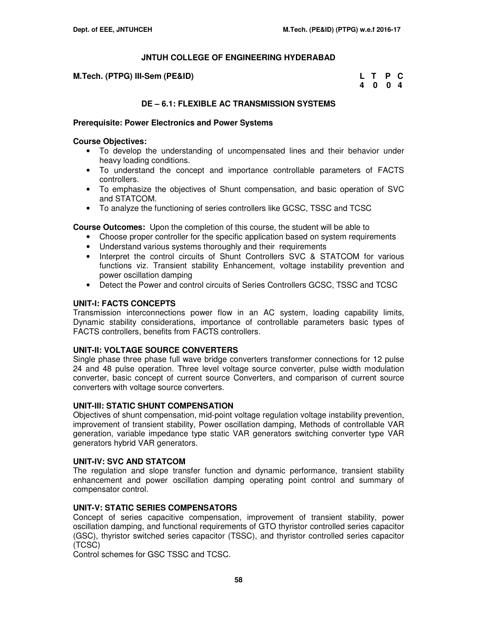**M.Tech. (PTPG) III-Sem (PE&ID)** 

| M.Tech. (PTPG) III-Sem (PE&ID) | L T P C |         |  |
|--------------------------------|---------|---------|--|
|                                |         | 4 0 0 4 |  |

# **DE – 6.1: FLEXIBLE AC TRANSMISSION SYSTEMS**

#### **Prerequisite: Power Electronics and Power Systems**

#### **Course Objectives:**

- To develop the understanding of uncompensated lines and their behavior under heavy loading conditions.
- To understand the concept and importance controllable parameters of FACTS controllers.
- To emphasize the objectives of Shunt compensation, and basic operation of SVC and STATCOM.
- To analyze the functioning of series controllers like GCSC, TSSC and TCSC

**Course Outcomes:** Upon the completion of this course, the student will be able to

- Choose proper controller for the specific application based on system requirements
- Understand various systems thoroughly and their requirements
- Interpret the control circuits of Shunt Controllers SVC & STATCOM for various functions viz. Transient stability Enhancement, voltage instability prevention and power oscillation damping
- Detect the Power and control circuits of Series Controllers GCSC, TSSC and TCSC

### **UNIT-I: FACTS CONCEPTS**

Transmission interconnections power flow in an AC system, loading capability limits, Dynamic stability considerations, importance of controllable parameters basic types of FACTS controllers, benefits from FACTS controllers.

# **UNIT-II: VOLTAGE SOURCE CONVERTERS**

Single phase three phase full wave bridge converters transformer connections for 12 pulse 24 and 48 pulse operation. Three level voltage source converter, pulse width modulation converter, basic concept of current source Converters, and comparison of current source converters with voltage source converters.

# **UNIT-III: STATIC SHUNT COMPENSATION**

Objectives of shunt compensation, mid-point voltage regulation voltage instability prevention, improvement of transient stability, Power oscillation damping, Methods of controllable VAR generation, variable impedance type static VAR generators switching converter type VAR generators hybrid VAR generators.

#### **UNIT-IV: SVC AND STATCOM**

The regulation and slope transfer function and dynamic performance, transient stability enhancement and power oscillation damping operating point control and summary of compensator control.

# **UNIT-V: STATIC SERIES COMPENSATORS**

Concept of series capacitive compensation, improvement of transient stability, power oscillation damping, and functional requirements of GTO thyristor controlled series capacitor (GSC), thyristor switched series capacitor (TSSC), and thyristor controlled series capacitor (TCSC)

Control schemes for GSC TSSC and TCSC.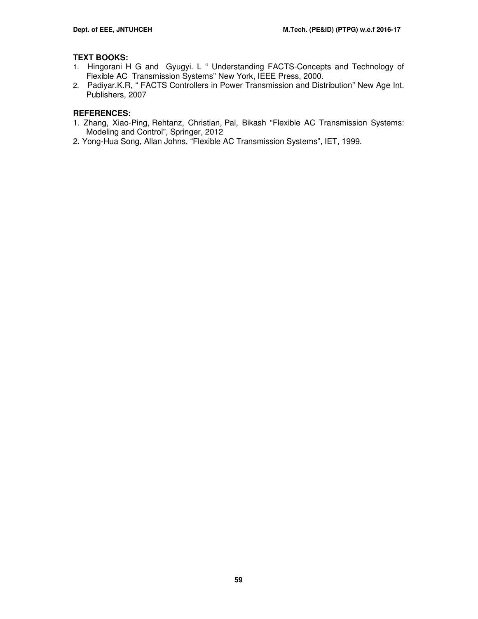# **TEXT BOOKS:**

- 1. Hingorani H G and Gyugyi. L " Understanding FACTS-Concepts and Technology of Flexible AC Transmission Systems" New York, IEEE Press, 2000.
- 2. Padiyar.K.R, " FACTS Controllers in Power Transmission and Distribution" New Age Int. Publishers, 2007

- 1. Zhang, Xiao-Ping, Rehtanz, Christian, Pal, Bikash "Flexible AC Transmission Systems: Modeling and Control", Springer, 2012
- 2. Yong-Hua Song, Allan Johns, "Flexible AC Transmission Systems", IET, 1999.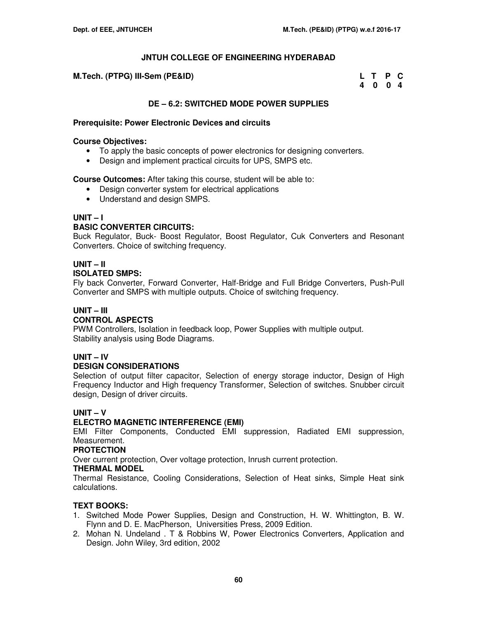| M.Tech. (PTPG) III-Sem (PE&ID) | L T P C |  |  |
|--------------------------------|---------|--|--|
|                                | 4 0 0 4 |  |  |

# **DE – 6.2: SWITCHED MODE POWER SUPPLIES**

### **Prerequisite: Power Electronic Devices and circuits**

#### **Course Objectives:**

- To apply the basic concepts of power electronics for designing converters.
- Design and implement practical circuits for UPS, SMPS etc.

### **Course Outcomes:** After taking this course, student will be able to:

- Design converter system for electrical applications
- Understand and design SMPS.

# **UNIT – I**

# **BASIC CONVERTER CIRCUITS:**

Buck Regulator, Buck- Boost Regulator, Boost Regulator, Cuk Converters and Resonant Converters. Choice of switching frequency.

#### **UNIT – II ISOLATED SMPS:**

Fly back Converter, Forward Converter, Half-Bridge and Full Bridge Converters, Push-Pull Converter and SMPS with multiple outputs. Choice of switching frequency.

# **UNIT – III**

# **CONTROL ASPECTS**

PWM Controllers, Isolation in feedback loop, Power Supplies with multiple output. Stability analysis using Bode Diagrams.

# **UNIT – IV**

# **DESIGN CONSIDERATIONS**

Selection of output filter capacitor, Selection of energy storage inductor, Design of High Frequency Inductor and High frequency Transformer, Selection of switches. Snubber circuit design, Design of driver circuits.

# **UNIT – V**

# **ELECTRO MAGNETIC INTERFERENCE (EMI)**

EMI Filter Components, Conducted EMI suppression, Radiated EMI suppression, Measurement.

#### **PROTECTION**

Over current protection, Over voltage protection, Inrush current protection.

#### **THERMAL MODEL**

Thermal Resistance, Cooling Considerations, Selection of Heat sinks, Simple Heat sink calculations.

# **TEXT BOOKS:**

- 1. Switched Mode Power Supplies, Design and Construction, H. W. Whittington, B. W. Flynn and D. E. MacPherson, Universities Press, 2009 Edition.
- 2. Mohan N. Undeland . T & Robbins W, Power Electronics Converters, Application and Design. John Wiley, 3rd edition, 2002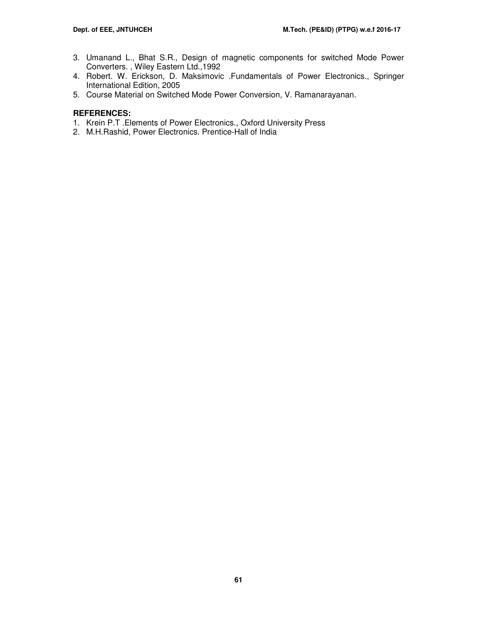- 3. Umanand L., Bhat S.R., Design of magnetic components for switched Mode Power Converters. , Wiley Eastern Ltd.,1992
- 4. Robert. W. Erickson, D. Maksimovic .Fundamentals of Power Electronics., Springer International Edition, 2005
- 5. Course Material on Switched Mode Power Conversion, V. Ramanarayanan.

- 1. Krein P.T .Elements of Power Electronics., Oxford University Press
- 2. M.H.Rashid, Power Electronics. Prentice-Hall of India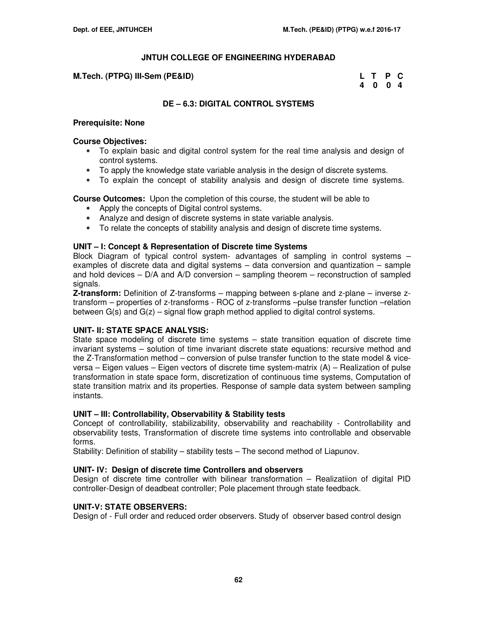## **M.Tech. (PTPG) III-Sem (PE&ID)**

| M.Tech. (PTPG) III-Sem (PE&ID) | L T P C |  |
|--------------------------------|---------|--|
|                                | 4004    |  |

# **DE – 6.3: DIGITAL CONTROL SYSTEMS**

#### **Prerequisite: None**

#### **Course Objectives:**

- To explain basic and digital control system for the real time analysis and design of control systems.
- To apply the knowledge state variable analysis in the design of discrete systems.
- To explain the concept of stability analysis and design of discrete time systems.

**Course Outcomes:** Upon the completion of this course, the student will be able to

- Apply the concepts of Digital control systems.
- Analyze and design of discrete systems in state variable analysis.
- To relate the concepts of stability analysis and design of discrete time systems.

# **UNIT – I: Concept & Representation of Discrete time Systems**

Block Diagram of typical control system- advantages of sampling in control systems – examples of discrete data and digital systems – data conversion and quantization – sample and hold devices  $-$  D/A and A/D conversion  $-$  sampling theorem  $-$  reconstruction of sampled signals.

**Z-transform:** Definition of Z-transforms – mapping between s-plane and z-plane – inverse ztransform – properties of z-transforms - ROC of z-transforms –pulse transfer function –relation between  $G(s)$  and  $G(z)$  – signal flow graph method applied to digital control systems.

# **UNIT- II: STATE SPACE ANALYSIS:**

State space modeling of discrete time systems – state transition equation of discrete time invariant systems – solution of time invariant discrete state equations: recursive method and the Z-Transformation method – conversion of pulse transfer function to the state model & viceversa – Eigen values – Eigen vectors of discrete time system-matrix (A) – Realization of pulse transformation in state space form, discretization of continuous time systems, Computation of state transition matrix and its properties. Response of sample data system between sampling instants.

# **UNIT – III: Controllability, Observability & Stability tests**

Concept of controllability, stabilizability, observability and reachability - Controllability and observability tests, Transformation of discrete time systems into controllable and observable forms.

Stability: Definition of stability – stability tests – The second method of Liapunov.

# **UNIT- IV: Design of discrete time Controllers and observers**

Design of discrete time controller with bilinear transformation – Realizatiion of digital PID controller-Design of deadbeat controller; Pole placement through state feedback.

# **UNIT-V: STATE OBSERVERS:**

Design of - Full order and reduced order observers. Study of observer based control design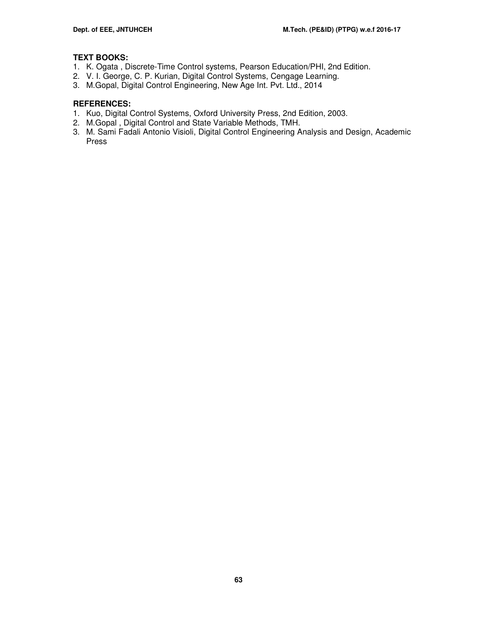# **TEXT BOOKS:**

- 1. K. Ogata , Discrete-Time Control systems, Pearson Education/PHI, 2nd Edition.
- 2. V. I. George, C. P. Kurian, Digital Control Systems, Cengage Learning.
- 3. M.Gopal, Digital Control Engineering, New Age Int. Pvt. Ltd., 2014

- 1. Kuo, Digital Control Systems, Oxford University Press, 2nd Edition, 2003.
- 2. M.Gopal , Digital Control and State Variable Methods, TMH.
- 3. M. Sami Fadali Antonio Visioli, Digital Control Engineering Analysis and Design, Academic Press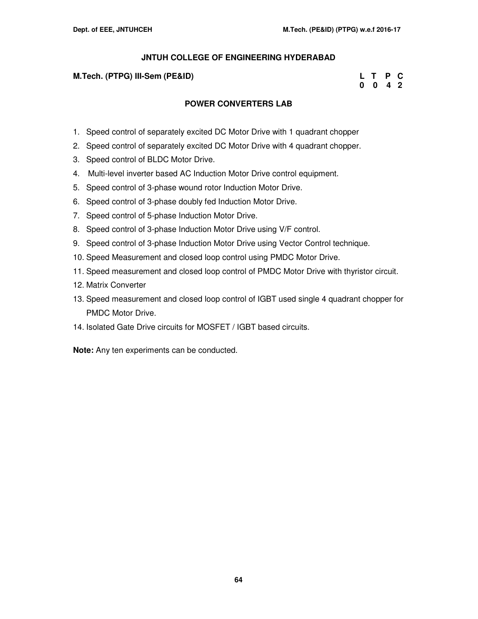### **M.Tech. (PTPG) III-Sem (PE&ID)**

| M.Tech. (PTPG) III-Sem (PE&ID) | L T P C |  |
|--------------------------------|---------|--|
|                                | 0 0 4 2 |  |

# **POWER CONVERTERS LAB**

- 1. Speed control of separately excited DC Motor Drive with 1 quadrant chopper
- 2. Speed control of separately excited DC Motor Drive with 4 quadrant chopper.
- 3. Speed control of BLDC Motor Drive.
- 4. Multi-level inverter based AC Induction Motor Drive control equipment.
- 5. Speed control of 3-phase wound rotor Induction Motor Drive.
- 6. Speed control of 3-phase doubly fed Induction Motor Drive.
- 7. Speed control of 5-phase Induction Motor Drive.
- 8. Speed control of 3-phase Induction Motor Drive using V/F control.
- 9. Speed control of 3-phase Induction Motor Drive using Vector Control technique.
- 10. Speed Measurement and closed loop control using PMDC Motor Drive.
- 11. Speed measurement and closed loop control of PMDC Motor Drive with thyristor circuit.
- 12. Matrix Converter
- 13. Speed measurement and closed loop control of IGBT used single 4 quadrant chopper for PMDC Motor Drive.
- 14. Isolated Gate Drive circuits for MOSFET / IGBT based circuits.

**Note:** Any ten experiments can be conducted.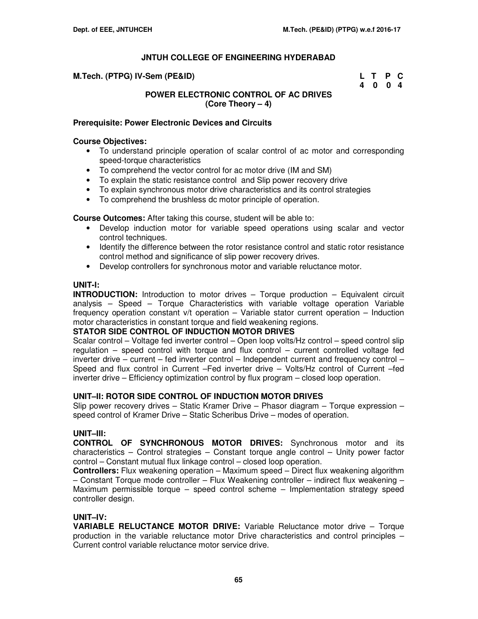| M.Tech. (PTPG) IV-Sem (PE&ID) | L T P C |  |
|-------------------------------|---------|--|
|                               | 4 0 0 4 |  |

# **POWER ELECTRONIC CONTROL OF AC DRIVES (Core Theory – 4)**

### **Prerequisite: Power Electronic Devices and Circuits**

### **Course Objectives:**

- To understand principle operation of scalar control of ac motor and corresponding speed-torque characteristics
- To comprehend the vector control for ac motor drive (IM and SM)
- To explain the static resistance control and Slip power recovery drive
- To explain synchronous motor drive characteristics and its control strategies
- To comprehend the brushless dc motor principle of operation.

**Course Outcomes:** After taking this course, student will be able to:

- Develop induction motor for variable speed operations using scalar and vector control techniques.
- Identify the difference between the rotor resistance control and static rotor resistance control method and significance of slip power recovery drives.
- Develop controllers for synchronous motor and variable reluctance motor.

### **UNIT-I:**

**INTRODUCTION:** Introduction to motor drives – Torque production – Equivalent circuit analysis – Speed – Torque Characteristics with variable voltage operation Variable frequency operation constant v/t operation – Variable stator current operation – Induction motor characteristics in constant torque and field weakening regions.

#### **STATOR SIDE CONTROL OF INDUCTION MOTOR DRIVES**

Scalar control – Voltage fed inverter control – Open loop volts/Hz control – speed control slip regulation – speed control with torque and flux control – current controlled voltage fed inverter drive – current – fed inverter control – Independent current and frequency control – Speed and flux control in Current –Fed inverter drive – Volts/Hz control of Current –fed inverter drive – Efficiency optimization control by flux program – closed loop operation.

#### **UNIT–II: ROTOR SIDE CONTROL OF INDUCTION MOTOR DRIVES**

Slip power recovery drives – Static Kramer Drive – Phasor diagram – Torque expression – speed control of Kramer Drive – Static Scheribus Drive – modes of operation.

# **UNIT–III:**

**CONTROL OF SYNCHRONOUS MOTOR DRIVES:** Synchronous motor and its characteristics – Control strategies – Constant torque angle control – Unity power factor control – Constant mutual flux linkage control – closed loop operation.

**Controllers:** Flux weakening operation – Maximum speed – Direct flux weakening algorithm – Constant Torque mode controller – Flux Weakening controller – indirect flux weakening – Maximum permissible torque – speed control scheme – Implementation strategy speed controller design.

# **UNIT–IV:**

**VARIABLE RELUCTANCE MOTOR DRIVE:** Variable Reluctance motor drive – Torque production in the variable reluctance motor Drive characteristics and control principles – Current control variable reluctance motor service drive.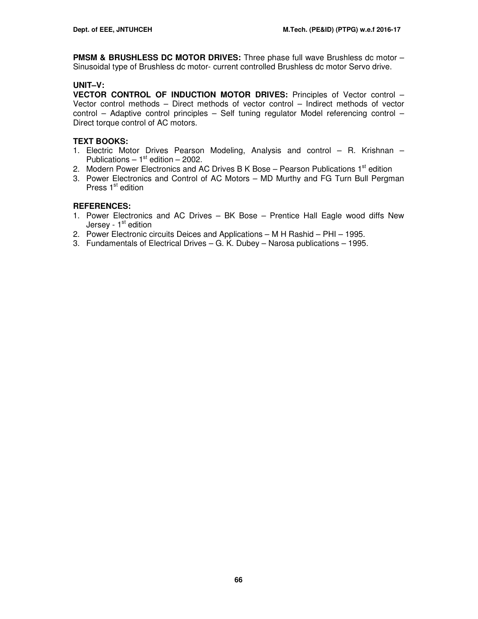**PMSM & BRUSHLESS DC MOTOR DRIVES:** Three phase full wave Brushless dc motor – Sinusoidal type of Brushless dc motor- current controlled Brushless dc motor Servo drive.

# **UNIT–V:**

**VECTOR CONTROL OF INDUCTION MOTOR DRIVES:** Principles of Vector control – Vector control methods – Direct methods of vector control – Indirect methods of vector control – Adaptive control principles – Self tuning regulator Model referencing control – Direct torque control of AC motors.

# **TEXT BOOKS:**

- 1. Electric Motor Drives Pearson Modeling, Analysis and control R. Krishnan Publications –  $1<sup>st</sup>$  edition – 2002.
- 2. Modern Power Electronics and AC Drives B K Bose Pearson Publications  $1<sup>st</sup>$  edition
- 3. Power Electronics and Control of AC Motors MD Murthy and FG Turn Bull Pergman Press  $1<sup>st</sup>$  edition

- 1. Power Electronics and AC Drives BK Bose Prentice Hall Eagle wood diffs New Jersey - 1<sup>st</sup> edition
- 2. Power Electronic circuits Deices and Applications M H Rashid PHI 1995.
- 3. Fundamentals of Electrical Drives G. K. Dubey Narosa publications 1995.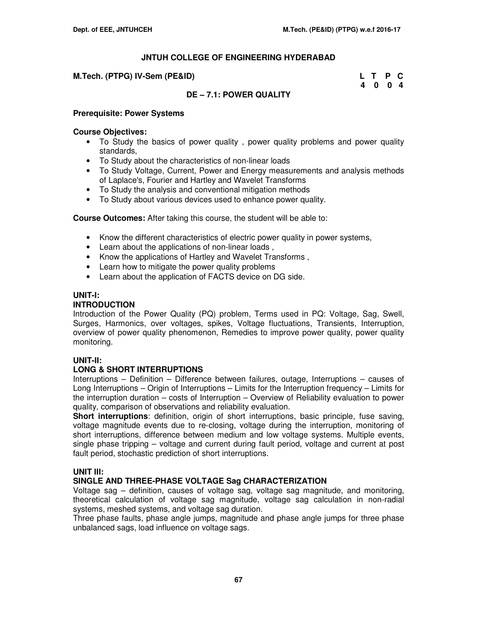#### **M.Tech. (PTPG) IV-Sem (PE&ID)**

| M.Tech. (PTPG) IV-Sem (PE&ID) | L T P C |  |
|-------------------------------|---------|--|
|                               | 4004    |  |

# **DE – 7.1: POWER QUALITY**

#### **Prerequisite: Power Systems**

#### **Course Objectives:**

- To Study the basics of power quality , power quality problems and power quality standards,
- To Study about the characteristics of non-linear loads
- To Study Voltage, Current, Power and Energy measurements and analysis methods of Laplace's, Fourier and Hartley and Wavelet Transforms
- To Study the analysis and conventional mitigation methods
- To Study about various devices used to enhance power quality.

**Course Outcomes:** After taking this course, the student will be able to:

- Know the different characteristics of electric power quality in power systems,
- Learn about the applications of non-linear loads ,
- Know the applications of Hartley and Wavelet Transforms ,
- Learn how to mitigate the power quality problems
- Learn about the application of FACTS device on DG side.

### **UNIT-I:**

# **INTRODUCTION**

Introduction of the Power Quality (PQ) problem, Terms used in PQ: Voltage, Sag, Swell, Surges, Harmonics, over voltages, spikes, Voltage fluctuations, Transients, Interruption, overview of power quality phenomenon, Remedies to improve power quality, power quality monitoring.

# **UNIT-II:**

# **LONG & SHORT INTERRUPTIONS**

Interruptions – Definition – Difference between failures, outage, Interruptions – causes of Long Interruptions – Origin of Interruptions – Limits for the Interruption frequency – Limits for the interruption duration – costs of Interruption – Overview of Reliability evaluation to power quality, comparison of observations and reliability evaluation.

**Short interruptions**: definition, origin of short interruptions, basic principle, fuse saving, voltage magnitude events due to re-closing, voltage during the interruption, monitoring of short interruptions, difference between medium and low voltage systems. Multiple events, single phase tripping – voltage and current during fault period, voltage and current at post fault period, stochastic prediction of short interruptions.

#### **UNIT III:**

# **SINGLE AND THREE-PHASE VOLTAGE Sag CHARACTERIZATION**

Voltage sag – definition, causes of voltage sag, voltage sag magnitude, and monitoring, theoretical calculation of voltage sag magnitude, voltage sag calculation in non-radial systems, meshed systems, and voltage sag duration.

Three phase faults, phase angle jumps, magnitude and phase angle jumps for three phase unbalanced sags, load influence on voltage sags.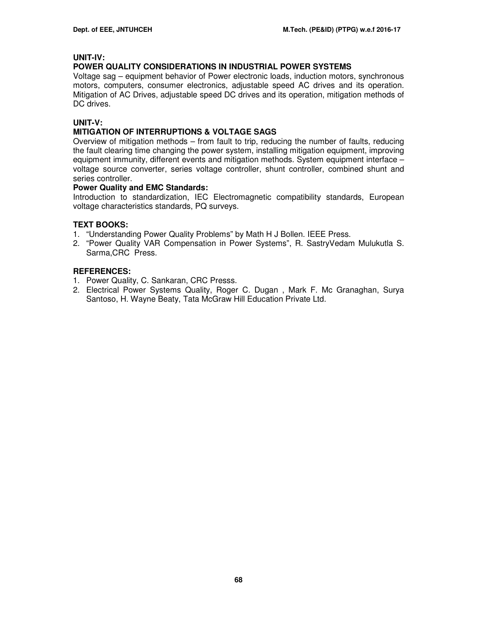# **UNIT-IV:**

# **POWER QUALITY CONSIDERATIONS IN INDUSTRIAL POWER SYSTEMS**

Voltage sag – equipment behavior of Power electronic loads, induction motors, synchronous motors, computers, consumer electronics, adjustable speed AC drives and its operation. Mitigation of AC Drives, adjustable speed DC drives and its operation, mitigation methods of DC drives.

# **UNIT-V:**

# **MITIGATION OF INTERRUPTIONS & VOLTAGE SAGS**

Overview of mitigation methods – from fault to trip, reducing the number of faults, reducing the fault clearing time changing the power system, installing mitigation equipment, improving equipment immunity, different events and mitigation methods. System equipment interface – voltage source converter, series voltage controller, shunt controller, combined shunt and series controller.

### **Power Quality and EMC Standards:**

Introduction to standardization, IEC Electromagnetic compatibility standards, European voltage characteristics standards, PQ surveys.

# **TEXT BOOKS:**

- 1. "Understanding Power Quality Problems" by Math H J Bollen. IEEE Press.
- 2. "Power Quality VAR Compensation in Power Systems", R. SastryVedam Mulukutla S. Sarma,CRC Press.

- 1. Power Quality, C. Sankaran, CRC Presss.
- 2. Electrical Power Systems Quality, Roger C. Dugan , Mark F. Mc Granaghan, Surya Santoso, H. Wayne Beaty, Tata McGraw Hill Education Private Ltd.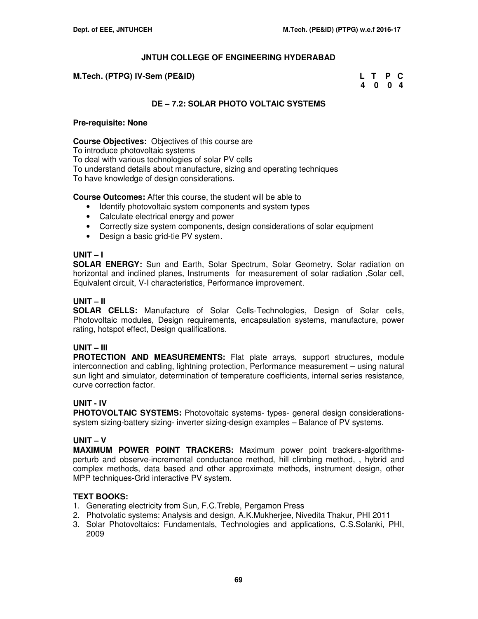| M.Tech. (PTPG) IV-Sem (PE&ID) | L T P C |  |
|-------------------------------|---------|--|
|                               | 4004    |  |

# **DE – 7.2: SOLAR PHOTO VOLTAIC SYSTEMS**

### **Pre-requisite: None**

**Course Objectives:** Objectives of this course are

To introduce photovoltaic systems

To deal with various technologies of solar PV cells

To understand details about manufacture, sizing and operating techniques

To have knowledge of design considerations.

**Course Outcomes:** After this course, the student will be able to

- Identify photovoltaic system components and system types
- Calculate electrical energy and power
- Correctly size system components, design considerations of solar equipment
- Design a basic grid-tie PV system.

# **UNIT – I**

**SOLAR ENERGY:** Sun and Earth, Solar Spectrum, Solar Geometry, Solar radiation on horizontal and inclined planes, Instruments for measurement of solar radiation ,Solar cell, Equivalent circuit, V-I characteristics, Performance improvement.

### **UNIT – II**

**SOLAR CELLS:** Manufacture of Solar Cells-Technologies, Design of Solar cells, Photovoltaic modules, Design requirements, encapsulation systems, manufacture, power rating, hotspot effect, Design qualifications.

# **UNIT – III**

**PROTECTION AND MEASUREMENTS:** Flat plate arrays, support structures, module interconnection and cabling, lightning protection, Performance measurement – using natural sun light and simulator, determination of temperature coefficients, internal series resistance, curve correction factor.

# **UNIT - IV**

**PHOTOVOLTAIC SYSTEMS:** Photovoltaic systems- types- general design considerationssystem sizing-battery sizing- inverter sizing-design examples – Balance of PV systems.

# **UNIT – V**

**MAXIMUM POWER POINT TRACKERS:** Maximum power point trackers-algorithmsperturb and observe-incremental conductance method, hill climbing method, , hybrid and complex methods, data based and other approximate methods, instrument design, other MPP techniques-Grid interactive PV system.

# **TEXT BOOKS:**

- 1. Generating electricity from Sun, F.C.Treble, Pergamon Press
- 2. Photvolatic systems: Analysis and design, A.K.Mukherjee, Nivedita Thakur, PHI 2011
- 3. Solar Photovoltaics: Fundamentals, Technologies and applications, C.S.Solanki, PHI, 2009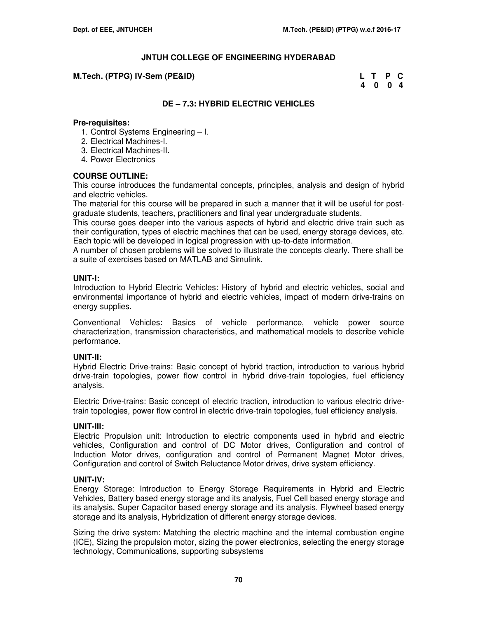#### **M.Tech. (PTPG) IV-Sem (PE&ID)**

| M.Tech. (PTPG) IV-Sem (PE&ID) | L T P C |  |
|-------------------------------|---------|--|
|                               | 4 0 0 4 |  |

# **DE – 7.3: HYBRID ELECTRIC VEHICLES**

#### **Pre-requisites:**

- 1. Control Systems Engineering I.
- 2. Electrical Machines-I.
- 3. Electrical Machines-II.
- 4. Power Electronics

## **COURSE OUTLINE:**

This course introduces the fundamental concepts, principles, analysis and design of hybrid and electric vehicles.

The material for this course will be prepared in such a manner that it will be useful for postgraduate students, teachers, practitioners and final year undergraduate students.

This course goes deeper into the various aspects of hybrid and electric drive train such as their configuration, types of electric machines that can be used, energy storage devices, etc. Each topic will be developed in logical progression with up-to-date information.

A number of chosen problems will be solved to illustrate the concepts clearly. There shall be a suite of exercises based on MATLAB and Simulink.

### **UNIT-I:**

Introduction to Hybrid Electric Vehicles: History of hybrid and electric vehicles, social and environmental importance of hybrid and electric vehicles, impact of modern drive-trains on energy supplies.

Conventional Vehicles: Basics of vehicle performance, vehicle power source characterization, transmission characteristics, and mathematical models to describe vehicle performance.

#### **UNIT-II:**

Hybrid Electric Drive-trains: Basic concept of hybrid traction, introduction to various hybrid drive-train topologies, power flow control in hybrid drive-train topologies, fuel efficiency analysis.

Electric Drive-trains: Basic concept of electric traction, introduction to various electric drivetrain topologies, power flow control in electric drive-train topologies, fuel efficiency analysis.

# **UNIT-III:**

Electric Propulsion unit: Introduction to electric components used in hybrid and electric vehicles, Configuration and control of DC Motor drives, Configuration and control of Induction Motor drives, configuration and control of Permanent Magnet Motor drives, Configuration and control of Switch Reluctance Motor drives, drive system efficiency.

# **UNIT-IV:**

Energy Storage: Introduction to Energy Storage Requirements in Hybrid and Electric Vehicles, Battery based energy storage and its analysis, Fuel Cell based energy storage and its analysis, Super Capacitor based energy storage and its analysis, Flywheel based energy storage and its analysis, Hybridization of different energy storage devices.

Sizing the drive system: Matching the electric machine and the internal combustion engine (ICE), Sizing the propulsion motor, sizing the power electronics, selecting the energy storage technology, Communications, supporting subsystems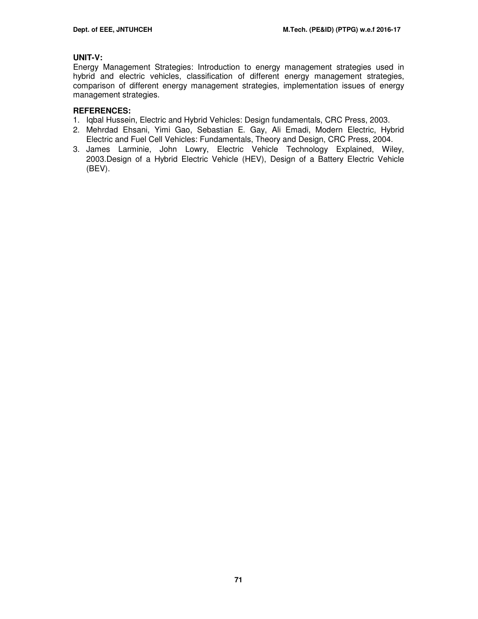# **UNIT-V:**

Energy Management Strategies: Introduction to energy management strategies used in hybrid and electric vehicles, classification of different energy management strategies, comparison of different energy management strategies, implementation issues of energy management strategies.

- 1. Iqbal Hussein, Electric and Hybrid Vehicles: Design fundamentals, CRC Press, 2003.
- 2. Mehrdad Ehsani, Yimi Gao, Sebastian E. Gay, Ali Emadi, Modern Electric, Hybrid Electric and Fuel Cell Vehicles: Fundamentals, Theory and Design, CRC Press, 2004.
- 3. James Larminie, John Lowry, Electric Vehicle Technology Explained, Wiley, 2003.Design of a Hybrid Electric Vehicle (HEV), Design of a Battery Electric Vehicle (BEV).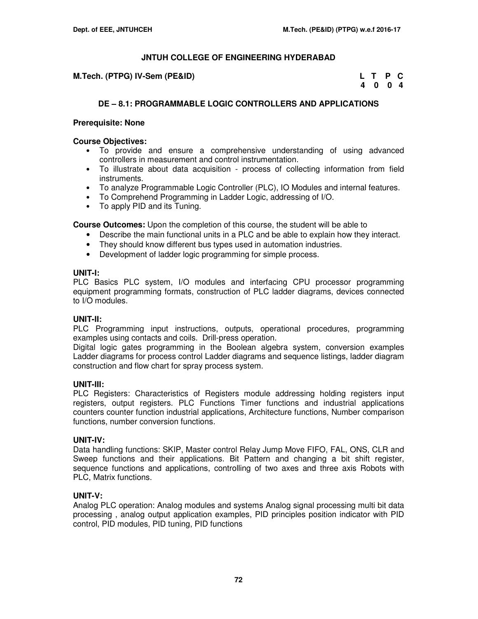**M.Tech. (PTPG) IV-Sem (PE&ID)** 

| M.Tech. (PTPG) IV-Sem (PE&ID) | L T P C |  |
|-------------------------------|---------|--|
|                               | 4004    |  |

# **DE – 8.1: PROGRAMMABLE LOGIC CONTROLLERS AND APPLICATIONS**

### **Prerequisite: None**

### **Course Objectives:**

- To provide and ensure a comprehensive understanding of using advanced controllers in measurement and control instrumentation.
- To illustrate about data acquisition process of collecting information from field instruments.
- To analyze Programmable Logic Controller (PLC), IO Modules and internal features.
- To Comprehend Programming in Ladder Logic, addressing of I/O.
- To apply PID and its Tuning.

**Course Outcomes:** Upon the completion of this course, the student will be able to

- Describe the main functional units in a PLC and be able to explain how they interact.
- They should know different bus types used in automation industries.
- Development of ladder logic programming for simple process.

#### **UNIT-I:**

PLC Basics PLC system, I/O modules and interfacing CPU processor programming equipment programming formats, construction of PLC ladder diagrams, devices connected to I/O modules.

#### **UNIT-II:**

PLC Programming input instructions, outputs, operational procedures, programming examples using contacts and coils. Drill-press operation.

Digital logic gates programming in the Boolean algebra system, conversion examples Ladder diagrams for process control Ladder diagrams and sequence listings, ladder diagram construction and flow chart for spray process system.

#### **UNIT-III:**

PLC Registers: Characteristics of Registers module addressing holding registers input registers, output registers. PLC Functions Timer functions and industrial applications counters counter function industrial applications, Architecture functions, Number comparison functions, number conversion functions.

#### **UNIT-IV:**

Data handling functions: SKIP, Master control Relay Jump Move FIFO, FAL, ONS, CLR and Sweep functions and their applications. Bit Pattern and changing a bit shift register, sequence functions and applications, controlling of two axes and three axis Robots with PLC, Matrix functions.

#### **UNIT-V:**

Analog PLC operation: Analog modules and systems Analog signal processing multi bit data processing , analog output application examples, PID principles position indicator with PID control, PID modules, PID tuning, PID functions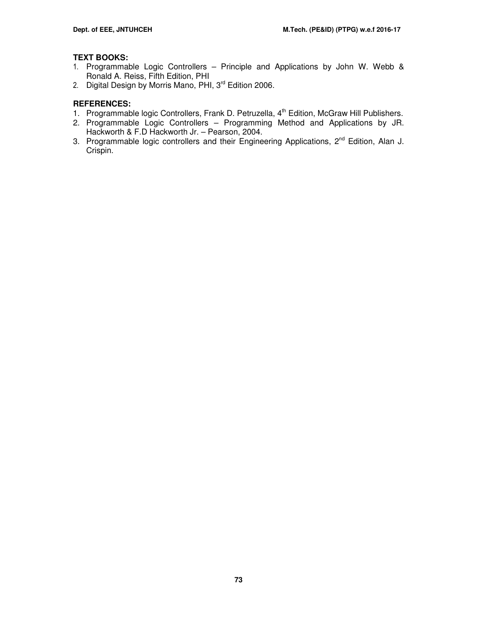# **TEXT BOOKS:**

- 1. Programmable Logic Controllers Principle and Applications by John W. Webb & Ronald A. Reiss, Fifth Edition, PHI
- 2. Digital Design by Morris Mano, PHI, 3<sup>rd</sup> Edition 2006.

- 1. Programmable logic Controllers, Frank D. Petruzella, 4<sup>th</sup> Edition, McGraw Hill Publishers.
- 2. Programmable Logic Controllers Programming Method and Applications by JR. Hackworth & F.D Hackworth Jr. – Pearson, 2004.
- 3. Programmable logic controllers and their Engineering Applications, 2<sup>nd</sup> Edition, Alan J. Crispin.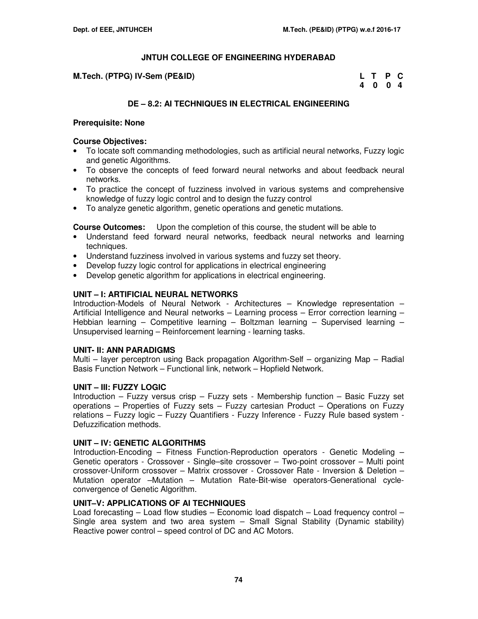**M.Tech. (PTPG) IV-Sem (PE&ID)** 

| <b>TPG) IV-Sem (PE&amp;ID)</b> | L T P C |  |
|--------------------------------|---------|--|
|                                | 4 0 0 4 |  |

# **DE – 8.2: AI TECHNIQUES IN ELECTRICAL ENGINEERING**

### **Prerequisite: None**

### **Course Objectives:**

- To locate soft commanding methodologies, such as artificial neural networks, Fuzzy logic and genetic Algorithms.
- To observe the concepts of feed forward neural networks and about feedback neural networks.
- To practice the concept of fuzziness involved in various systems and comprehensive knowledge of fuzzy logic control and to design the fuzzy control
- To analyze genetic algorithm, genetic operations and genetic mutations.

**Course Outcomes:** Upon the completion of this course, the student will be able to

- Understand feed forward neural networks, feedback neural networks and learning techniques.
- Understand fuzziness involved in various systems and fuzzy set theory.
- Develop fuzzy logic control for applications in electrical engineering
- Develop genetic algorithm for applications in electrical engineering.

## **UNIT – I: ARTIFICIAL NEURAL NETWORKS**

Introduction-Models of Neural Network - Architectures – Knowledge representation – Artificial Intelligence and Neural networks – Learning process – Error correction learning – Hebbian learning – Competitive learning – Boltzman learning – Supervised learning – Unsupervised learning – Reinforcement learning - learning tasks.

#### **UNIT- II: ANN PARADIGMS**

Multi – layer perceptron using Back propagation Algorithm-Self – organizing Map – Radial Basis Function Network – Functional link, network – Hopfield Network.

#### **UNIT – III: FUZZY LOGIC**

Introduction – Fuzzy versus crisp – Fuzzy sets - Membership function – Basic Fuzzy set operations – Properties of Fuzzy sets – Fuzzy cartesian Product – Operations on Fuzzy relations – Fuzzy logic – Fuzzy Quantifiers - Fuzzy Inference - Fuzzy Rule based system - Defuzzification methods.

#### **UNIT – IV: GENETIC ALGORITHMS**

 Introduction-Encoding – Fitness Function-Reproduction operators - Genetic Modeling – Genetic operators - Crossover - Single–site crossover – Two-point crossover – Multi point crossover-Uniform crossover – Matrix crossover - Crossover Rate - Inversion & Deletion – Mutation operator –Mutation – Mutation Rate-Bit-wise operators-Generational cycleconvergence of Genetic Algorithm.

## **UNIT–V: APPLICATIONS OF AI TECHNIQUES**

Load forecasting – Load flow studies – Economic load dispatch – Load frequency control – Single area system and two area system – Small Signal Stability (Dynamic stability) Reactive power control – speed control of DC and AC Motors.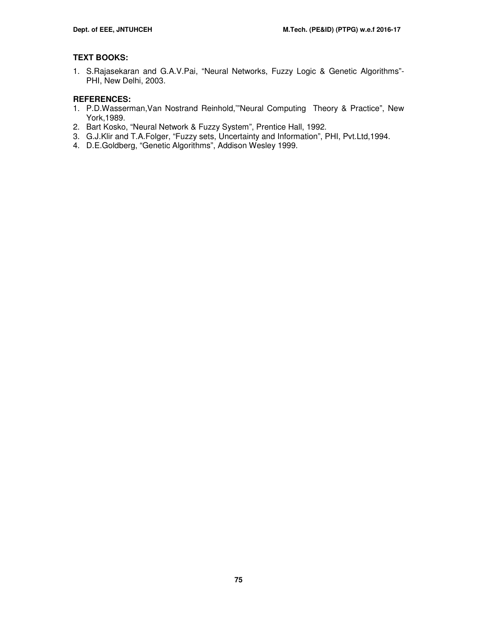# **TEXT BOOKS:**

1. S.Rajasekaran and G.A.V.Pai, "Neural Networks, Fuzzy Logic & Genetic Algorithms"- PHI, New Delhi, 2003.

- 1. P.D.Wasserman,Van Nostrand Reinhold,'"Neural Computing Theory & Practice", New York,1989.
- 2. Bart Kosko, "Neural Network & Fuzzy System", Prentice Hall, 1992.
- 3. G.J.Klir and T.A.Folger, "Fuzzy sets, Uncertainty and Information", PHI, Pvt.Ltd,1994.
- 4. D.E.Goldberg, "Genetic Algorithms", Addison Wesley 1999.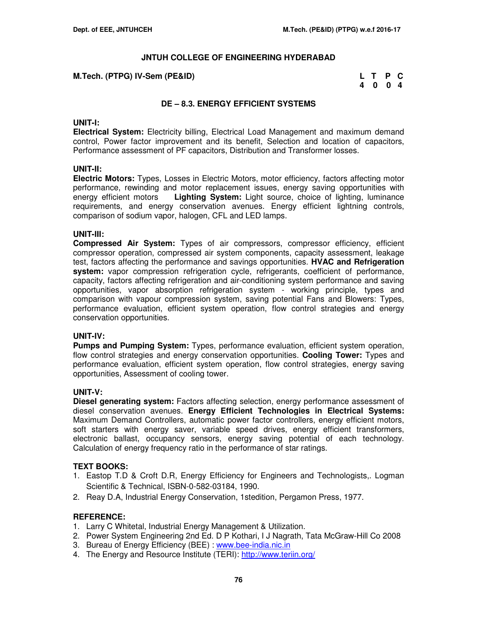| M.Tech. (PTPG) IV-Sem (PE&ID) | L T P C |  |
|-------------------------------|---------|--|
|                               | 4004    |  |

### **DE – 8.3. ENERGY EFFICIENT SYSTEMS**

#### **UNIT-I:**

**Electrical System:** Electricity billing, Electrical Load Management and maximum demand control, Power factor improvement and its benefit, Selection and location of capacitors, Performance assessment of PF capacitors, Distribution and Transformer losses.

#### **UNIT-II:**

**Electric Motors:** Types, Losses in Electric Motors, motor efficiency, factors affecting motor performance, rewinding and motor replacement issues, energy saving opportunities with energy efficient motors **Lighting System:** Light source, choice of lighting, luminance requirements, and energy conservation avenues. Energy efficient lightning controls, comparison of sodium vapor, halogen, CFL and LED lamps.

### **UNIT-III:**

**Compressed Air System:** Types of air compressors, compressor efficiency, efficient compressor operation, compressed air system components, capacity assessment, leakage test, factors affecting the performance and savings opportunities. **HVAC and Refrigeration system:** vapor compression refrigeration cycle, refrigerants, coefficient of performance, capacity, factors affecting refrigeration and air-conditioning system performance and saving opportunities, vapor absorption refrigeration system - working principle, types and comparison with vapour compression system, saving potential Fans and Blowers: Types, performance evaluation, efficient system operation, flow control strategies and energy conservation opportunities.

#### **UNIT-IV:**

**Pumps and Pumping System:** Types, performance evaluation, efficient system operation, flow control strategies and energy conservation opportunities. **Cooling Tower:** Types and performance evaluation, efficient system operation, flow control strategies, energy saving opportunities, Assessment of cooling tower.

#### **UNIT-V:**

**Diesel generating system:** Factors affecting selection, energy performance assessment of diesel conservation avenues. **Energy Efficient Technologies in Electrical Systems:** Maximum Demand Controllers, automatic power factor controllers, energy efficient motors, soft starters with energy saver, variable speed drives, energy efficient transformers, electronic ballast, occupancy sensors, energy saving potential of each technology. Calculation of energy frequency ratio in the performance of star ratings.

## **TEXT BOOKS:**

- 1. Eastop T.D & Croft D.R, Energy Efficiency for Engineers and Technologists,. Logman Scientific & Technical, ISBN-0-582-03184, 1990.
- 2. Reay D.A, Industrial Energy Conservation, 1stedition, Pergamon Press, 1977.

- 1. Larry C Whitetal, Industrial Energy Management & Utilization.
- 2. Power System Engineering 2nd Ed. D P Kothari, I J Nagrath, Tata McGraw-Hill Co 2008
- 3. Bureau of Energy Efficiency (BEE) : www.bee-india.nic.in
- 4. The Energy and Resource Institute (TERI): http://www.teriin.org/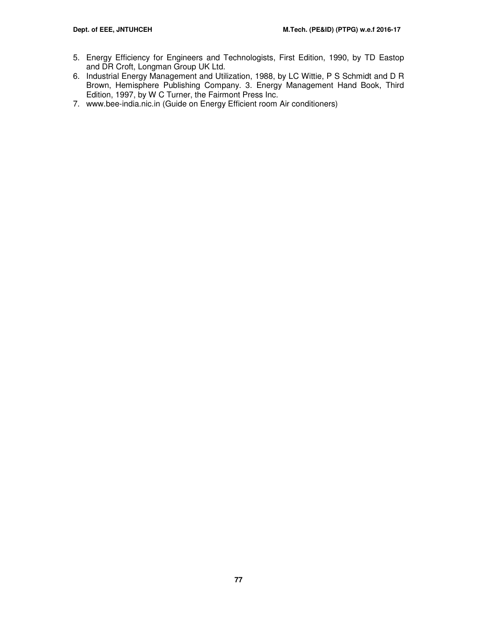- 5. Energy Efficiency for Engineers and Technologists, First Edition, 1990, by TD Eastop and DR Croft, Longman Group UK Ltd.
- 6. Industrial Energy Management and Utilization, 1988, by LC Wittie, P S Schmidt and D R Brown, Hemisphere Publishing Company. 3. Energy Management Hand Book, Third Edition, 1997, by W C Turner, the Fairmont Press Inc.
- 7. www.bee-india.nic.in (Guide on Energy Efficient room Air conditioners)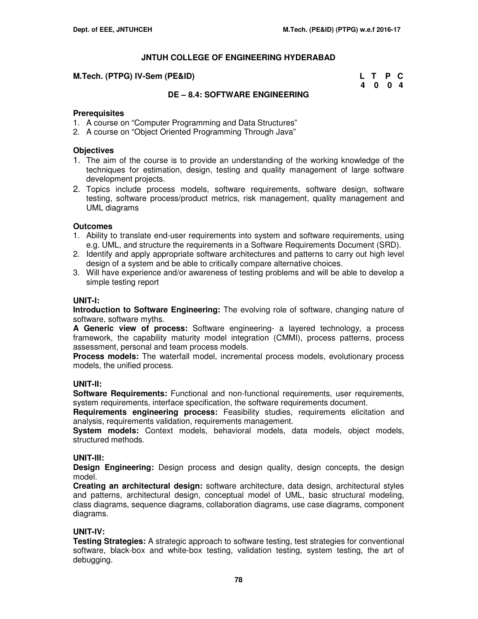#### **M.Tech. (PTPG) IV-Sem (PE&ID)**

| M.Tech. (PTPG) IV-Sem (PE&ID) | L T P C |  |
|-------------------------------|---------|--|
|                               | 4004    |  |

### **DE – 8.4: SOFTWARE ENGINEERING**

### **Prerequisites**

- 1. A course on "Computer Programming and Data Structures"
- 2. A course on "Object Oriented Programming Through Java"

### **Objectives**

- 1. The aim of the course is to provide an understanding of the working knowledge of the techniques for estimation, design, testing and quality management of large software development projects.
- 2. Topics include process models, software requirements, software design, software testing, software process/product metrics, risk management, quality management and UML diagrams

### **Outcomes**

- 1. Ability to translate end-user requirements into system and software requirements, using e.g. UML, and structure the requirements in a Software Requirements Document (SRD).
- 2. Identify and apply appropriate software architectures and patterns to carry out high level design of a system and be able to critically compare alternative choices.
- 3. Will have experience and/or awareness of testing problems and will be able to develop a simple testing report

### **UNIT-I:**

**Introduction to Software Engineering:** The evolving role of software, changing nature of software, software myths.

**A Generic view of process:** Software engineering- a layered technology, a process framework, the capability maturity model integration (CMMI), process patterns, process assessment, personal and team process models.

**Process models:** The waterfall model, incremental process models, evolutionary process models, the unified process.

#### **UNIT-II:**

**Software Requirements:** Functional and non-functional requirements, user requirements, system requirements, interface specification, the software requirements document.

**Requirements engineering process:** Feasibility studies, requirements elicitation and analysis, requirements validation, requirements management.

**System models:** Context models, behavioral models, data models, object models, structured methods.

#### **UNIT-III:**

**Design Engineering:** Design process and design quality, design concepts, the design model.

**Creating an architectural design:** software architecture, data design, architectural styles and patterns, architectural design, conceptual model of UML, basic structural modeling, class diagrams, sequence diagrams, collaboration diagrams, use case diagrams, component diagrams.

## **UNIT-IV:**

**Testing Strategies:** A strategic approach to software testing, test strategies for conventional software, black-box and white-box testing, validation testing, system testing, the art of debugging.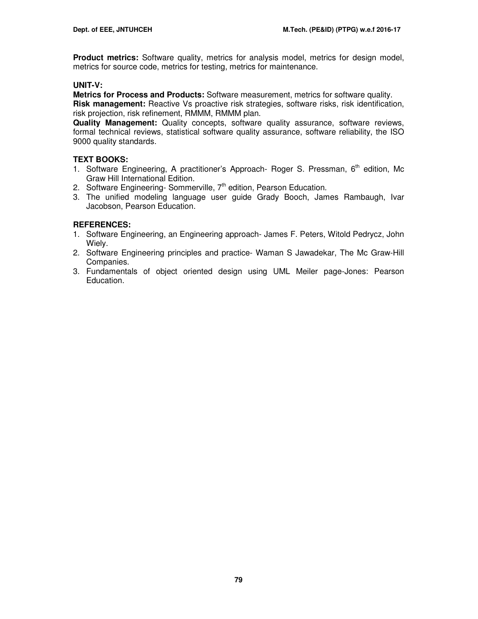**Product metrics:** Software quality, metrics for analysis model, metrics for design model, metrics for source code, metrics for testing, metrics for maintenance.

# **UNIT-V:**

**Metrics for Process and Products:** Software measurement, metrics for software quality. **Risk management:** Reactive Vs proactive risk strategies, software risks, risk identification, risk projection, risk refinement, RMMM, RMMM plan.

**Quality Management:** Quality concepts, software quality assurance, software reviews, formal technical reviews, statistical software quality assurance, software reliability, the ISO 9000 quality standards.

# **TEXT BOOKS:**

- 1. Software Engineering, A practitioner's Approach- Roger S. Pressman,  $6<sup>th</sup>$  edition, Mc Graw Hill International Edition.
- 2. Software Engineering- Sommerville,  $7<sup>th</sup>$  edition, Pearson Education.
- 3. The unified modeling language user guide Grady Booch, James Rambaugh, Ivar Jacobson, Pearson Education.

- 1. Software Engineering, an Engineering approach- James F. Peters, Witold Pedrycz, John Wiely.
- 2. Software Engineering principles and practice- Waman S Jawadekar, The Mc Graw-Hill Companies.
- 3. Fundamentals of object oriented design using UML Meiler page-Jones: Pearson Education.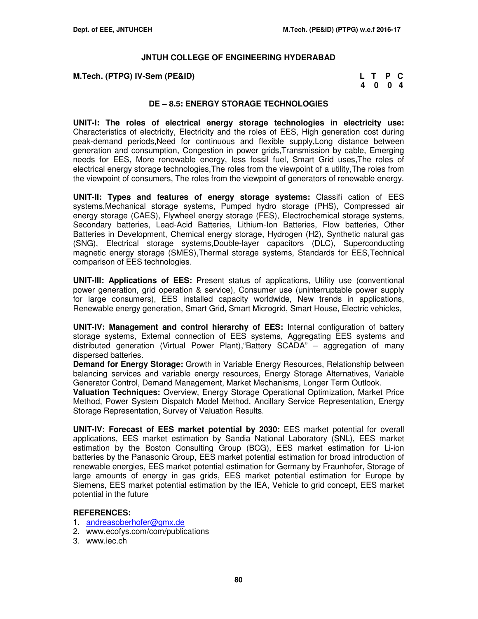| M.Tech. (PTPG) IV-Sem (PE&ID) | L T P C |  |
|-------------------------------|---------|--|
|                               | 4004    |  |

### **DE – 8.5: ENERGY STORAGE TECHNOLOGIES**

**UNIT-I: The roles of electrical energy storage technologies in electricity use:**  Characteristics of electricity, Electricity and the roles of EES, High generation cost during peak-demand periods,Need for continuous and flexible supply,Long distance between generation and consumption, Congestion in power grids,Transmission by cable, Emerging needs for EES, More renewable energy, less fossil fuel, Smart Grid uses,The roles of electrical energy storage technologies,The roles from the viewpoint of a utility,The roles from the viewpoint of consumers, The roles from the viewpoint of generators of renewable energy.

**UNIT-II: Types and features of energy storage systems:** Classifi cation of EES systems,Mechanical storage systems, Pumped hydro storage (PHS), Compressed air energy storage (CAES), Flywheel energy storage (FES), Electrochemical storage systems, Secondary batteries, Lead-Acid Batteries, Lithium-Ion Batteries, Flow batteries, Other Batteries in Development, Chemical energy storage, Hydrogen (H2), Synthetic natural gas (SNG), Electrical storage systems,Double-layer capacitors (DLC), Superconducting magnetic energy storage (SMES),Thermal storage systems, Standards for EES,Technical comparison of EES technologies.

**UNIT-III: Applications of EES:** Present status of applications, Utility use (conventional power generation, grid operation & service), Consumer use (uninterruptable power supply for large consumers), EES installed capacity worldwide, New trends in applications, Renewable energy generation, Smart Grid, Smart Microgrid, Smart House, Electric vehicles,

**UNIT-IV: Management and control hierarchy of EES:** Internal configuration of battery storage systems, External connection of EES systems, Aggregating EES systems and distributed generation (Virtual Power Plant),"Battery SCADA" – aggregation of many dispersed batteries.

**Demand for Energy Storage:** Growth in Variable Energy Resources, Relationship between balancing services and variable energy resources, Energy Storage Alternatives, Variable Generator Control, Demand Management, Market Mechanisms, Longer Term Outlook.

**Valuation Techniques:** Overview, Energy Storage Operational Optimization, Market Price Method, Power System Dispatch Model Method, Ancillary Service Representation, Energy Storage Representation, Survey of Valuation Results.

**UNIT-IV: Forecast of EES market potential by 2030:** EES market potential for overall applications, EES market estimation by Sandia National Laboratory (SNL), EES market estimation by the Boston Consulting Group (BCG), EES market estimation for Li-ion batteries by the Panasonic Group, EES market potential estimation for broad introduction of renewable energies, EES market potential estimation for Germany by Fraunhofer, Storage of large amounts of energy in gas grids, EES market potential estimation for Europe by Siemens, EES market potential estimation by the IEA, Vehicle to grid concept, EES market potential in the future

- 1. andreasoberhofer@gmx.de
- 2. www.ecofys.com/com/publications
- 3. www.iec.ch